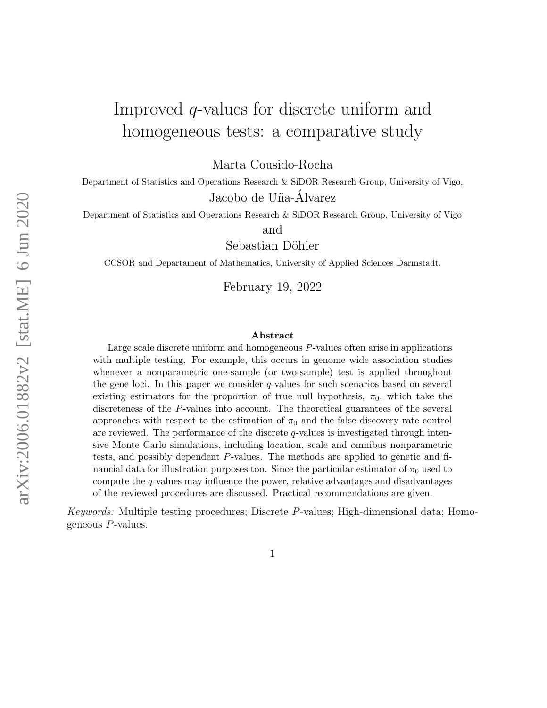# Improved q-values for discrete uniform and homogeneous tests: a comparative study

Marta Cousido-Rocha

Department of Statistics and Operations Research & SiDOR Research Group, University of Vigo, Jacobo de Uña-Álvarez

Department of Statistics and Operations Research & SiDOR Research Group, University of Vigo

and

Sebastian Döhler

CCSOR and Departament of Mathematics, University of Applied Sciences Darmstadt.

February 19, 2022

#### Abstract

Large scale discrete uniform and homogeneous P-values often arise in applications with multiple testing. For example, this occurs in genome wide association studies whenever a nonparametric one-sample (or two-sample) test is applied throughout the gene loci. In this paper we consider  $q$ -values for such scenarios based on several existing estimators for the proportion of true null hypothesis,  $\pi_0$ , which take the discreteness of the P-values into account. The theoretical guarantees of the several approaches with respect to the estimation of  $\pi_0$  and the false discovery rate control are reviewed. The performance of the discrete  $q$ -values is investigated through intensive Monte Carlo simulations, including location, scale and omnibus nonparametric tests, and possibly dependent P-values. The methods are applied to genetic and financial data for illustration purposes too. Since the particular estimator of  $\pi_0$  used to compute the q-values may influence the power, relative advantages and disadvantages of the reviewed procedures are discussed. Practical recommendations are given.

Keywords: Multiple testing procedures; Discrete P-values; High-dimensional data; Homogeneous P-values.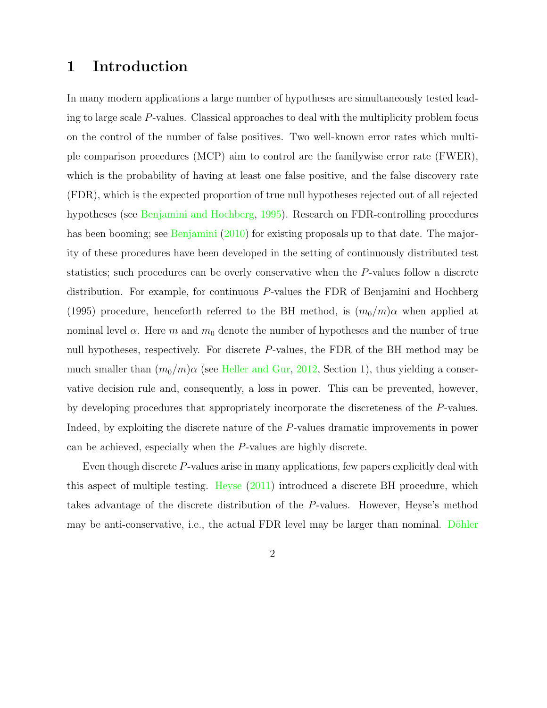# 1 Introduction

In many modern applications a large number of hypotheses are simultaneously tested leading to large scale P-values. Classical approaches to deal with the multiplicity problem focus on the control of the number of false positives. Two well-known error rates which multiple comparison procedures (MCP) aim to control are the familywise error rate (FWER), which is the probability of having at least one false positive, and the false discovery rate (FDR), which is the expected proportion of true null hypotheses rejected out of all rejected hypotheses (see Benjamini and Hochberg, 1995). Research on FDR-controlling procedures has been booming; see Benjamini (2010) for existing proposals up to that date. The majority of these procedures have been developed in the setting of continuously distributed test statistics; such procedures can be overly conservative when the P-values follow a discrete distribution. For example, for continuous P-values the FDR of Benjamini and Hochberg (1995) procedure, henceforth referred to the BH method, is  $(m_0/m)\alpha$  when applied at nominal level  $\alpha$ . Here m and  $m_0$  denote the number of hypotheses and the number of true null hypotheses, respectively. For discrete P-values, the FDR of the BH method may be much smaller than  $(m_0/m)\alpha$  (see Heller and Gur, 2012, Section 1), thus yielding a conservative decision rule and, consequently, a loss in power. This can be prevented, however, by developing procedures that appropriately incorporate the discreteness of the P-values. Indeed, by exploiting the discrete nature of the P-values dramatic improvements in power can be achieved, especially when the P-values are highly discrete.

Even though discrete P-values arise in many applications, few papers explicitly deal with this aspect of multiple testing. Heyse (2011) introduced a discrete BH procedure, which takes advantage of the discrete distribution of the P-values. However, Heyse's method may be anti-conservative, i.e., the actual FDR level may be larger than nominal. Döhler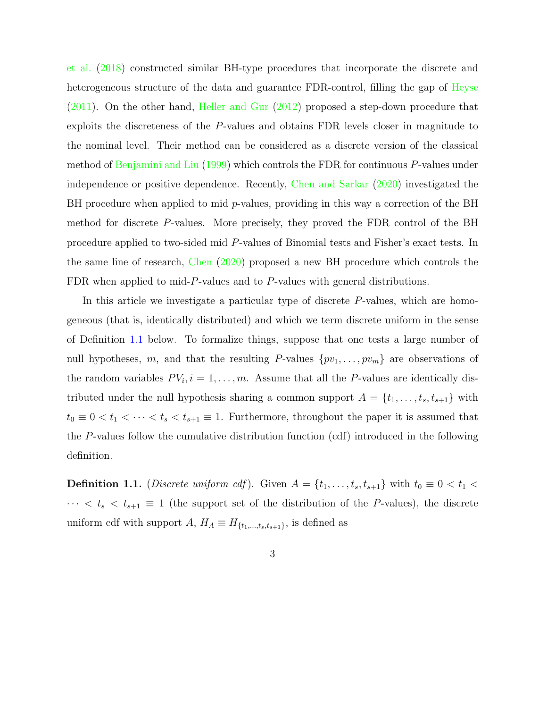et al. (2018) constructed similar BH-type procedures that incorporate the discrete and heterogeneous structure of the data and guarantee FDR-control, filling the gap of Heyse (2011). On the other hand, Heller and Gur (2012) proposed a step-down procedure that exploits the discreteness of the P-values and obtains FDR levels closer in magnitude to the nominal level. Their method can be considered as a discrete version of the classical method of Benjamini and Liu (1999) which controls the FDR for continuous P-values under independence or positive dependence. Recently, Chen and Sarkar (2020) investigated the BH procedure when applied to mid  $p$ -values, providing in this way a correction of the BH method for discrete P-values. More precisely, they proved the FDR control of the BH procedure applied to two-sided mid P-values of Binomial tests and Fisher's exact tests. In the same line of research, Chen (2020) proposed a new BH procedure which controls the FDR when applied to mid-P-values and to P-values with general distributions.

In this article we investigate a particular type of discrete P-values, which are homogeneous (that is, identically distributed) and which we term discrete uniform in the sense of Definition 1.1 below. To formalize things, suppose that one tests a large number of null hypotheses, m, and that the resulting P-values  $\{pv_1, \ldots, pv_m\}$  are observations of the random variables  $PV_i$ ,  $i = 1, \ldots, m$ . Assume that all the P-values are identically distributed under the null hypothesis sharing a common support  $A = \{t_1, \ldots, t_s, t_{s+1}\}\$  with  $t_0 \equiv 0 < t_1 < \cdots < t_s < t_{s+1} \equiv 1$ . Furthermore, throughout the paper it is assumed that the P-values follow the cumulative distribution function (cdf) introduced in the following definition.

**Definition 1.1.** (*Discrete uniform cdf*). Given  $A = \{t_1, \ldots, t_s, t_{s+1}\}\$  with  $t_0 \equiv 0 < t_1 <$  $\cdots < t_s < t_{s+1} \equiv 1$  (the support set of the distribution of the P-values), the discrete uniform cdf with support  $A, H_A \equiv H_{\{t_1,\ldots,t_s,t_{s+1}\}},$  is defined as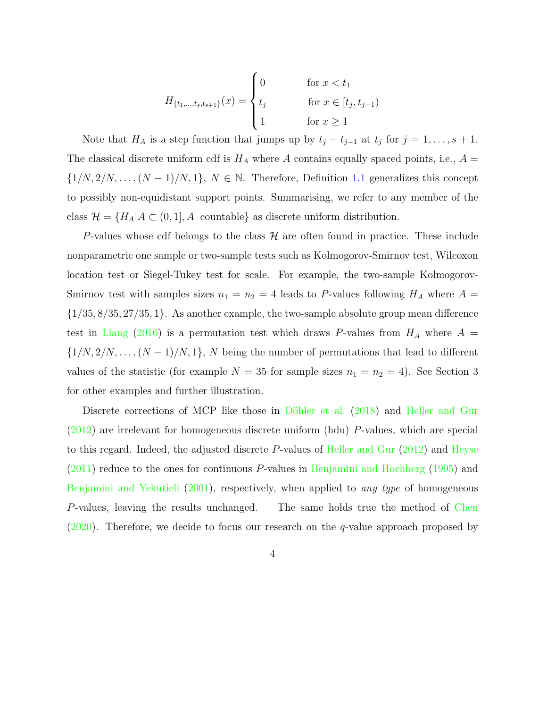$$
H_{\{t_1, \dots, t_s, t_{s+1}\}}(x) = \begin{cases} 0 & \text{for } x < t_1 \\ t_j & \text{for } x \in [t_j, t_{j+1}) \\ 1 & \text{for } x \ge 1 \end{cases}
$$

Note that  $H_A$  is a step function that jumps up by  $t_j - t_{j-1}$  at  $t_j$  for  $j = 1, \ldots, s + 1$ . The classical discrete uniform cdf is  $H_A$  where A contains equally spaced points, i.e.,  $A =$  $\{1/N, 2/N, \ldots, (N-1)/N, 1\}, N \in \mathbb{N}$ . Therefore, Definition 1.1 generalizes this concept to possibly non-equidistant support points. Summarising, we refer to any member of the class  $\mathcal{H} = \{H_A | A \subset (0, 1], A \text{ countable}\}\$ as discrete uniform distribution.

P-values whose cdf belongs to the class  $H$  are often found in practice. These include nonparametric one sample or two-sample tests such as Kolmogorov-Smirnov test, Wilcoxon location test or Siegel-Tukey test for scale. For example, the two-sample Kolmogorov-Smirnov test with samples sizes  $n_1 = n_2 = 4$  leads to P-values following  $H_A$  where  $A =$  $\{1/35, 8/35, 27/35, 1\}$ . As another example, the two-sample absolute group mean difference test in Liang (2016) is a permutation test which draws P-values from  $H_A$  where  $A =$  $\{1/N, 2/N, \ldots, (N-1)/N, 1\}, N$  being the number of permutations that lead to different values of the statistic (for example  $N = 35$  for sample sizes  $n_1 = n_2 = 4$ ). See Section 3 for other examples and further illustration.

Discrete corrections of MCP like those in Döhler et al. (2018) and Heller and Gur (2012) are irrelevant for homogeneous discrete uniform (hdu) P-values, which are special to this regard. Indeed, the adjusted discrete P-values of Heller and Gur (2012) and Heyse (2011) reduce to the ones for continuous P-values in Benjamini and Hochberg (1995) and Benjamini and Yekutieli (2001), respectively, when applied to *any type* of homogeneous P-values, leaving the results unchanged. The same holds true the method of Chen  $(2020)$ . Therefore, we decide to focus our research on the q-value approach proposed by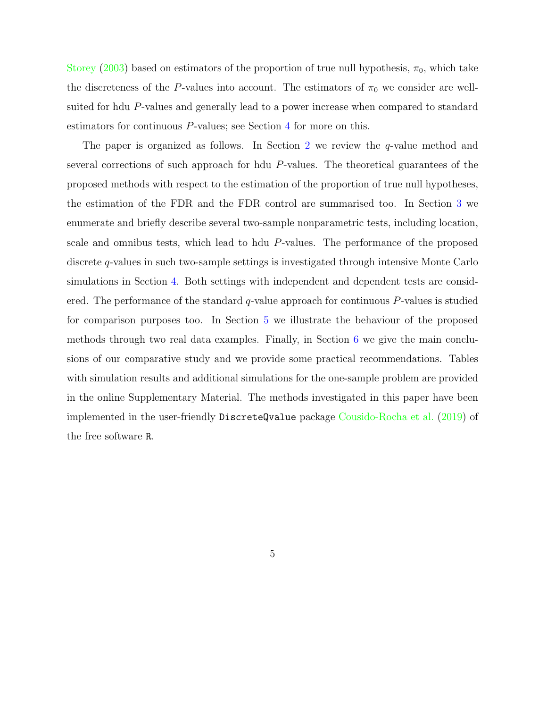Storey (2003) based on estimators of the proportion of true null hypothesis,  $\pi_0$ , which take the discreteness of the P-values into account. The estimators of  $\pi_0$  we consider are wellsuited for hdu P-values and generally lead to a power increase when compared to standard estimators for continuous P-values; see Section 4 for more on this.

The paper is organized as follows. In Section 2 we review the  $q$ -value method and several corrections of such approach for hdu P-values. The theoretical guarantees of the proposed methods with respect to the estimation of the proportion of true null hypotheses, the estimation of the FDR and the FDR control are summarised too. In Section 3 we enumerate and briefly describe several two-sample nonparametric tests, including location, scale and omnibus tests, which lead to hdu P-values. The performance of the proposed discrete q-values in such two-sample settings is investigated through intensive Monte Carlo simulations in Section 4. Both settings with independent and dependent tests are considered. The performance of the standard  $q$ -value approach for continuous  $P$ -values is studied for comparison purposes too. In Section 5 we illustrate the behaviour of the proposed methods through two real data examples. Finally, in Section 6 we give the main conclusions of our comparative study and we provide some practical recommendations. Tables with simulation results and additional simulations for the one-sample problem are provided in the online Supplementary Material. The methods investigated in this paper have been implemented in the user-friendly DiscreteQvalue package Cousido-Rocha et al. (2019) of the free software R.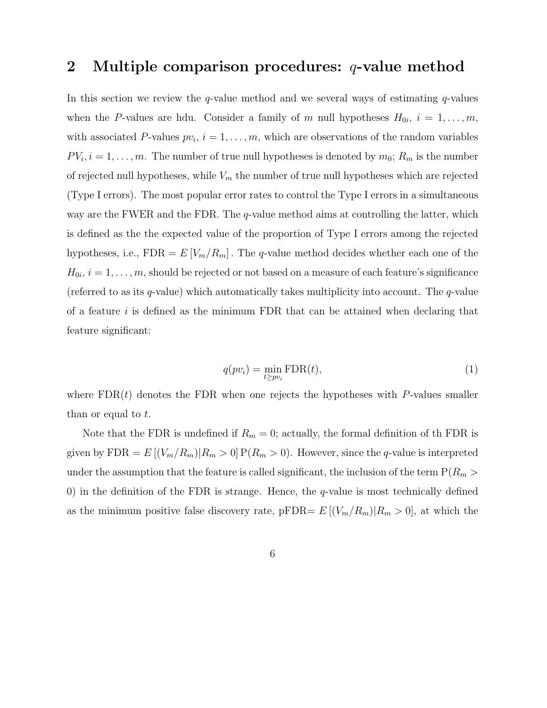# 2 Multiple comparison procedures: q-value method

In this section we review the  $q$ -value method and we several ways of estimating  $q$ -values when the P-values are hdu. Consider a family of m null hypotheses  $H_{0i}$ ,  $i = 1, \ldots, m$ , with associated P-values  $pv_i$ ,  $i = 1, \ldots, m$ , which are observations of the random variables  $PV_i$ ,  $i = 1, \ldots, m$ . The number of true null hypotheses is denoted by  $m_0$ ;  $R_m$  is the number of rejected null hypotheses, while  $V_m$  the number of true null hypotheses which are rejected (Type I errors). The most popular error rates to control the Type I errors in a simultaneous way are the FWER and the FDR. The  $q$ -value method aims at controlling the latter, which is defined as the the expected value of the proportion of Type I errors among the rejected hypotheses, i.e.,  $FDR = E[V_m/R_m]$ . The q-value method decides whether each one of the  $H_{0i}, i = 1, \ldots, m$ , should be rejected or not based on a measure of each feature's significance (referred to as its  $q$ -value) which automatically takes multiplicity into account. The  $q$ -value of a feature  $i$  is defined as the minimum FDR that can be attained when declaring that feature significant:

$$
q(pv_i) = \min_{t \ge pv_i} \text{FDR}(t),\tag{1}
$$

where  $FDR(t)$  denotes the FDR when one rejects the hypotheses with P-values smaller than or equal to t.

Note that the FDR is undefined if  $R_m = 0$ ; actually, the formal definition of the FDR is given by  $FDR = E [(V_m/R_m)|R_m > 0] P(R_m > 0)$ . However, since the q-value is interpreted under the assumption that the feature is called significant, the inclusion of the term  $P(R_m >$ 0) in the definition of the FDR is strange. Hence, the  $q$ -value is most technically defined as the minimum positive false discovery rate, pFDR=  $E [(V_m/R_m)|R_m > 0]$ , at which the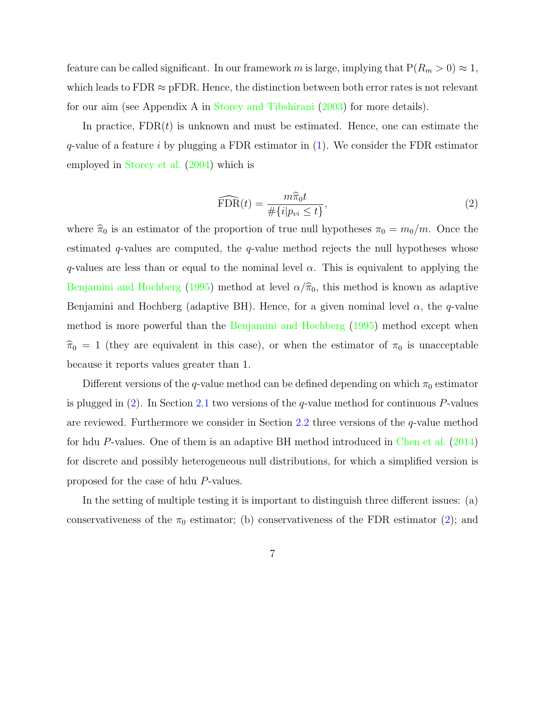feature can be called significant. In our framework m is large, implying that  $P(R_m > 0) \approx 1$ , which leads to  $FDR \approx pFDR$ . Hence, the distinction between both error rates is not relevant for our aim (see Appendix A in Storey and Tibshirani (2003) for more details).

In practice,  $FDR(t)$  is unknown and must be estimated. Hence, one can estimate the q-value of a feature i by plugging a FDR estimator in  $(1)$ . We consider the FDR estimator employed in Storey et al. (2004) which is

$$
\widehat{\text{FDR}}(t) = \frac{m\widehat{\pi}_0 t}{\#\{i|p_{vi} \le t\}},\tag{2}
$$

where  $\hat{\pi}_0$  is an estimator of the proportion of true null hypotheses  $\pi_0 = m_0/m$ . Once the estimated  $q$ -values are computed, the  $q$ -value method rejects the null hypotheses whose q-values are less than or equal to the nominal level  $\alpha$ . This is equivalent to applying the Benjamini and Hochberg (1995) method at level  $\alpha/\hat{\pi}_0$ , this method is known as adaptive Benjamini and Hochberg (adaptive BH). Hence, for a given nominal level  $\alpha$ , the q-value method is more powerful than the Benjamini and Hochberg (1995) method except when  $\hat{\pi}_0 = 1$  (they are equivalent in this case), or when the estimator of  $\pi_0$  is unacceptable because it reports values greater than 1.

Different versions of the q-value method can be defined depending on which  $\pi_0$  estimator is plugged in  $(2)$ . In Section 2.1 two versions of the q-value method for continuous P-values are reviewed. Furthermore we consider in Section 2.2 three versions of the  $q$ -value method for hdu P-values. One of them is an adaptive BH method introduced in Chen et al. (2014) for discrete and possibly heterogeneous null distributions, for which a simplified version is proposed for the case of hdu P-values.

In the setting of multiple testing it is important to distinguish three different issues: (a) conservativeness of the  $\pi_0$  estimator; (b) conservativeness of the FDR estimator (2); and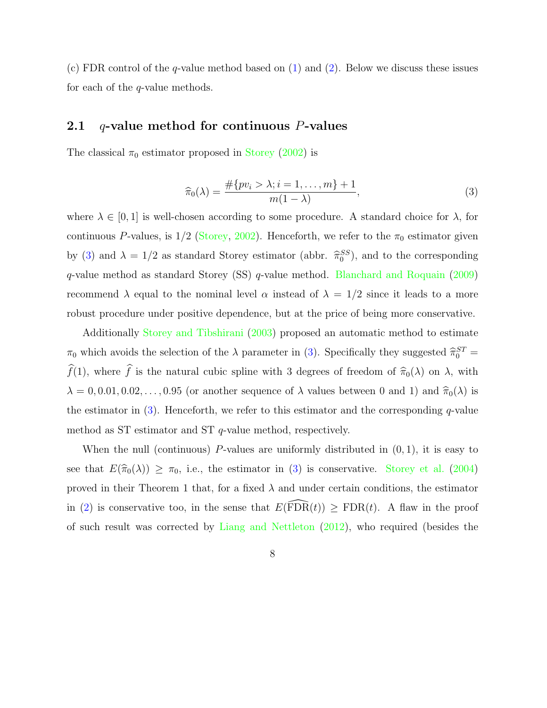(c) FDR control of the q-value method based on (1) and (2). Below we discuss these issues for each of the  $q$ -value methods.

## 2.1  $q$ -value method for continuous P-values

The classical  $\pi_0$  estimator proposed in Storey (2002) is

$$
\widehat{\pi}_0(\lambda) = \frac{\#\{pv_i > \lambda; i = 1, \dots, m\} + 1}{m(1 - \lambda)},\tag{3}
$$

where  $\lambda \in [0,1]$  is well-chosen according to some procedure. A standard choice for  $\lambda$ , for continuous P-values, is  $1/2$  (Storey, 2002). Henceforth, we refer to the  $\pi_0$  estimator given by (3) and  $\lambda = 1/2$  as standard Storey estimator (abbr.  $\hat{\pi}_0^{SS}$ ), and to the corresponding q-value method as standard Storey (SS) q-value method. Blanchard and Roquain (2009) recommend  $\lambda$  equal to the nominal level  $\alpha$  instead of  $\lambda = 1/2$  since it leads to a more robust procedure under positive dependence, but at the price of being more conservative.

Additionally Storey and Tibshirani (2003) proposed an automatic method to estimate  $\pi_0$  which avoids the selection of the  $\lambda$  parameter in (3). Specifically they suggested  $\hat{\pi}_0^{ST}$  =  $\widehat{f}(1)$ , where  $\widehat{f}$  is the natural cubic spline with 3 degrees of freedom of  $\widehat{\pi}_{0}(\lambda)$  on  $\lambda$ , with  $\lambda = 0, 0.01, 0.02, \ldots, 0.95$  (or another sequence of  $\lambda$  values between 0 and 1) and  $\hat{\pi}_0(\lambda)$  is the estimator in  $(3)$ . Henceforth, we refer to this estimator and the corresponding q-value method as ST estimator and ST q-value method, respectively.

When the null (continuous) P-values are uniformly distributed in  $(0, 1)$ , it is easy to see that  $E(\hat{\pi}_0(\lambda)) \geq \pi_0$ , i.e., the estimator in (3) is conservative. Storey et al. (2004) proved in their Theorem 1 that, for a fixed  $\lambda$  and under certain conditions, the estimator in (2) is conservative too, in the sense that  $E(\widehat{FDR}(t)) \geq FDR(t)$ . A flaw in the proof of such result was corrected by Liang and Nettleton (2012), who required (besides the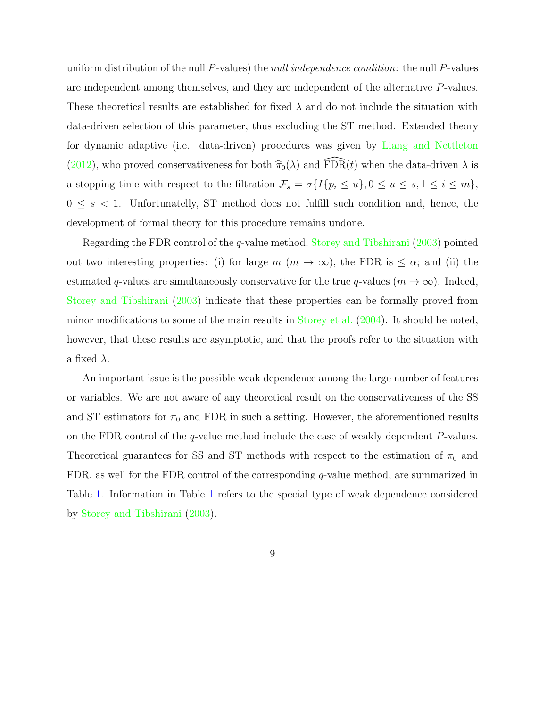uniform distribution of the null P-values) the *null independence condition*: the null P-values are independent among themselves, and they are independent of the alternative P-values. These theoretical results are established for fixed  $\lambda$  and do not include the situation with data-driven selection of this parameter, thus excluding the ST method. Extended theory for dynamic adaptive (i.e. data-driven) procedures was given by Liang and Nettleton (2012), who proved conservativeness for both  $\hat{\pi}_0(\lambda)$  and  $\widehat{\text{FDR}}(t)$  when the data-driven  $\lambda$  is a stopping time with respect to the filtration  $\mathcal{F}_s = \sigma\{I\{p_i \leq u\}, 0 \leq u \leq s, 1 \leq i \leq m\},\$  $0 \leq s < 1$ . Unfortunatelly, ST method does not fulfill such condition and, hence, the development of formal theory for this procedure remains undone.

Regarding the FDR control of the q-value method, Storey and Tibshirani (2003) pointed out two interesting properties: (i) for large  $m (m \to \infty)$ , the FDR is  $\leq \alpha$ ; and (ii) the estimated q-values are simultaneously conservative for the true q-values  $(m \to \infty)$ . Indeed, Storey and Tibshirani (2003) indicate that these properties can be formally proved from minor modifications to some of the main results in Storey et al. (2004). It should be noted, however, that these results are asymptotic, and that the proofs refer to the situation with a fixed  $\lambda$ .

An important issue is the possible weak dependence among the large number of features or variables. We are not aware of any theoretical result on the conservativeness of the SS and ST estimators for  $\pi_0$  and FDR in such a setting. However, the aforementioned results on the FDR control of the  $q$ -value method include the case of weakly dependent  $P$ -values. Theoretical guarantees for SS and ST methods with respect to the estimation of  $\pi_0$  and FDR, as well for the FDR control of the corresponding q-value method, are summarized in Table 1. Information in Table 1 refers to the special type of weak dependence considered by Storey and Tibshirani (2003).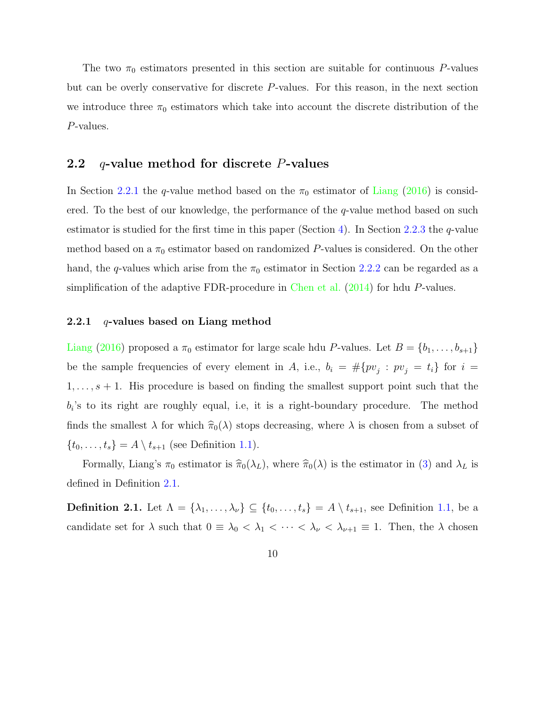The two  $\pi_0$  estimators presented in this section are suitable for continuous P-values but can be overly conservative for discrete P-values. For this reason, in the next section we introduce three  $\pi_0$  estimators which take into account the discrete distribution of the P-values.

## 2.2  $q$ -value method for discrete P-values

In Section 2.2.1 the q-value method based on the  $\pi_0$  estimator of Liang (2016) is considered. To the best of our knowledge, the performance of the  $q$ -value method based on such estimator is studied for the first time in this paper (Section 4). In Section 2.2.3 the q-value method based on a  $\pi_0$  estimator based on randomized P-values is considered. On the other hand, the q-values which arise from the  $\pi_0$  estimator in Section 2.2.2 can be regarded as a simplification of the adaptive FDR-procedure in Chen et al. (2014) for hdu P-values.

#### 2.2.1 q-values based on Liang method

Liang (2016) proposed a  $\pi_0$  estimator for large scale hdu P-values. Let  $B = \{b_1, \ldots, b_{s+1}\}\$ be the sample frequencies of every element in A, i.e.,  $b_i = #\{pv_j : pv_j = t_i\}$  for  $i =$  $1, \ldots, s+1$ . His procedure is based on finding the smallest support point such that the  $b_i$ 's to its right are roughly equal, i.e, it is a right-boundary procedure. The method finds the smallest  $\lambda$  for which  $\hat{\pi}_0(\lambda)$  stops decreasing, where  $\lambda$  is chosen from a subset of  $\{t_0, \ldots, t_s\} = A \setminus t_{s+1}$  (see Definition 1.1).

Formally, Liang's  $\pi_0$  estimator is  $\hat{\pi}_0(\lambda_L)$ , where  $\hat{\pi}_0(\lambda)$  is the estimator in (3) and  $\lambda_L$  is defined in Definition 2.1.

**Definition 2.1.** Let  $\Lambda = \{\lambda_1, \ldots, \lambda_\nu\} \subseteq \{t_0, \ldots, t_s\} = A \setminus t_{s+1}$ , see Definition 1.1, be a candidate set for  $\lambda$  such that  $0 \equiv \lambda_0 < \lambda_1 < \cdots < \lambda_{\nu} < \lambda_{\nu+1} \equiv 1$ . Then, the  $\lambda$  chosen

10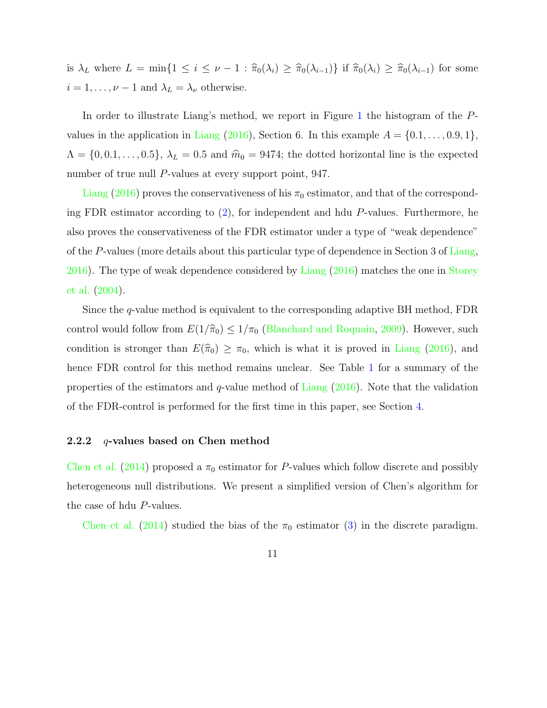is  $\lambda_L$  where  $L = \min\{1 \le i \le \nu - 1 : \hat{\pi}_0(\lambda_i) \ge \hat{\pi}_0(\lambda_{i-1})\}$  if  $\hat{\pi}_0(\lambda_i) \ge \hat{\pi}_0(\lambda_{i-1})$  for some  $i = 1, \ldots, \nu - 1$  and  $\lambda_L = \lambda_{\nu}$  otherwise.

In order to illustrate Liang's method, we report in Figure 1 the histogram of the Pvalues in the application in Liang (2016), Section 6. In this example  $A = \{0.1, \ldots, 0.9, 1\},\$  $\Lambda = \{0, 0.1, \ldots, 0.5\}, \lambda_L = 0.5$  and  $\hat{m}_0 = 9474$ ; the dotted horizontal line is the expected number of true null P-values at every support point, 947.

Liang (2016) proves the conservativeness of his  $\pi_0$  estimator, and that of the corresponding FDR estimator according to (2), for independent and hdu P-values. Furthermore, he also proves the conservativeness of the FDR estimator under a type of "weak dependence" of the P-values (more details about this particular type of dependence in Section 3 of Liang, 2016). The type of weak dependence considered by Liang (2016) matches the one in Storey et al. (2004).

Since the q-value method is equivalent to the corresponding adaptive BH method, FDR control would follow from  $E(1/\hat{\pi}_0) \leq 1/\pi_0$  (Blanchard and Roquain, 2009). However, such condition is stronger than  $E(\hat{\pi}_0) \geq \pi_0$ , which is what it is proved in Liang (2016), and hence FDR control for this method remains unclear. See Table 1 for a summary of the properties of the estimators and  $q$ -value method of Liang  $(2016)$ . Note that the validation of the FDR-control is performed for the first time in this paper, see Section 4.

#### 2.2.2 q-values based on Chen method

Chen et al. (2014) proposed a  $\pi_0$  estimator for P-values which follow discrete and possibly heterogeneous null distributions. We present a simplified version of Chen's algorithm for the case of hdu P-values.

Chen et al. (2014) studied the bias of the  $\pi_0$  estimator (3) in the discrete paradigm.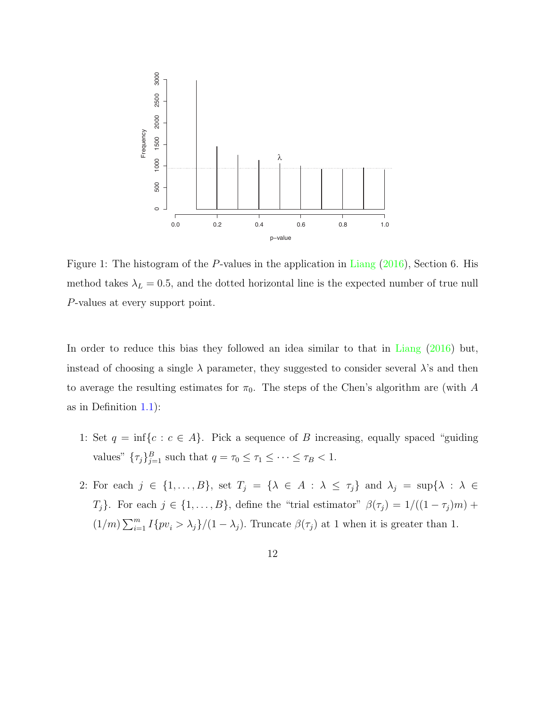

Figure 1: The histogram of the *P*-values in the application in Liang (2) *n* = 4 0.908 0.883 0.876 0.850 0.847 0.843 (5.0e-5) method takes  $\lambda_L = 0.5$ , and the dotted horizontal line is the expected Figure 1: The histogram of the P-values in the application in Liang  $(2016)$ , Section 6. His method takes  $\lambda_L = 0.5$ , and the dotted horizontal line is the expected number of true null P-values at every support point.

In order to reduce this bias they followed an idea similar to that in Liang (2016) but, instead of choosing a single  $\lambda$  parameter, they suggested to consider several  $\lambda$ 's and then to average the resulting estimates for  $\pi_0$ . The steps of the Chen's algorithm are (with A as in Definition  $1.1$ :

- 1: Set  $q = \inf\{c : c \in A\}$ . Pick a sequence of B increasing, equally spaced "guiding" values"  $\{\tau_j\}_{j=1}^B$  such that  $q = \tau_0 \leq \tau_1 \leq \cdots \leq \tau_B < 1$ .
- 2: For each  $j \in \{1, ..., B\}$ , set  $T_j = \{\lambda \in A : \lambda \leq \tau_j\}$  and  $\lambda_j = \sup\{\lambda : \lambda \in$  $T_j$ . For each  $j \in \{1, ..., B\}$ , define the "trial estimator"  $\beta(\tau_j) = 1/((1 - \tau_j)m) +$  $(1/m)\sum_{i=1}^{m} I\{pv_i > \lambda_j\}/(1-\lambda_j)$ . Truncate  $\beta(\tau_j)$  at 1 when it is greater than 1.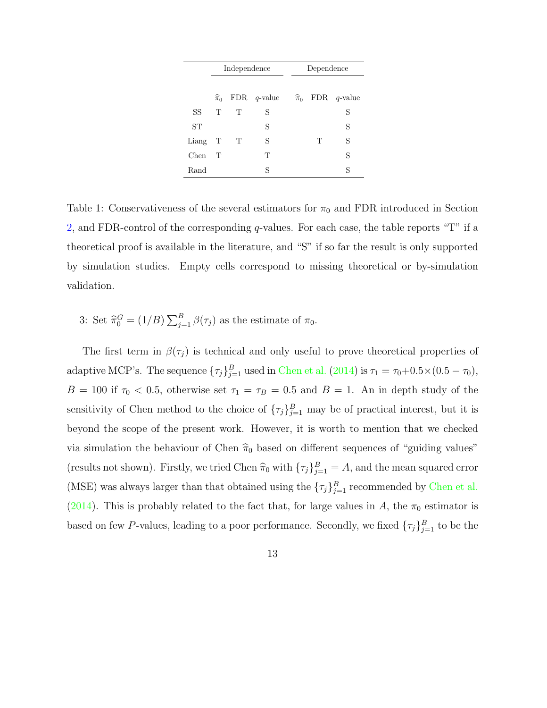|           |                   | Independence |                |  | Dependence |                                       |
|-----------|-------------------|--------------|----------------|--|------------|---------------------------------------|
|           |                   |              |                |  |            |                                       |
|           | $\widehat{\pi}_0$ |              | FDR $q$ -value |  |            | $\widehat{\pi}_0$ FDR <i>q</i> -value |
| SS        | T                 | T            | S              |  |            | S                                     |
| <b>ST</b> |                   |              | S              |  |            | S                                     |
| Liang T   |                   | T            | S              |  | T          | S                                     |
| Chen-     | $\top$            |              | T              |  |            | S                                     |
| Rand      |                   |              | S              |  |            | S                                     |

Table 1: Conservativeness of the several estimators for  $\pi_0$  and FDR introduced in Section 2, and FDR-control of the corresponding  $q$ -values. For each case, the table reports "T" if a theoretical proof is available in the literature, and "S" if so far the result is only supported by simulation studies. Empty cells correspond to missing theoretical or by-simulation validation.

3: Set  $\hat{\pi}_0^G = (1/B) \sum_{j=1}^B \beta(\tau_j)$  as the estimate of  $\pi_0$ .

The first term in  $\beta(\tau_j)$  is technical and only useful to prove theoretical properties of adaptive MCP's. The sequence  $\{\tau_j\}_{j=1}^B$  used in Chen et al. (2014) is  $\tau_1 = \tau_0 + 0.5 \times (0.5 - \tau_0)$ ,  $B = 100$  if  $\tau_0 < 0.5$ , otherwise set  $\tau_1 = \tau_B = 0.5$  and  $B = 1$ . An in depth study of the sensitivity of Chen method to the choice of  ${\{\tau_j\}}_{j=1}^B$  may be of practical interest, but it is beyond the scope of the present work. However, it is worth to mention that we checked via simulation the behaviour of Chen  $\hat{\pi}_0$  based on different sequences of "guiding values" (results not shown). Firstly, we tried Chen  $\hat{\pi}_0$  with  $\{\tau_j\}_{j=1}^B = A$ , and the mean squared error (MSE) was always larger than that obtained using the  $\{\tau_j\}_{j=1}^B$  recommended by Chen et al. (2014). This is probably related to the fact that, for large values in A, the  $\pi_0$  estimator is based on few P-values, leading to a poor performance. Secondly, we fixed  $\{\tau_j\}_{j=1}^B$  to be the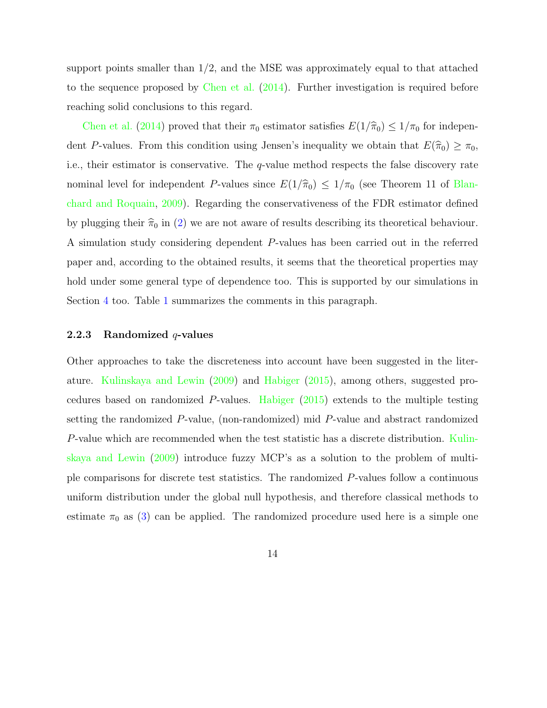support points smaller than  $1/2$ , and the MSE was approximately equal to that attached to the sequence proposed by Chen et al. (2014). Further investigation is required before reaching solid conclusions to this regard.

Chen et al. (2014) proved that their  $\pi_0$  estimator satisfies  $E(1/\hat{\pi}_0) \leq 1/\pi_0$  for independent P-values. From this condition using Jensen's inequality we obtain that  $E(\hat{\pi}_0) \geq \pi_0$ , i.e., their estimator is conservative. The q-value method respects the false discovery rate nominal level for independent P-values since  $E(1/\hat{\pi}_0) \leq 1/\pi_0$  (see Theorem 11 of Blanchard and Roquain, 2009). Regarding the conservativeness of the FDR estimator defined by plugging their  $\hat{\pi}_0$  in (2) we are not aware of results describing its theoretical behaviour. A simulation study considering dependent P-values has been carried out in the referred paper and, according to the obtained results, it seems that the theoretical properties may hold under some general type of dependence too. This is supported by our simulations in Section 4 too. Table 1 summarizes the comments in this paragraph.

### 2.2.3 Randomized  $q$ -values

Other approaches to take the discreteness into account have been suggested in the literature. Kulinskaya and Lewin (2009) and Habiger (2015), among others, suggested procedures based on randomized P-values. Habiger (2015) extends to the multiple testing setting the randomized P-value, (non-randomized) mid P-value and abstract randomized P-value which are recommended when the test statistic has a discrete distribution. Kulinskaya and Lewin (2009) introduce fuzzy MCP's as a solution to the problem of multiple comparisons for discrete test statistics. The randomized P-values follow a continuous uniform distribution under the global null hypothesis, and therefore classical methods to estimate  $\pi_0$  as (3) can be applied. The randomized procedure used here is a simple one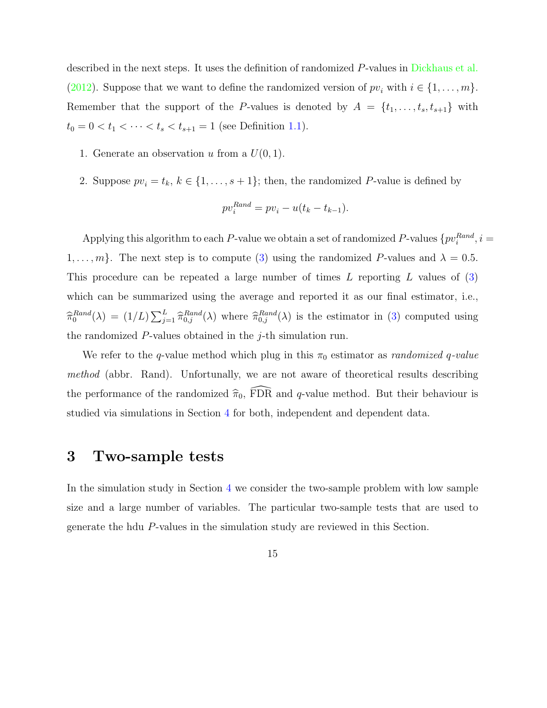described in the next steps. It uses the definition of randomized P-values in Dickhaus et al. (2012). Suppose that we want to define the randomized version of  $pv_i$  with  $i \in \{1, \ldots, m\}$ . Remember that the support of the P-values is denoted by  $A = \{t_1, \ldots, t_s, t_{s+1}\}\$  with  $t_0 = 0 < t_1 < \cdots < t_s < t_{s+1} = 1$  (see Definition 1.1).

- 1. Generate an observation u from a  $U(0, 1)$ .
- 2. Suppose  $pv_i = t_k, k \in \{1, \ldots, s+1\}$ ; then, the randomized P-value is defined by

$$
pv_i^{Rand} = pv_i - u(t_k - t_{k-1}).
$$

Applying this algorithm to each P-value we obtain a set of randomized P-values  $\{pv_i^{Rand}, i =$  $1, \ldots, m$ . The next step is to compute (3) using the randomized P-values and  $\lambda = 0.5$ . This procedure can be repeated a large number of times L reporting L values of (3) which can be summarized using the average and reported it as our final estimator, i.e.,  $\widehat{\pi}_0^{Rand}(\lambda) = (1/L) \sum_{j=1}^L \widehat{\pi}_{0,j}^{Rand}(\lambda)$  where  $\widehat{\pi}_{0,j}^{Rand}(\lambda)$  is the estimator in (3) computed using the randomized P-values obtained in the j-th simulation run.

We refer to the q-value method which plug in this  $\pi_0$  estimator as *randomized q-value* method (abbr. Rand). Unfortunally, we are not aware of theoretical results describing the performance of the randomized  $\hat{\pi}_0$ , FDR and q-value method. But their behaviour is studied via simulations in Section 4 for both, independent and dependent data.

# 3 Two-sample tests

In the simulation study in Section 4 we consider the two-sample problem with low sample size and a large number of variables. The particular two-sample tests that are used to generate the hdu P-values in the simulation study are reviewed in this Section.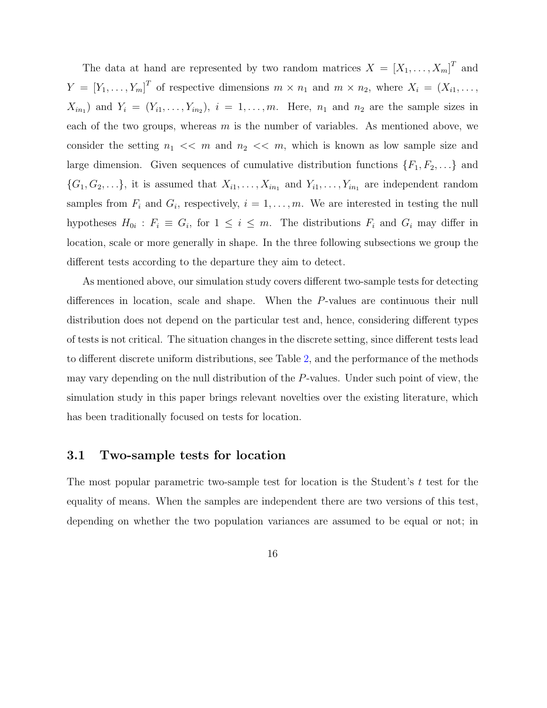The data at hand are represented by two random matrices  $X = [X_1, \ldots, X_m]^T$  and  $Y = [Y_1, \ldots, Y_m]^T$  of respective dimensions  $m \times n_1$  and  $m \times n_2$ , where  $X_i = (X_{i1}, \ldots, X_m]^T$  $X_{in_1}$ ) and  $Y_i = (Y_{i1}, \ldots, Y_{in_2}), i = 1, \ldots, m$ . Here,  $n_1$  and  $n_2$  are the sample sizes in each of the two groups, whereas  $m$  is the number of variables. As mentioned above, we consider the setting  $n_1 \ll m$  and  $n_2 \ll m$ , which is known as low sample size and large dimension. Given sequences of cumulative distribution functions  $\{F_1, F_2, \ldots\}$  and  $\{G_1, G_2, \ldots\}$ , it is assumed that  $X_{i1}, \ldots, X_{in_1}$  and  $Y_{i1}, \ldots, Y_{in_1}$  are independent random samples from  $F_i$  and  $G_i$ , respectively,  $i = 1, \ldots, m$ . We are interested in testing the null hypotheses  $H_{0i}$ :  $F_i \equiv G_i$ , for  $1 \leq i \leq m$ . The distributions  $F_i$  and  $G_i$  may differ in location, scale or more generally in shape. In the three following subsections we group the different tests according to the departure they aim to detect.

As mentioned above, our simulation study covers different two-sample tests for detecting differences in location, scale and shape. When the P-values are continuous their null distribution does not depend on the particular test and, hence, considering different types of tests is not critical. The situation changes in the discrete setting, since different tests lead to different discrete uniform distributions, see Table 2, and the performance of the methods may vary depending on the null distribution of the P-values. Under such point of view, the simulation study in this paper brings relevant novelties over the existing literature, which has been traditionally focused on tests for location.

#### 3.1 Two-sample tests for location

The most popular parametric two-sample test for location is the Student's  $t$  test for the equality of means. When the samples are independent there are two versions of this test, depending on whether the two population variances are assumed to be equal or not; in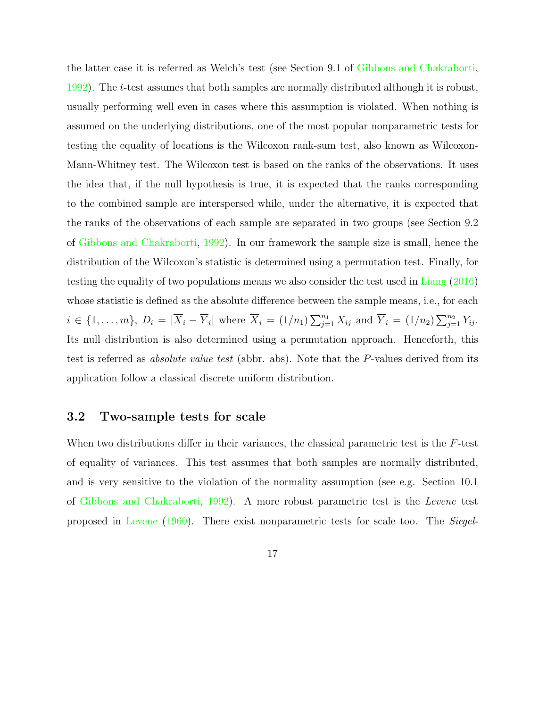the latter case it is referred as Welch's test (see Section 9.1 of Gibbons and Chakraborti, 1992). The t-test assumes that both samples are normally distributed although it is robust, usually performing well even in cases where this assumption is violated. When nothing is assumed on the underlying distributions, one of the most popular nonparametric tests for testing the equality of locations is the Wilcoxon rank-sum test, also known as Wilcoxon-Mann-Whitney test. The Wilcoxon test is based on the ranks of the observations. It uses the idea that, if the null hypothesis is true, it is expected that the ranks corresponding to the combined sample are interspersed while, under the alternative, it is expected that the ranks of the observations of each sample are separated in two groups (see Section 9.2 of Gibbons and Chakraborti, 1992). In our framework the sample size is small, hence the distribution of the Wilcoxon's statistic is determined using a permutation test. Finally, for testing the equality of two populations means we also consider the test used in Liang (2016) whose statistic is defined as the absolute difference between the sample means, i.e., for each  $i \in \{1, ..., m\}, D_i = |\overline{X}_i - \overline{Y}_i|$  where  $\overline{X}_i = (1/n_1) \sum_{j=1}^{n_1} X_{ij}$  and  $\overline{Y}_i = (1/n_2) \sum_{j=1}^{n_2} Y_{ij}$ . Its null distribution is also determined using a permutation approach. Henceforth, this test is referred as absolute value test (abbr. abs). Note that the P-values derived from its application follow a classical discrete uniform distribution.

### 3.2 Two-sample tests for scale

When two distributions differ in their variances, the classical parametric test is the  $F$ -test of equality of variances. This test assumes that both samples are normally distributed, and is very sensitive to the violation of the normality assumption (see e.g. Section 10.1 of Gibbons and Chakraborti, 1992). A more robust parametric test is the Levene test proposed in Levene (1960). There exist nonparametric tests for scale too. The Siegel-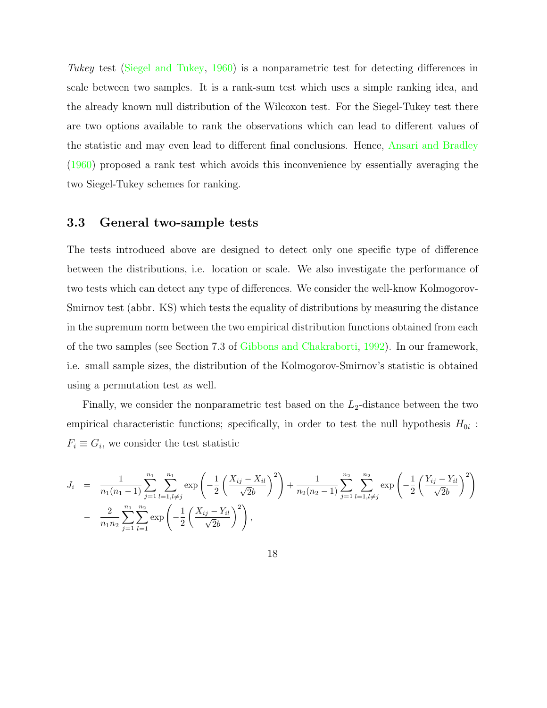Tukey test (Siegel and Tukey, 1960) is a nonparametric test for detecting differences in scale between two samples. It is a rank-sum test which uses a simple ranking idea, and the already known null distribution of the Wilcoxon test. For the Siegel-Tukey test there are two options available to rank the observations which can lead to different values of the statistic and may even lead to different final conclusions. Hence, Ansari and Bradley (1960) proposed a rank test which avoids this inconvenience by essentially averaging the two Siegel-Tukey schemes for ranking.

## 3.3 General two-sample tests

The tests introduced above are designed to detect only one specific type of difference between the distributions, i.e. location or scale. We also investigate the performance of two tests which can detect any type of differences. We consider the well-know Kolmogorov-Smirnov test (abbr. KS) which tests the equality of distributions by measuring the distance in the supremum norm between the two empirical distribution functions obtained from each of the two samples (see Section 7.3 of Gibbons and Chakraborti, 1992). In our framework, i.e. small sample sizes, the distribution of the Kolmogorov-Smirnov's statistic is obtained using a permutation test as well.

Finally, we consider the nonparametric test based on the  $L_2$ -distance between the two empirical characteristic functions; specifically, in order to test the null hypothesis  $H_{0i}$ :  $F_i \equiv G_i$ , we consider the test statistic

$$
J_i = \frac{1}{n_1(n_1 - 1)} \sum_{j=1}^{n_1} \sum_{l=1, l \neq j}^{n_1} \exp\left(-\frac{1}{2} \left(\frac{X_{ij} - X_{il}}{\sqrt{2}b}\right)^2\right) + \frac{1}{n_2(n_2 - 1)} \sum_{j=1}^{n_2} \sum_{l=1, l \neq j}^{n_2} \exp\left(-\frac{1}{2} \left(\frac{Y_{ij} - Y_{il}}{\sqrt{2}b}\right)^2\right) - \frac{2}{n_1 n_2} \sum_{j=1}^{n_1} \sum_{l=1}^{n_2} \exp\left(-\frac{1}{2} \left(\frac{X_{ij} - Y_{il}}{\sqrt{2}b}\right)^2\right),
$$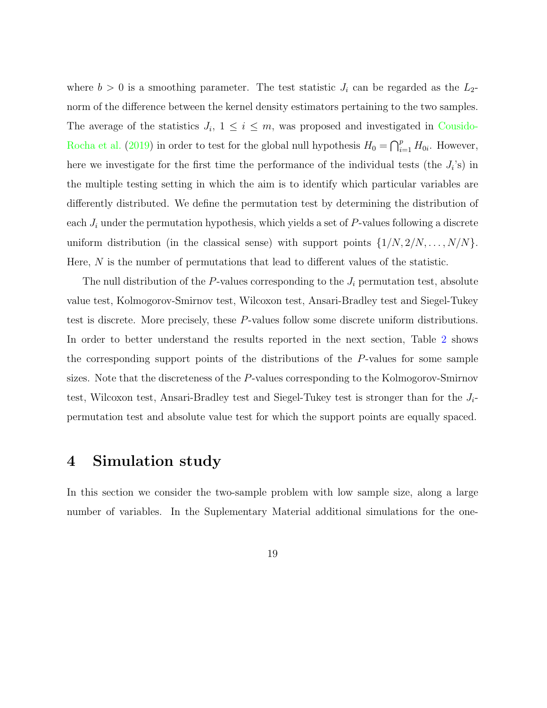where  $b > 0$  is a smoothing parameter. The test statistic  $J_i$  can be regarded as the  $L_2$ norm of the difference between the kernel density estimators pertaining to the two samples. The average of the statistics  $J_i$ ,  $1 \leq i \leq m$ , was proposed and investigated in Cousido-Rocha et al. (2019) in order to test for the global null hypothesis  $H_0 = \bigcap_{i=1}^p H_{0i}$ . However, here we investigate for the first time the performance of the individual tests (the  $J_i$ 's) in the multiple testing setting in which the aim is to identify which particular variables are differently distributed. We define the permutation test by determining the distribution of each  $J_i$  under the permutation hypothesis, which yields a set of P-values following a discrete uniform distribution (in the classical sense) with support points  $\{1/N, 2/N, \ldots, N/N\}$ . Here,  $N$  is the number of permutations that lead to different values of the statistic.

The null distribution of the  $P$ -values corresponding to the  $J_i$  permutation test, absolute value test, Kolmogorov-Smirnov test, Wilcoxon test, Ansari-Bradley test and Siegel-Tukey test is discrete. More precisely, these P-values follow some discrete uniform distributions. In order to better understand the results reported in the next section, Table 2 shows the corresponding support points of the distributions of the P-values for some sample sizes. Note that the discreteness of the P-values corresponding to the Kolmogorov-Smirnov test, Wilcoxon test, Ansari-Bradley test and Siegel-Tukey test is stronger than for the  $J_i$ permutation test and absolute value test for which the support points are equally spaced.

## 4 Simulation study

In this section we consider the two-sample problem with low sample size, along a large number of variables. In the Suplementary Material additional simulations for the one-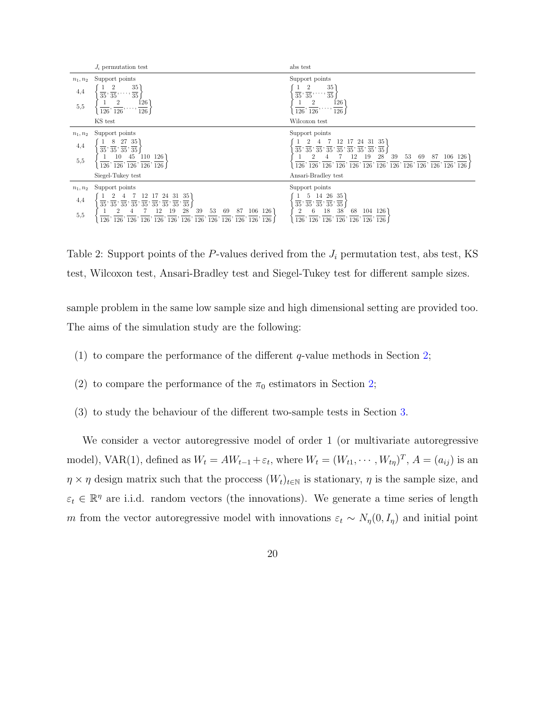|            | $J_i$ permutation test                                                                                                                                                                                                                                                                                                                                                                                                                                                                                              | abs test                                                                                                                                                                                                                                                                                                                                                                                                                                                                                                                 |
|------------|---------------------------------------------------------------------------------------------------------------------------------------------------------------------------------------------------------------------------------------------------------------------------------------------------------------------------------------------------------------------------------------------------------------------------------------------------------------------------------------------------------------------|--------------------------------------------------------------------------------------------------------------------------------------------------------------------------------------------------------------------------------------------------------------------------------------------------------------------------------------------------------------------------------------------------------------------------------------------------------------------------------------------------------------------------|
| $n_1, n_2$ | Support points                                                                                                                                                                                                                                                                                                                                                                                                                                                                                                      | Support points                                                                                                                                                                                                                                                                                                                                                                                                                                                                                                           |
| 4,4        | $\frac{35}{35}$<br>$\overline{35},\overline{35},$                                                                                                                                                                                                                                                                                                                                                                                                                                                                   | 35<br>$\overline{35},\,\overline{35},$<br>$\overline{35}$                                                                                                                                                                                                                                                                                                                                                                                                                                                                |
| 5,5        | $\frac{126}{126}$<br>$\overline{126}$ , $\overline{126}$                                                                                                                                                                                                                                                                                                                                                                                                                                                            | 126<br>$\overline{126}$ , $\overline{126}$<br>126                                                                                                                                                                                                                                                                                                                                                                                                                                                                        |
|            | KS test                                                                                                                                                                                                                                                                                                                                                                                                                                                                                                             | Wilcoxon test                                                                                                                                                                                                                                                                                                                                                                                                                                                                                                            |
| $n_1, n_2$ | Support points                                                                                                                                                                                                                                                                                                                                                                                                                                                                                                      | Support points                                                                                                                                                                                                                                                                                                                                                                                                                                                                                                           |
| 4,4        | 27 35<br>8<br>$\overline{35},\overline{35},\overline{35},\overline{35}$                                                                                                                                                                                                                                                                                                                                                                                                                                             | 24 31 35                                                                                                                                                                                                                                                                                                                                                                                                                                                                                                                 |
| 5,5        | 45<br>110 126<br>$\overline{126}$ , $\overline{126}$ , $\overline{126}$ , $\overline{126}$ , $\overline{126}$ J                                                                                                                                                                                                                                                                                                                                                                                                     | $\left\{\begin{array}{c} \overline{35},\,\overline{35},\,\overline{35},\,\overline{35},\,\overline{35},\,\overline{35},\,\overline{35},\,\overline{35},\,\overline{35},\\ 1 & 2 & 4 & 7 & 12 & 19 & 28 \end{array}\right.$<br>39<br>$106$ 126<br>53<br>-69<br>87<br>$\overline{126}$ , $\overline{126}$ , $\overline{126}$ , $\overline{126}$ , $\overline{126}$ , $\overline{126}$ , $\overline{126}$ , $\overline{126}$ , $\overline{126}$ , $\overline{126}$ , $\overline{126}$ , $\overline{126}$ , $\overline{126}$ |
|            | Siegel-Tukey test                                                                                                                                                                                                                                                                                                                                                                                                                                                                                                   | Ansari-Bradley test                                                                                                                                                                                                                                                                                                                                                                                                                                                                                                      |
| $n_1, n_2$ | Support points                                                                                                                                                                                                                                                                                                                                                                                                                                                                                                      | Support points                                                                                                                                                                                                                                                                                                                                                                                                                                                                                                           |
| 4,4<br>5,5 | 31 35<br>24<br>$\overline{35}$ , $\overline{35}$ , $\overline{35}$ , $\overline{35}$ , $\overline{35}$ , $\overline{35}$ , $\overline{35}$ , $\overline{35}$ , $\overline{35}$ , $\overline{35}$<br>$106\quad126$<br>69<br>87<br>28<br>53<br>12<br>19<br>39<br>$\overline{126}$ , $\overline{126}$ , $\overline{126}$ , $\overline{126}$ , $\overline{126}$ , $\overline{126}$ , $\overline{126}$ , $\overline{126}$ , $\overline{126}$ , $\overline{126}$ , $\overline{126}$ , $\overline{126}$ , $\overline{126}$ | 14 26 35<br>$\overline{35}$ , $\overline{35}$ , $\overline{35}$ , $\overline{35}$ , $\overline{35}$<br>38 <sup>°</sup><br>18<br>68 104 126<br>6<br>$\overline{126}$ , $\overline{126}$ , $\overline{126}$ , $\overline{126}$ , $\overline{126}$ , $\overline{126}$ , $\overline{126}$                                                                                                                                                                                                                                    |
|            |                                                                                                                                                                                                                                                                                                                                                                                                                                                                                                                     |                                                                                                                                                                                                                                                                                                                                                                                                                                                                                                                          |

Table 2: Support points of the P-values derived from the  $J_i$  permutation test, abs test, KS test, Wilcoxon test, Ansari-Bradley test and Siegel-Tukey test for different sample sizes.

sample problem in the same low sample size and high dimensional setting are provided too. The aims of the simulation study are the following:

- (1) to compare the performance of the different  $q$ -value methods in Section 2;
- (2) to compare the performance of the  $\pi_0$  estimators in Section 2;
- (3) to study the behaviour of the different two-sample tests in Section 3.

We consider a vector autoregressive model of order 1 (or multivariate autoregressive model), VAR(1), defined as  $W_t = AW_{t-1} + \varepsilon_t$ , where  $W_t = (W_{t1}, \dots, W_{t\eta})^T$ ,  $A = (a_{ij})$  is an  $\eta \times \eta$  design matrix such that the proccess  $(W_t)_{t \in \mathbb{N}}$  is stationary,  $\eta$  is the sample size, and  $\varepsilon_t \in \mathbb{R}^{\eta}$  are i.i.d. random vectors (the innovations). We generate a time series of length m from the vector autoregressive model with innovations  $\varepsilon_t \sim N_{\eta}(0, I_{\eta})$  and initial point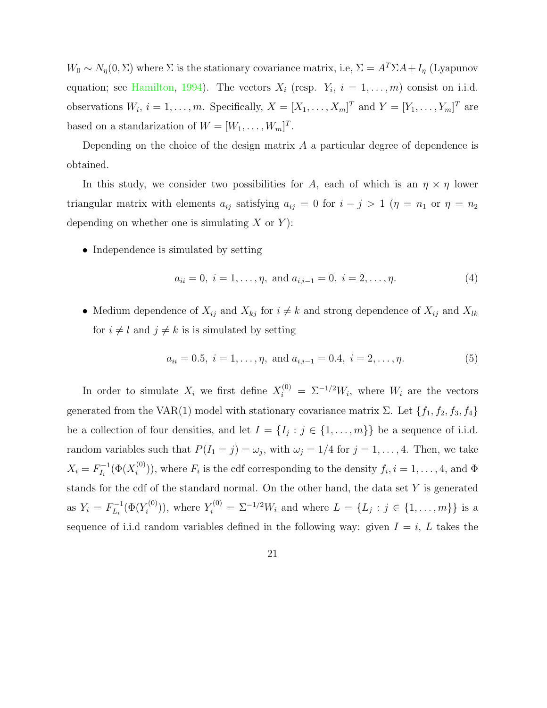$W_0 \sim N_{\eta}(0, \Sigma)$  where  $\Sigma$  is the stationary covariance matrix, i.e,  $\Sigma = A^T \Sigma A + I_{\eta}$  (Lyapunov equation; see Hamilton, 1994). The vectors  $X_i$  (resp.  $Y_i$ ,  $i = 1, ..., m$ ) consist on i.i.d. observations  $W_i$ ,  $i = 1, ..., m$ . Specifically,  $X = [X_1, ..., X_m]^T$  and  $Y = [Y_1, ..., Y_m]^T$  are based on a standarization of  $W = [W_1, \ldots, W_m]^T$ .

Depending on the choice of the design matrix A a particular degree of dependence is obtained.

In this study, we consider two possibilities for A, each of which is an  $\eta \times \eta$  lower triangular matrix with elements  $a_{ij}$  satisfying  $a_{ij} = 0$  for  $i - j > 1$  ( $\eta = n_1$  or  $\eta = n_2$ ) depending on whether one is simulating  $X$  or  $Y$ :

• Independence is simulated by setting

$$
a_{ii} = 0, i = 1, \dots, \eta, \text{ and } a_{i,i-1} = 0, i = 2, \dots, \eta.
$$
 (4)

• Medium dependence of  $X_{ij}$  and  $X_{kj}$  for  $i \neq k$  and strong dependence of  $X_{ij}$  and  $X_{lk}$ for  $i \neq l$  and  $j \neq k$  is is simulated by setting

$$
a_{ii} = 0.5, i = 1, \dots, \eta, \text{ and } a_{i,i-1} = 0.4, i = 2, \dots, \eta.
$$
 (5)

In order to simulate  $X_i$  we first define  $X_i^{(0)} = \Sigma^{-1/2} W_i$ , where  $W_i$  are the vectors generated from the VAR(1) model with stationary covariance matrix  $\Sigma$ . Let  $\{f_1, f_2, f_3, f_4\}$ be a collection of four densities, and let  $I = \{I_j : j \in \{1, ..., m\}\}\$  be a sequence of i.i.d. random variables such that  $P(I_1 = j) = \omega_j$ , with  $\omega_j = 1/4$  for  $j = 1, \ldots, 4$ . Then, we take  $X_i = F_{I_i}^{-1}(\Phi(X_i^{(0)}))$  $\binom{[0]}{i}$ , where  $F_i$  is the cdf corresponding to the density  $f_i, i = 1, \ldots, 4$ , and  $\Phi$ stands for the cdf of the standard normal. On the other hand, the data set Y is generated as  $Y_i = F_{L_i}^{-1}(\Phi(Y_i^{(0)})$  $Y_i^{(0)}$ ), where  $Y_i^{(0)} = \Sigma^{-1/2} W_i$  and where  $L = \{L_j : j \in \{1, ..., m\}\}\$ is a sequence of i.i.d random variables defined in the following way: given  $I = i$ , L takes the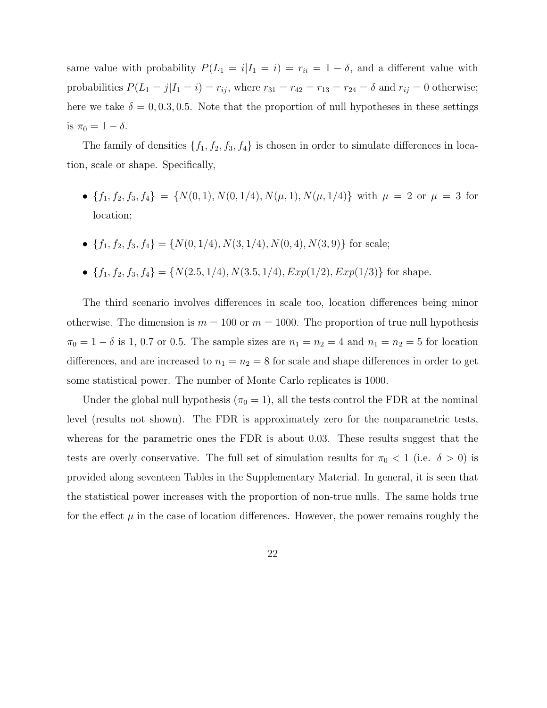same value with probability  $P(L_1 = i | I_1 = i) = r_{ii} = 1 - \delta$ , and a different value with probabilities  $P(L_1 = j | I_1 = i) = r_{ij}$ , where  $r_{31} = r_{42} = r_{13} = r_{24} = \delta$  and  $r_{ij} = 0$  otherwise; here we take  $\delta = 0, 0.3, 0.5$ . Note that the proportion of null hypotheses in these settings is  $\pi_0 = 1 - \delta$ .

The family of densities  $\{f_1, f_2, f_3, f_4\}$  is chosen in order to simulate differences in location, scale or shape. Specifically,

- ${f_1, f_2, f_3, f_4} = {N(0, 1), N(0, 1/4), N(\mu, 1), N(\mu, 1/4)}$  with  $\mu = 2$  or  $\mu = 3$  for location;
- ${f_1, f_2, f_3, f_4} = {N(0, 1/4), N(3, 1/4), N(0, 4), N(3, 9)}$  for scale;
- ${f_1, f_2, f_3, f_4} = {N(2.5, 1/4), N(3.5, 1/4), Exp(1/2), Exp(1/3)}$  for shape.

The third scenario involves differences in scale too, location differences being minor otherwise. The dimension is  $m = 100$  or  $m = 1000$ . The proportion of true null hypothesis  $\pi_0 = 1 - \delta$  is 1, 0.7 or 0.5. The sample sizes are  $n_1 = n_2 = 4$  and  $n_1 = n_2 = 5$  for location differences, and are increased to  $n_1 = n_2 = 8$  for scale and shape differences in order to get some statistical power. The number of Monte Carlo replicates is 1000.

Under the global null hypothesis ( $\pi_0 = 1$ ), all the tests control the FDR at the nominal level (results not shown). The FDR is approximately zero for the nonparametric tests, whereas for the parametric ones the FDR is about 0.03. These results suggest that the tests are overly conservative. The full set of simulation results for  $\pi_0 < 1$  (i.e.  $\delta > 0$ ) is provided along seventeen Tables in the Supplementary Material. In general, it is seen that the statistical power increases with the proportion of non-true nulls. The same holds true for the effect  $\mu$  in the case of location differences. However, the power remains roughly the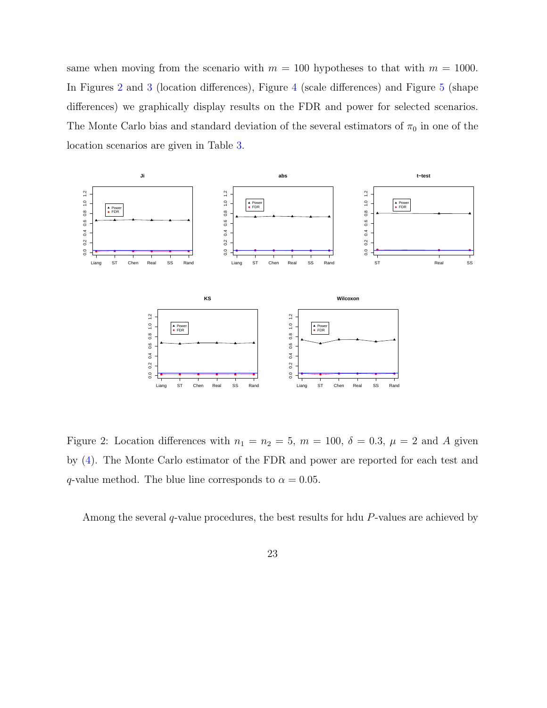same when moving from the scenario with  $m = 100$  hypotheses to that with  $m = 1000$ . In Figures 2 and 3 (location differences), Figure 4 (scale differences) and Figure 5 (shape differences) we graphically display results on the FDR and power for selected scenarios. The Monte Carlo bias and standard deviation of the several estimators of  $\pi_0$  in one of the location scenarios are given in Table 3.



Figure 2: Location differences with  $n_1 = n_2 = 5$ ,  $m = 100$ ,  $\delta = 0.3$ ,  $\mu = 2$  and A given by (4). The Monte Carlo estimator of the FDR and power are reported for each test and q-value method. The blue line corresponds to  $\alpha = 0.05$ .

Among the several  $q$ -value procedures, the best results for hdu  $P$ -values are achieved by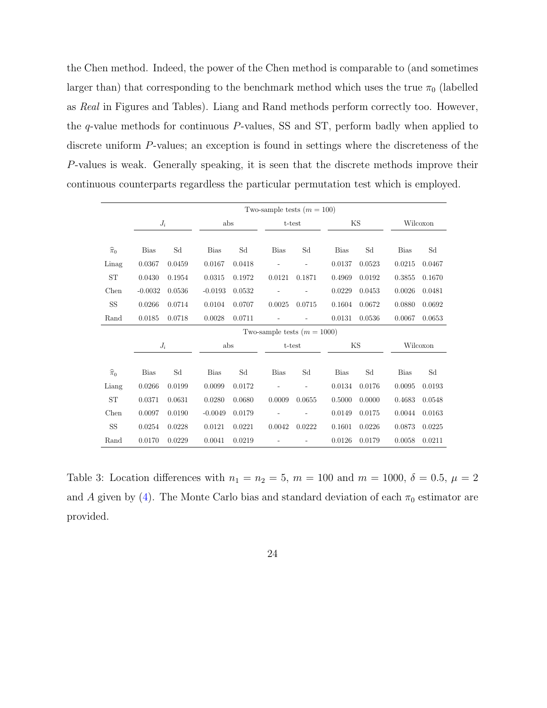the Chen method. Indeed, the power of the Chen method is comparable to (and sometimes larger than) that corresponding to the benchmark method which uses the true  $\pi_0$  (labelled as Real in Figures and Tables). Liang and Rand methods perform correctly too. However, the q-value methods for continuous P-values, SS and ST, perform badly when applied to discrete uniform P-values; an exception is found in settings where the discreteness of the P-values is weak. Generally speaking, it is seen that the discrete methods improve their continuous counterparts regardless the particular permutation test which is employed.

|                   |             |        |             |        | Two-sample tests $(m = 100)$  |        |             |                     |             |          |
|-------------------|-------------|--------|-------------|--------|-------------------------------|--------|-------------|---------------------|-------------|----------|
|                   | $J_i$       |        | abs         |        | t-test                        |        |             | ΚS                  |             | Wilcoxon |
|                   |             |        |             |        |                               |        |             |                     |             |          |
| $\widehat{\pi}_0$ | <b>Bias</b> | Sd     | <b>Bias</b> | Sd     | <b>Bias</b>                   | Sd     | <b>Bias</b> | $\operatorname{Sd}$ | <b>Bias</b> | Sd       |
| Linag             | 0.0367      | 0.0459 | 0.0167      | 0.0418 |                               |        | 0.0137      | 0.0523              | 0.0215      | 0.0467   |
| <b>ST</b>         | 0.0430      | 0.1954 | 0.0315      | 0.1972 | 0.0121                        | 0.1871 | 0.4969      | 0.0192              | 0.3855      | 0.1670   |
| Chen              | $-0.0032$   | 0.0536 | $-0.0193$   | 0.0532 |                               |        | 0.0229      | 0.0453              | 0.0026      | 0.0481   |
| $\rm SS$          | 0.0266      | 0.0714 | 0.0104      | 0.0707 | 0.0025                        | 0.0715 | 0.1604      | 0.0672              | 0.0880      | 0.0692   |
| Rand              | 0.0185      | 0.0718 | 0.0028      | 0.0711 |                               |        | 0.0131      | 0.0536              | 0.0067      | 0.0653   |
|                   |             |        |             |        | Two-sample tests $(m = 1000)$ |        |             |                     |             |          |
|                   | $J_i$       |        | abs         |        |                               | t-test |             | ΚS                  |             | Wilcoxon |
|                   |             |        |             |        |                               |        |             |                     |             |          |
| $\widehat{\pi}_0$ | <b>Bias</b> | Sd     | <b>Bias</b> | Sd     | <b>Bias</b>                   | Sd     | <b>Bias</b> | Sd                  | <b>Bias</b> | Sd       |
| Liang             | 0.0266      | 0.0199 | 0.0099      | 0.0172 |                               |        | 0.0134      | 0.0176              | 0.0095      | 0.0193   |
| <b>ST</b>         | 0.0371      | 0.0631 | 0.0280      | 0.0680 | 0.0009                        | 0.0655 | 0.5000      | 0.0000              | 0.4683      | 0.0548   |
| Chen              | 0.0097      | 0.0190 | $-0.0049$   | 0.0179 |                               |        | 0.0149      | 0.0175              | 0.0044      | 0.0163   |
| <b>SS</b>         | 0.0254      | 0.0228 | 0.0121      | 0.0221 | 0.0042                        | 0.0222 | 0.1601      | 0.0226              | 0.0873      | 0.0225   |
| Rand              | 0.0170      | 0.0229 | 0.0041      | 0.0219 |                               |        | 0.0126      | 0.0179              | 0.0058      | 0.0211   |

Table 3: Location differences with  $n_1 = n_2 = 5$ ,  $m = 100$  and  $m = 1000$ ,  $\delta = 0.5$ ,  $\mu = 2$ and A given by (4). The Monte Carlo bias and standard deviation of each  $\pi_0$  estimator are provided.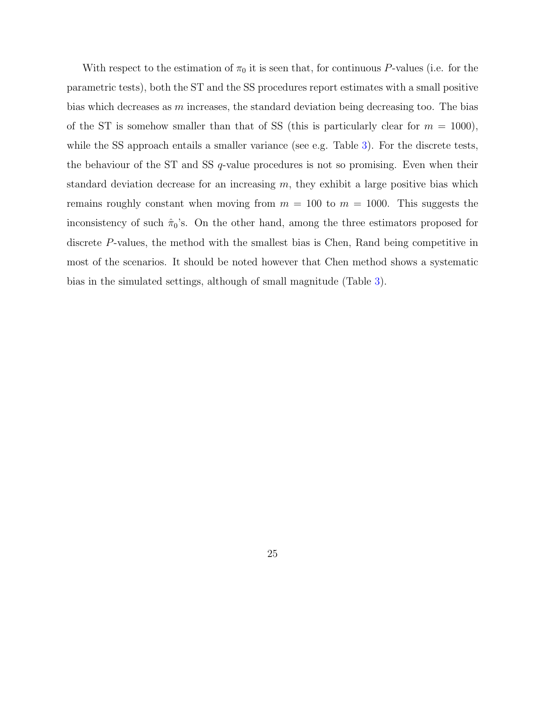With respect to the estimation of  $\pi_0$  it is seen that, for continuous P-values (i.e. for the parametric tests), both the ST and the SS procedures report estimates with a small positive bias which decreases as  $m$  increases, the standard deviation being decreasing too. The bias of the ST is somehow smaller than that of SS (this is particularly clear for  $m = 1000$ ), while the SS approach entails a smaller variance (see e.g. Table 3). For the discrete tests, the behaviour of the ST and SS  $q$ -value procedures is not so promising. Even when their standard deviation decrease for an increasing  $m$ , they exhibit a large positive bias which remains roughly constant when moving from  $m = 100$  to  $m = 1000$ . This suggests the inconsistency of such  $\hat{\pi}_0$ 's. On the other hand, among the three estimators proposed for discrete P-values, the method with the smallest bias is Chen, Rand being competitive in most of the scenarios. It should be noted however that Chen method shows a systematic bias in the simulated settings, although of small magnitude (Table 3).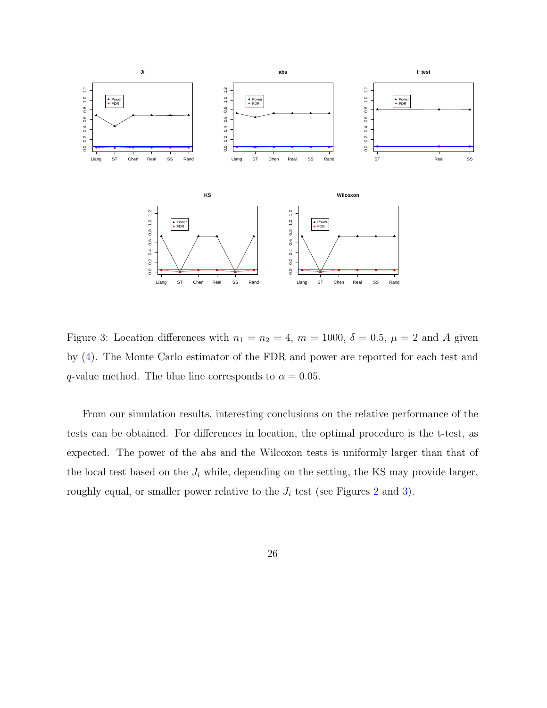

Figure 3: Location differences with  $n_1 = n_2 = 4$ ,  $m = 1000$ ,  $\delta = 0.5$ ,  $\mu = 2$  and A given by (4). The Monte Carlo estimator of the FDR and power are reported for each test and q-value method. The blue line corresponds to  $\alpha = 0.05$ .

From our simulation results, interesting conclusions on the relative performance of the tests can be obtained. For differences in location, the optimal procedure is the t-test, as expected. The power of the abs and the Wilcoxon tests is uniformly larger than that of the local test based on the  $J_i$  while, depending on the setting, the KS may provide larger, roughly equal, or smaller power relative to the  $J_i$  test (see Figures 2 and 3).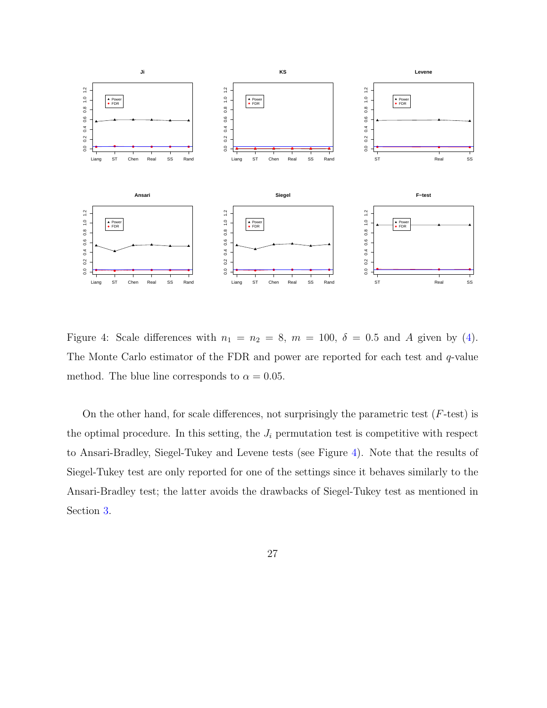

Figure 4: Scale differences with  $n_1 = n_2 = 8$ ,  $m = 100$ ,  $\delta = 0.5$  and A given by (4). The Monte Carlo estimator of the FDR and power are reported for each test and q-value method. The blue line corresponds to  $\alpha = 0.05$ .

On the other hand, for scale differences, not surprisingly the parametric test  $(F$ -test) is the optimal procedure. In this setting, the  $J_i$  permutation test is competitive with respect to Ansari-Bradley, Siegel-Tukey and Levene tests (see Figure 4). Note that the results of Siegel-Tukey test are only reported for one of the settings since it behaves similarly to the Ansari-Bradley test; the latter avoids the drawbacks of Siegel-Tukey test as mentioned in Section 3.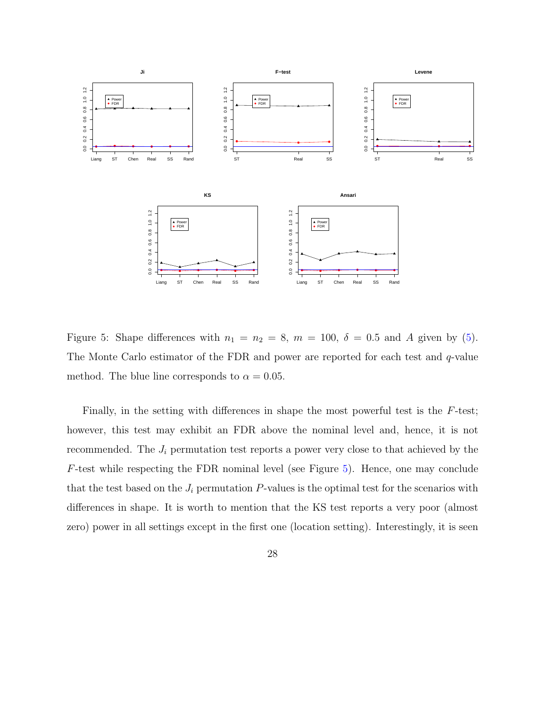

Figure 5: Shape differences with  $n_1 = n_2 = 8$ ,  $m = 100$ ,  $\delta = 0.5$  and A given by (5). The Monte Carlo estimator of the FDR and power are reported for each test and q-value method. The blue line corresponds to  $\alpha = 0.05$ .

Finally, in the setting with differences in shape the most powerful test is the F-test; however, this test may exhibit an FDR above the nominal level and, hence, it is not recommended. The  $J_i$  permutation test reports a power very close to that achieved by the F-test while respecting the FDR nominal level (see Figure 5). Hence, one may conclude that the test based on the  $J_i$  permutation  $P$ -values is the optimal test for the scenarios with differences in shape. It is worth to mention that the KS test reports a very poor (almost zero) power in all settings except in the first one (location setting). Interestingly, it is seen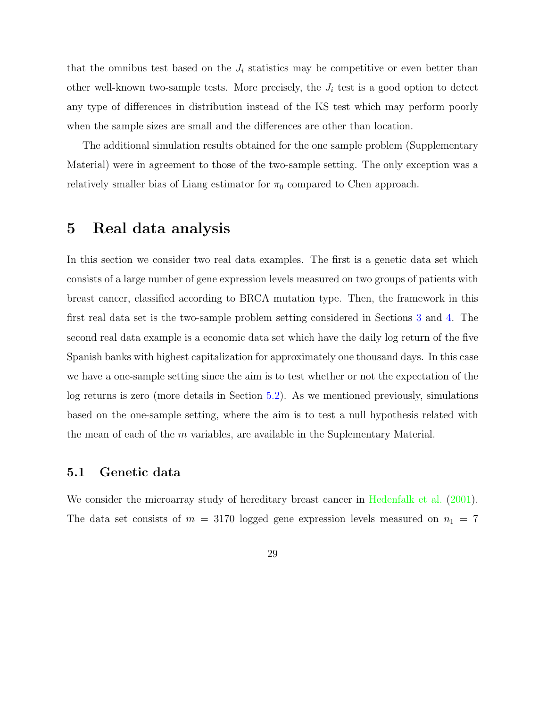that the omnibus test based on the  $J_i$  statistics may be competitive or even better than other well-known two-sample tests. More precisely, the  $J_i$  test is a good option to detect any type of differences in distribution instead of the KS test which may perform poorly when the sample sizes are small and the differences are other than location.

The additional simulation results obtained for the one sample problem (Supplementary Material) were in agreement to those of the two-sample setting. The only exception was a relatively smaller bias of Liang estimator for  $\pi_0$  compared to Chen approach.

# 5 Real data analysis

In this section we consider two real data examples. The first is a genetic data set which consists of a large number of gene expression levels measured on two groups of patients with breast cancer, classified according to BRCA mutation type. Then, the framework in this first real data set is the two-sample problem setting considered in Sections 3 and 4. The second real data example is a economic data set which have the daily log return of the five Spanish banks with highest capitalization for approximately one thousand days. In this case we have a one-sample setting since the aim is to test whether or not the expectation of the log returns is zero (more details in Section 5.2). As we mentioned previously, simulations based on the one-sample setting, where the aim is to test a null hypothesis related with the mean of each of the m variables, are available in the Suplementary Material.

### 5.1 Genetic data

We consider the microarray study of hereditary breast cancer in Hedenfalk et al. (2001). The data set consists of  $m = 3170$  logged gene expression levels measured on  $n_1 = 7$ 

29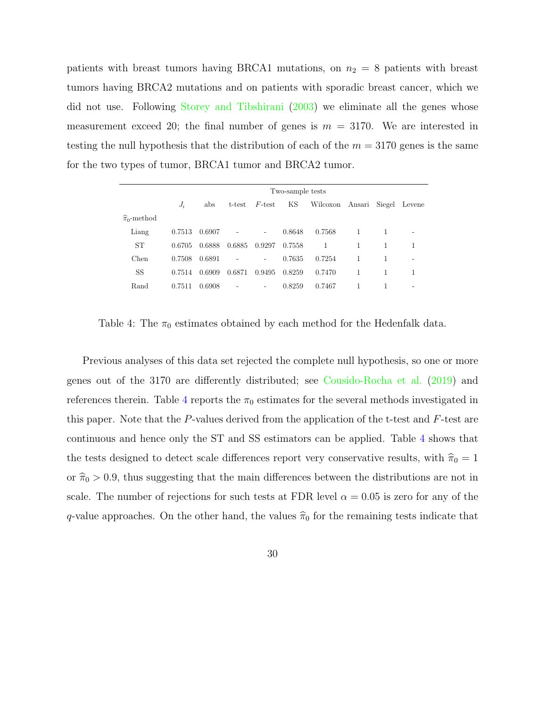patients with breast tumors having BRCA1 mutations, on  $n_2 = 8$  patients with breast tumors having BRCA2 mutations and on patients with sporadic breast cancer, which we did not use. Following Storey and Tibshirani (2003) we eliminate all the genes whose measurement exceed 20; the final number of genes is  $m = 3170$ . We are interested in testing the null hypothesis that the distribution of each of the  $m = 3170$  genes is the same for the two types of tumor, BRCA1 tumor and BRCA2 tumor.

|                           |        |        |        |                          | Two-sample tests |          |        |        |        |
|---------------------------|--------|--------|--------|--------------------------|------------------|----------|--------|--------|--------|
|                           | $J_i$  | abs    | t-test | $F$ -test                | ΚS               | Wilcoxon | Ansari | Siegel | Levene |
| $\widehat{\pi}_0$ -method |        |        |        |                          |                  |          |        |        |        |
| Liang                     | 0.7513 | 0.6907 |        | $\overline{\phantom{a}}$ | 0.8648           | 0.7568   | 1      |        | -      |
| <b>ST</b>                 | 0.6705 | 0.6888 | 0.6885 | 0.9297                   | 0.7558           | 1        | 1      | 1      | 1      |
| Chen                      | 0.7508 | 0.6891 |        | -                        | 0.7635           | 0.7254   |        |        |        |
| SS                        | 0.7514 | 0.6909 | 0.6871 | 0.9495                   | 0.8259           | 0.7470   | 1      |        | 1      |
| Rand                      | 0.7511 | 0.6908 |        | -                        | 0.8259           | 0.7467   |        |        | -      |

Table 4: The  $\pi_0$  estimates obtained by each method for the Hedenfalk data.

Previous analyses of this data set rejected the complete null hypothesis, so one or more genes out of the 3170 are differently distributed; see Cousido-Rocha et al. (2019) and references therein. Table 4 reports the  $\pi_0$  estimates for the several methods investigated in this paper. Note that the  $P$ -values derived from the application of the t-test and  $F$ -test are continuous and hence only the ST and SS estimators can be applied. Table 4 shows that the tests designed to detect scale differences report very conservative results, with  $\hat{\pi}_0 = 1$ or  $\hat{\pi}_0 > 0.9$ , thus suggesting that the main differences between the distributions are not in scale. The number of rejections for such tests at FDR level  $\alpha = 0.05$  is zero for any of the q-value approaches. On the other hand, the values  $\hat{\pi}_0$  for the remaining tests indicate that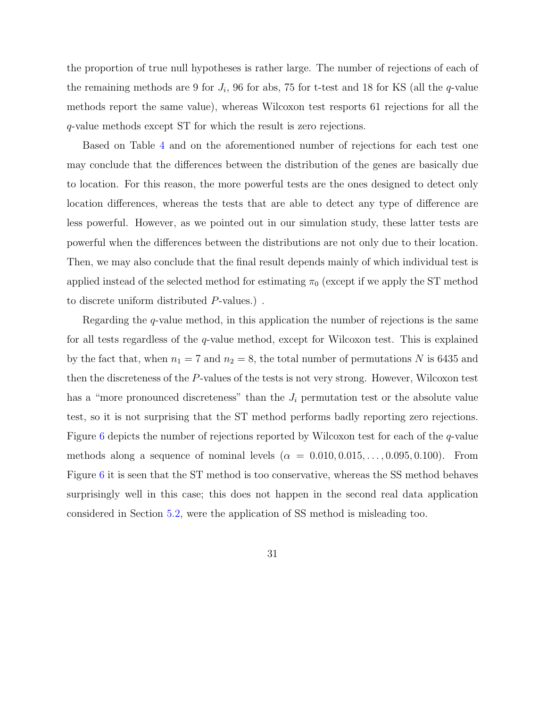the proportion of true null hypotheses is rather large. The number of rejections of each of the remaining methods are 9 for  $J_i$ , 96 for abs, 75 for t-test and 18 for KS (all the *q*-value methods report the same value), whereas Wilcoxon test resports 61 rejections for all the q-value methods except ST for which the result is zero rejections.

Based on Table 4 and on the aforementioned number of rejections for each test one may conclude that the differences between the distribution of the genes are basically due to location. For this reason, the more powerful tests are the ones designed to detect only location differences, whereas the tests that are able to detect any type of difference are less powerful. However, as we pointed out in our simulation study, these latter tests are powerful when the differences between the distributions are not only due to their location. Then, we may also conclude that the final result depends mainly of which individual test is applied instead of the selected method for estimating  $\pi_0$  (except if we apply the ST method to discrete uniform distributed P-values.) .

Regarding the q-value method, in this application the number of rejections is the same for all tests regardless of the q-value method, except for Wilcoxon test. This is explained by the fact that, when  $n_1 = 7$  and  $n_2 = 8$ , the total number of permutations N is 6435 and then the discreteness of the P-values of the tests is not very strong. However, Wilcoxon test has a "more pronounced discreteness" than the  $J_i$  permutation test or the absolute value test, so it is not surprising that the ST method performs badly reporting zero rejections. Figure 6 depicts the number of rejections reported by Wilcoxon test for each of the q-value methods along a sequence of nominal levels  $(\alpha = 0.010, 0.015, \ldots, 0.095, 0.100)$ . From Figure 6 it is seen that the ST method is too conservative, whereas the SS method behaves surprisingly well in this case; this does not happen in the second real data application considered in Section 5.2, were the application of SS method is misleading too.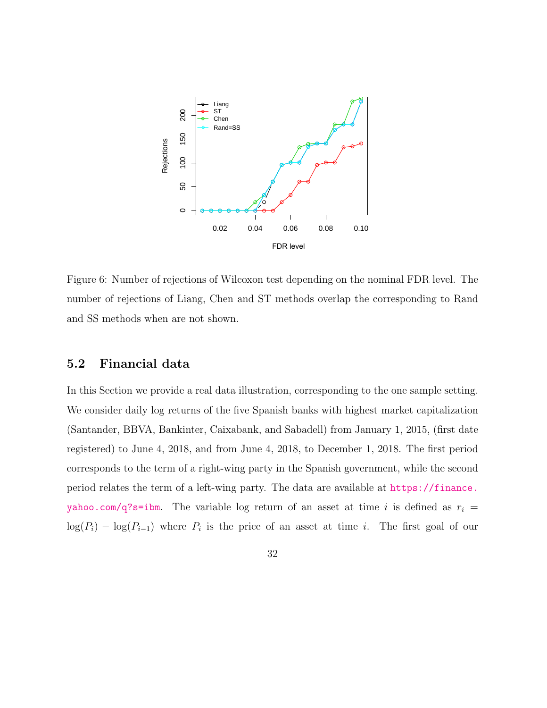

Figure 6: Number of rejections of Wilcoxon test depending on the nominal FDR level. The number of rejections of Liang, Chen and ST methods overlap the corresponding to Rand and SS methods when are not shown.

## 5.2 Financial data

In this Section we provide a real data illustration, corresponding to the one sample setting. We consider daily log returns of the five Spanish banks with highest market capitalization (Santander, BBVA, Bankinter, Caixabank, and Sabadell) from January 1, 2015, (first date registered) to June 4, 2018, and from June 4, 2018, to December 1, 2018. The first period corresponds to the term of a right-wing party in the Spanish government, while the second period relates the term of a left-wing party. The data are available at https://finance. yahoo.com/q?s=ibm. The variable log return of an asset at time i is defined as  $r_i$  =  $log(P_i) - log(P_{i-1})$  where  $P_i$  is the price of an asset at time i. The first goal of our

32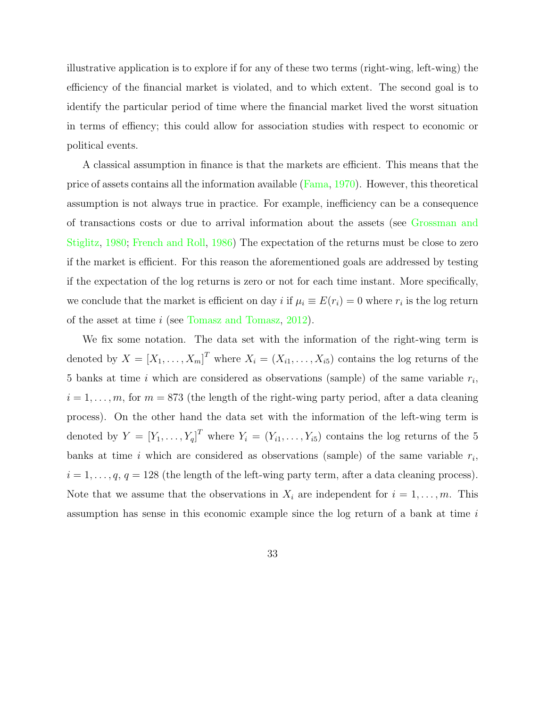illustrative application is to explore if for any of these two terms (right-wing, left-wing) the efficiency of the financial market is violated, and to which extent. The second goal is to identify the particular period of time where the financial market lived the worst situation in terms of effiency; this could allow for association studies with respect to economic or political events.

A classical assumption in finance is that the markets are efficient. This means that the price of assets contains all the information available (Fama, 1970). However, this theoretical assumption is not always true in practice. For example, inefficiency can be a consequence of transactions costs or due to arrival information about the assets (see Grossman and Stiglitz, 1980; French and Roll, 1986) The expectation of the returns must be close to zero if the market is efficient. For this reason the aforementioned goals are addressed by testing if the expectation of the log returns is zero or not for each time instant. More specifically, we conclude that the market is efficient on day  $i$  if  $\mu_i \equiv E(r_i) = 0$  where  $r_i$  is the log return of the asset at time i (see Tomasz and Tomasz, 2012).

We fix some notation. The data set with the information of the right-wing term is denoted by  $X = [X_1, \ldots, X_m]^T$  where  $X_i = (X_{i1}, \ldots, X_{i5})$  contains the log returns of the 5 banks at time i which are considered as observations (sample) of the same variable  $r_i$ ,  $i = 1, \ldots, m$ , for  $m = 873$  (the length of the right-wing party period, after a data cleaning process). On the other hand the data set with the information of the left-wing term is denoted by  $Y = [Y_1, \ldots, Y_q]^T$  where  $Y_i = (Y_{i1}, \ldots, Y_{i5})$  contains the log returns of the 5 banks at time i which are considered as observations (sample) of the same variable  $r_i$ ,  $i = 1, \ldots, q, q = 128$  (the length of the left-wing party term, after a data cleaning process). Note that we assume that the observations in  $X_i$  are independent for  $i = 1, \ldots, m$ . This assumption has sense in this economic example since the log return of a bank at time i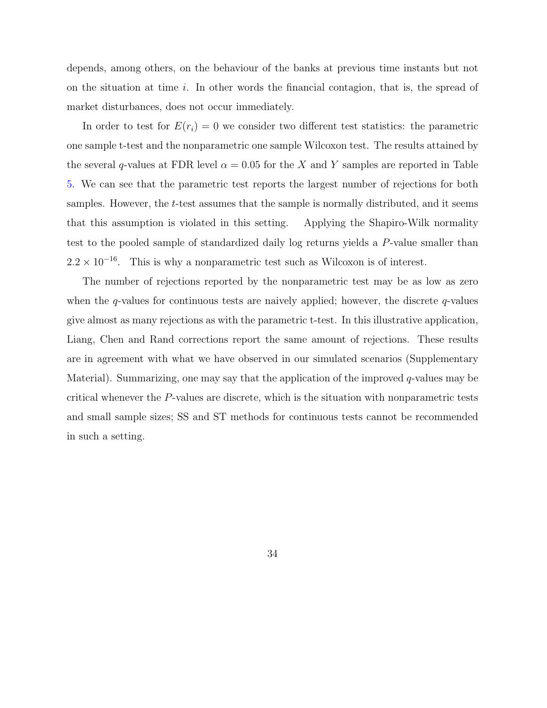depends, among others, on the behaviour of the banks at previous time instants but not on the situation at time i. In other words the financial contagion, that is, the spread of market disturbances, does not occur immediately.

In order to test for  $E(r_i) = 0$  we consider two different test statistics: the parametric one sample t-test and the nonparametric one sample Wilcoxon test. The results attained by the several q-values at FDR level  $\alpha = 0.05$  for the X and Y samples are reported in Table 5. We can see that the parametric test reports the largest number of rejections for both samples. However, the t-test assumes that the sample is normally distributed, and it seems that this assumption is violated in this setting. Applying the Shapiro-Wilk normality test to the pooled sample of standardized daily log returns yields a P-value smaller than  $2.2 \times 10^{-16}$ . This is why a nonparametric test such as Wilcoxon is of interest.

The number of rejections reported by the nonparametric test may be as low as zero when the  $q$ -values for continuous tests are naively applied; however, the discrete  $q$ -values give almost as many rejections as with the parametric t-test. In this illustrative application, Liang, Chen and Rand corrections report the same amount of rejections. These results are in agreement with what we have observed in our simulated scenarios (Supplementary Material). Summarizing, one may say that the application of the improved  $q$ -values may be critical whenever the P-values are discrete, which is the situation with nonparametric tests and small sample sizes; SS and ST methods for continuous tests cannot be recommended in such a setting.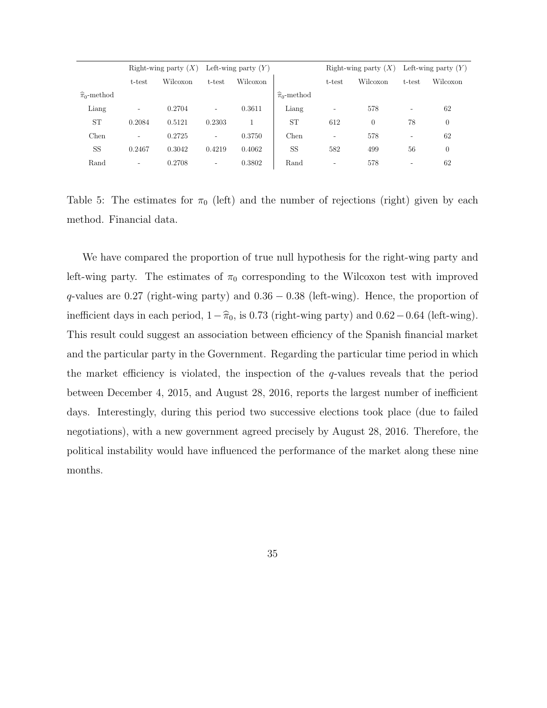|                           |                          | Right-wing party $(X)$ |                          | Left-wing party $(Y)$ |                           |                          | Right-wing party $(X)$ |                          | Left-wing party $(Y)$ |
|---------------------------|--------------------------|------------------------|--------------------------|-----------------------|---------------------------|--------------------------|------------------------|--------------------------|-----------------------|
|                           | t-test                   | Wilcoxon               | t-test                   | Wilcoxon              |                           | t-test                   | Wilcoxon               | t-test                   | Wilcoxon              |
| $\widehat{\pi}_0$ -method |                          |                        |                          |                       | $\widehat{\pi}_0$ -method |                          |                        |                          |                       |
| Liang                     | ۰                        | 0.2704                 | $\overline{\phantom{0}}$ | 0.3611                | Liang                     |                          | 578                    | Ξ.                       | 62                    |
| <b>ST</b>                 | 0.2084                   | 0.5121                 | 0.2303                   |                       | <b>ST</b>                 | 612                      | $\theta$               | 78                       | $\theta$              |
| Chen                      | ۰                        | 0.2725                 | $\overline{\phantom{a}}$ | 0.3750                | Chen                      | $\overline{\phantom{0}}$ | 578                    |                          | 62                    |
| <b>SS</b>                 | 0.2467                   | 0.3042                 | 0.4219                   | 0.4062                | <b>SS</b>                 | 582                      | 499                    | 56                       | $\boldsymbol{0}$      |
| Rand                      | $\overline{\phantom{a}}$ | 0.2708                 | ۰                        | 0.3802                | Rand                      | $\overline{\phantom{0}}$ | 578                    | $\overline{\phantom{a}}$ | 62                    |

Table 5: The estimates for  $\pi_0$  (left) and the number of rejections (right) given by each method. Financial data.

We have compared the proportion of true null hypothesis for the right-wing party and left-wing party. The estimates of  $\pi_0$  corresponding to the Wilcoxon test with improved  $q$ -values are 0.27 (right-wing party) and  $0.36 - 0.38$  (left-wing). Hence, the proportion of inefficient days in each period,  $1-\hat{\pi}_0$ , is 0.73 (right-wing party) and 0.62−0.64 (left-wing). This result could suggest an association between efficiency of the Spanish financial market and the particular party in the Government. Regarding the particular time period in which the market efficiency is violated, the inspection of the q-values reveals that the period between December 4, 2015, and August 28, 2016, reports the largest number of inefficient days. Interestingly, during this period two successive elections took place (due to failed negotiations), with a new government agreed precisely by August 28, 2016. Therefore, the political instability would have influenced the performance of the market along these nine months.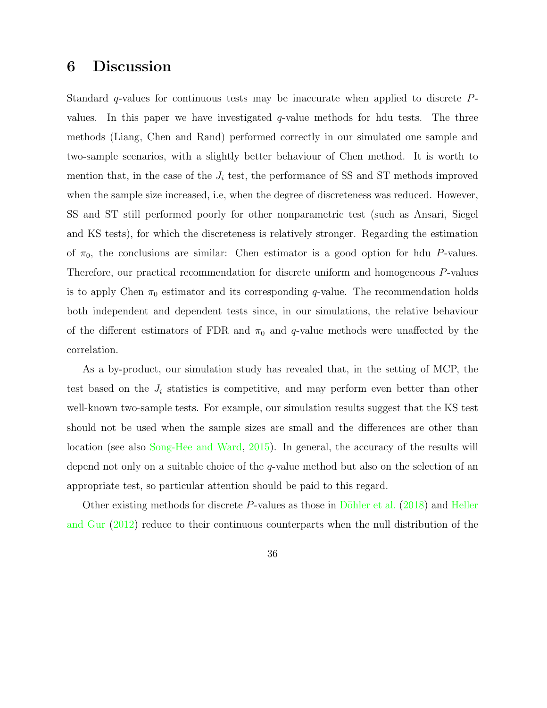# 6 Discussion

Standard  $q$ -values for continuous tests may be inaccurate when applied to discrete  $P$ values. In this paper we have investigated  $q$ -value methods for hdu tests. The three methods (Liang, Chen and Rand) performed correctly in our simulated one sample and two-sample scenarios, with a slightly better behaviour of Chen method. It is worth to mention that, in the case of the  $J_i$  test, the performance of SS and ST methods improved when the sample size increased, i.e, when the degree of discreteness was reduced. However, SS and ST still performed poorly for other nonparametric test (such as Ansari, Siegel and KS tests), for which the discreteness is relatively stronger. Regarding the estimation of  $\pi_0$ , the conclusions are similar: Chen estimator is a good option for hdu P-values. Therefore, our practical recommendation for discrete uniform and homogeneous P-values is to apply Chen  $\pi_0$  estimator and its corresponding q-value. The recommendation holds both independent and dependent tests since, in our simulations, the relative behaviour of the different estimators of FDR and  $\pi_0$  and q-value methods were unaffected by the correlation.

As a by-product, our simulation study has revealed that, in the setting of MCP, the test based on the  $J_i$  statistics is competitive, and may perform even better than other well-known two-sample tests. For example, our simulation results suggest that the KS test should not be used when the sample sizes are small and the differences are other than location (see also Song-Hee and Ward, 2015). In general, the accuracy of the results will depend not only on a suitable choice of the q-value method but also on the selection of an appropriate test, so particular attention should be paid to this regard.

Other existing methods for discrete P-values as those in Döhler et al.  $(2018)$  and Heller and Gur (2012) reduce to their continuous counterparts when the null distribution of the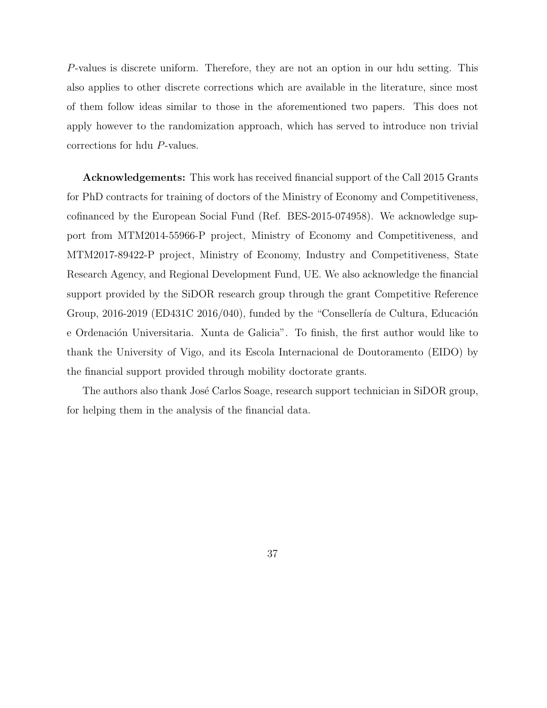P-values is discrete uniform. Therefore, they are not an option in our hdu setting. This also applies to other discrete corrections which are available in the literature, since most of them follow ideas similar to those in the aforementioned two papers. This does not apply however to the randomization approach, which has served to introduce non trivial corrections for hdu P-values.

Acknowledgements: This work has received financial support of the Call 2015 Grants for PhD contracts for training of doctors of the Ministry of Economy and Competitiveness, cofinanced by the European Social Fund (Ref. BES-2015-074958). We acknowledge support from MTM2014-55966-P project, Ministry of Economy and Competitiveness, and MTM2017-89422-P project, Ministry of Economy, Industry and Competitiveness, State Research Agency, and Regional Development Fund, UE. We also acknowledge the financial support provided by the SiDOR research group through the grant Competitive Reference Group,  $2016-2019$  (ED431C  $2016/040$ ), funded by the "Consellería de Cultura, Educación e Ordenación Universitaria. Xunta de Galicia". To finish, the first author would like to thank the University of Vigo, and its Escola Internacional de Doutoramento (EIDO) by the financial support provided through mobility doctorate grants.

The authors also thank José Carlos Soage, research support technician in SiDOR group, for helping them in the analysis of the financial data.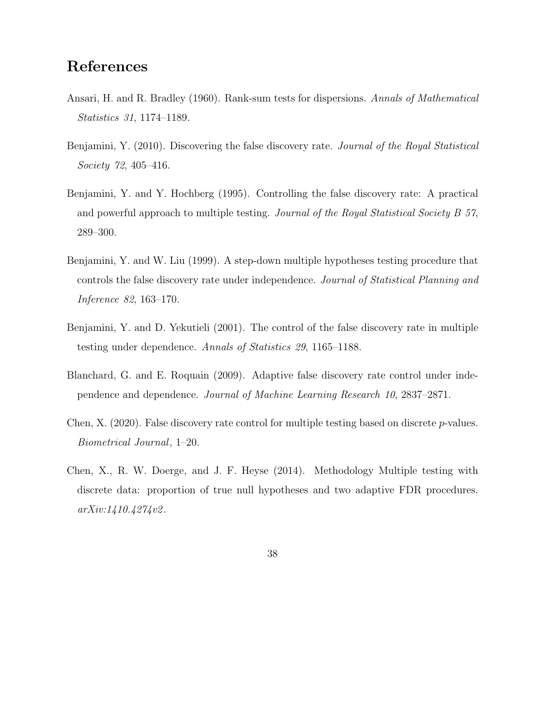# References

- Ansari, H. and R. Bradley (1960). Rank-sum tests for dispersions. Annals of Mathematical Statistics 31, 1174–1189.
- Benjamini, Y. (2010). Discovering the false discovery rate. Journal of the Royal Statistical Society 72, 405–416.
- Benjamini, Y. and Y. Hochberg (1995). Controlling the false discovery rate: A practical and powerful approach to multiple testing. Journal of the Royal Statistical Society B 57, 289–300.
- Benjamini, Y. and W. Liu (1999). A step-down multiple hypotheses testing procedure that controls the false discovery rate under independence. Journal of Statistical Planning and Inference 82, 163–170.
- Benjamini, Y. and D. Yekutieli (2001). The control of the false discovery rate in multiple testing under dependence. Annals of Statistics 29, 1165–1188.
- Blanchard, G. and E. Roquain (2009). Adaptive false discovery rate control under independence and dependence. Journal of Machine Learning Research 10, 2837–2871.
- Chen, X. (2020). False discovery rate control for multiple testing based on discrete p-values. Biometrical Journal, 1–20.
- Chen, X., R. W. Doerge, and J. F. Heyse (2014). Methodology Multiple testing with discrete data: proportion of true null hypotheses and two adaptive FDR procedures. arXiv:1410.4274v2 .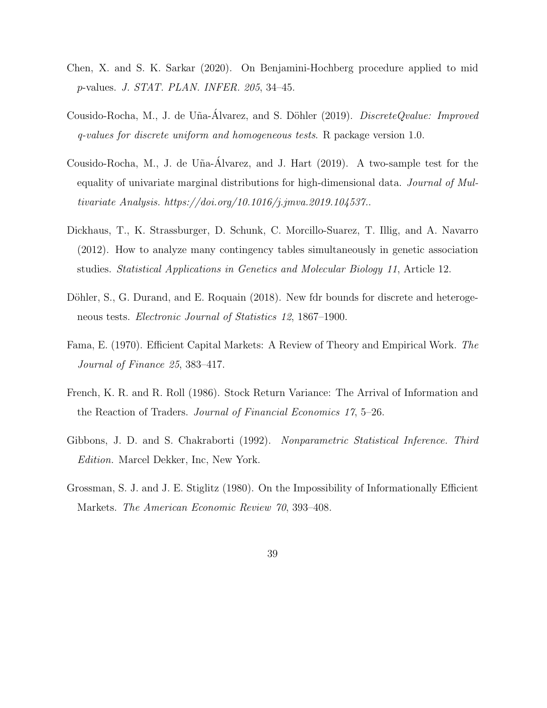- Chen, X. and S. K. Sarkar (2020). On Benjamini-Hochberg procedure applied to mid p-values. J. STAT. PLAN. INFER. 205, 34–45.
- Cousido-Rocha, M., J. de Uña-Álvarez, and S. Döhler (2019). *DiscreteQvalue: Improved* q-values for discrete uniform and homogeneous tests. R package version 1.0.
- Cousido-Rocha, M., J. de Uña-Álvarez, and J. Hart (2019). A two-sample test for the equality of univariate marginal distributions for high-dimensional data. Journal of Multivariate Analysis. https://doi.org/10.1016/j.jmva.2019.104537..
- Dickhaus, T., K. Strassburger, D. Schunk, C. Morcillo-Suarez, T. Illig, and A. Navarro (2012). How to analyze many contingency tables simultaneously in genetic association studies. Statistical Applications in Genetics and Molecular Biology 11, Article 12.
- Döhler, S., G. Durand, and E. Roquain (2018). New fdr bounds for discrete and heterogeneous tests. Electronic Journal of Statistics 12, 1867–1900.
- Fama, E. (1970). Efficient Capital Markets: A Review of Theory and Empirical Work. The Journal of Finance 25, 383–417.
- French, K. R. and R. Roll (1986). Stock Return Variance: The Arrival of Information and the Reaction of Traders. Journal of Financial Economics 17, 5–26.
- Gibbons, J. D. and S. Chakraborti (1992). Nonparametric Statistical Inference. Third Edition. Marcel Dekker, Inc, New York.
- Grossman, S. J. and J. E. Stiglitz (1980). On the Impossibility of Informationally Efficient Markets. The American Economic Review 70, 393–408.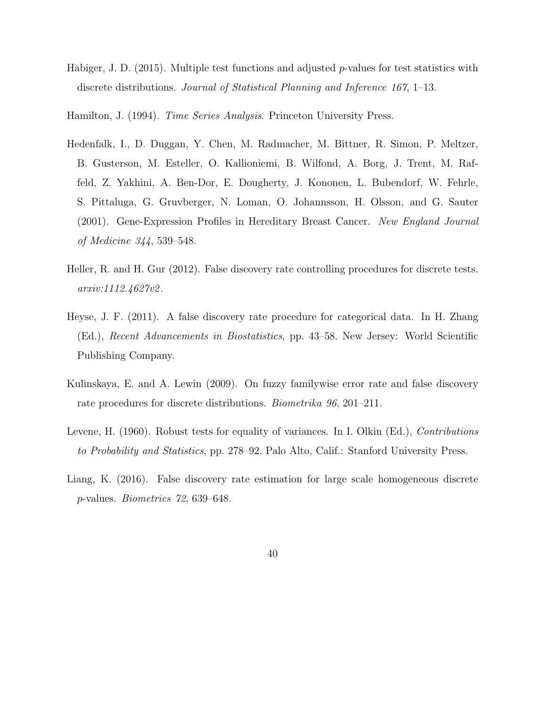- Habiger, J. D. (2015). Multiple test functions and adjusted  $p$ -values for test statistics with discrete distributions. Journal of Statistical Planning and Inference 167, 1–13.
- Hamilton, J. (1994). *Time Series Analysis*. Princeton University Press.
- Hedenfalk, I., D. Duggan, Y. Chen, M. Radmacher, M. Bittner, R. Simon, P. Meltzer, B. Gusterson, M. Esteller, O. Kallioniemi, B. Wilfond, A. Borg, J. Trent, M. Raffeld, Z. Yakhini, A. Ben-Dor, E. Dougherty, J. Kononen, L. Bubendorf, W. Fehrle, S. Pittaluga, G. Gruvberger, N. Loman, O. Johannsson, H. Olsson, and G. Sauter (2001). Gene-Expression Profiles in Hereditary Breast Cancer. New England Journal of Medicine 344, 539–548.
- Heller, R. and H. Gur (2012). False discovery rate controlling procedures for discrete tests. arxiv:1112.4627v2 .
- Heyse, J. F. (2011). A false discovery rate procedure for categorical data. In H. Zhang (Ed.), Recent Advancements in Biostatistics, pp. 43–58. New Jersey: World Scientific Publishing Company.
- Kulinskaya, E. and A. Lewin (2009). On fuzzy familywise error rate and false discovery rate procedures for discrete distributions. Biometrika 96, 201–211.
- Levene, H. (1960). Robust tests for equality of variances. In I. Olkin (Ed.), Contributions to Probability and Statistics, pp. 278–92. Palo Alto, Calif.: Stanford University Press.
- Liang, K. (2016). False discovery rate estimation for large scale homogeneous discrete p-values. Biometrics 72, 639–648.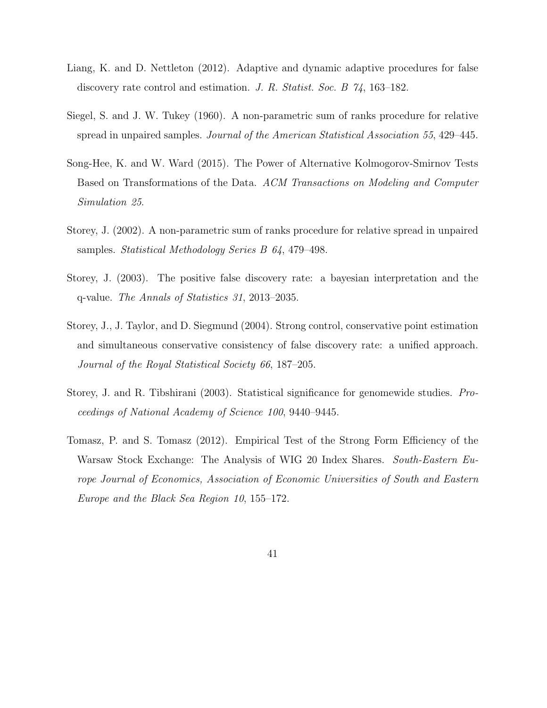- Liang, K. and D. Nettleton (2012). Adaptive and dynamic adaptive procedures for false discovery rate control and estimation. J. R. Statist. Soc. B 74, 163–182.
- Siegel, S. and J. W. Tukey (1960). A non-parametric sum of ranks procedure for relative spread in unpaired samples. Journal of the American Statistical Association 55, 429–445.
- Song-Hee, K. and W. Ward (2015). The Power of Alternative Kolmogorov-Smirnov Tests Based on Transformations of the Data. ACM Transactions on Modeling and Computer Simulation 25.
- Storey, J. (2002). A non-parametric sum of ranks procedure for relative spread in unpaired samples. Statistical Methodology Series B 64, 479–498.
- Storey, J. (2003). The positive false discovery rate: a bayesian interpretation and the q-value. The Annals of Statistics 31, 2013–2035.
- Storey, J., J. Taylor, and D. Siegmund (2004). Strong control, conservative point estimation and simultaneous conservative consistency of false discovery rate: a unified approach. Journal of the Royal Statistical Society 66, 187–205.
- Storey, J. and R. Tibshirani (2003). Statistical significance for genomewide studies. Proceedings of National Academy of Science 100, 9440–9445.
- Tomasz, P. and S. Tomasz (2012). Empirical Test of the Strong Form Efficiency of the Warsaw Stock Exchange: The Analysis of WIG 20 Index Shares. South-Eastern Europe Journal of Economics, Association of Economic Universities of South and Eastern Europe and the Black Sea Region 10, 155–172.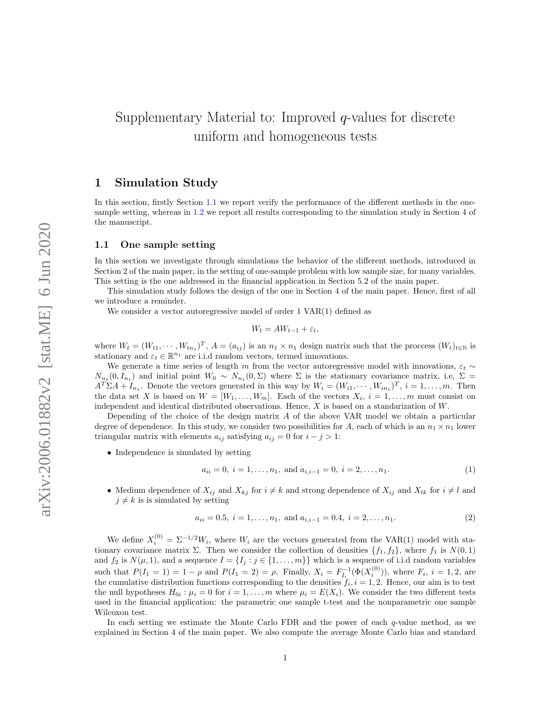# Supplementary Material to: Improved q-values for discrete uniform and homogeneous tests

### 1 Simulation Study

In this section, firstly Section 1.1 we report verify the performance of the different methods in the onesample setting, whereas in 1.2 we report all results corresponding to the simulation study in Section 4 of the manuscript.

#### 1.1 One sample setting

In this section we investigate through simulations the behavior of the different methods, introduced in Section 2 of the main paper, in the setting of one-sample problem with low sample size, for many variables. This setting is the one addressed in the financial application in Section 5.2 of the main paper.

This simulation study follows the design of the one in Section 4 of the main paper. Hence, first of all we introduce a reminder.

We consider a vector autoregressive model of order  $1 \text{ VAR}(1)$  defined as

$$
W_t = AW_{t-1} + \varepsilon_t,
$$

where  $W_t = (W_{t1}, \dots, W_{tn_1})^T$ ,  $A = (a_{ij})$  is an  $n_1 \times n_1$  design matrix such that the process  $(W_t)_{t \in \mathbb{N}}$  is stationary and  $\varepsilon_t \in \mathbb{R}^{n_1}$  are i.i.d random vectors, termed innovations.

We generate a time series of length m from the vector autoregressive model with innovations,  $\varepsilon_t \sim$  $N_{n_1}(0, I_{n_1})$  and initial point  $W_0 \sim N_{n_1}(0, \Sigma)$  where  $\Sigma$  is the stationary covariance matrix, i.e,  $\Sigma =$  $A^T \Sigma A + I_{n_1}$ . Denote the vectors generated in this way by  $W_i = (W_{i1}, \dots, W_{in_1})^T$ ,  $i = 1, \dots, m$ . Then the data set X is based on  $W = [W_1, \ldots, W_m]$ . Each of the vectors  $X_i$ ,  $i = 1, \ldots, m$  must consist on independent and identical distributed observations. Hence, X is based on a standarization of W.

Depending of the choice of the design matrix  $A$  of the above VAR model we obtain a particular degree of dependence. In this study, we consider two possibilities for A, each of which is an  $n_1 \times n_1$  lower triangular matrix with elements  $a_{ij}$  satisfying  $a_{ij} = 0$  for  $i - j > 1$ :

• Independence is simulated by setting

$$
a_{ii} = 0, i = 1, ..., n_1, \text{ and } a_{i,i-1} = 0, i = 2, ..., n_1.
$$
 (1)

• Medium dependence of  $X_{ij}$  and  $X_{kj}$  for  $i \neq k$  and strong dependence of  $X_{ij}$  and  $X_{lk}$  for  $i \neq l$  and  $j \neq k$  is is simulated by setting

$$
a_{ii} = 0.5, i = 1, ..., n_1, \text{ and } a_{i,i-1} = 0.4, i = 2, ..., n_1.
$$
 (2)

We define  $X_i^{(0)} = \Sigma^{-1/2} W_i$ , where  $W_i$  are the vectors generated from the VAR(1) model with stationary covariance matrix  $\Sigma$ . Then we consider the collection of densities  $\{f_1, f_2\}$ , where  $f_1$  is  $N(0, 1)$ and  $f_2$  is  $N(\mu, 1)$ , and a sequence  $I = \{I_j : j \in \{1, \ldots, m\}\}\$  which is a sequence of i.i.d random variables such that  $P(I_1 = 1) = 1 - \rho$  and  $P(I_1 = 2) = \rho$ . Finally,  $X_i = F_{I_i}^{-1}(\Phi(X_i^{(0)}))$ , where  $F_i$ ,  $i = 1, 2$ , are the cumulative distribution functions corresponding to the densities  $f_i$ ,  $i = 1, 2$ . Hence, our aim is to test the null hypotheses  $H_{0i}$ :  $\mu_i = 0$  for  $i = 1, ..., m$  where  $\mu_i = E(X_i)$ . We consider the two different tests used in the financial application: the parametric one sample t-test and the nonparametric one sample Wilcoxon test.

In each setting we estimate the Monte Carlo FDR and the power of each q-value method, as we explained in Section 4 of the main paper. We also compute the average Monte Carlo bias and standard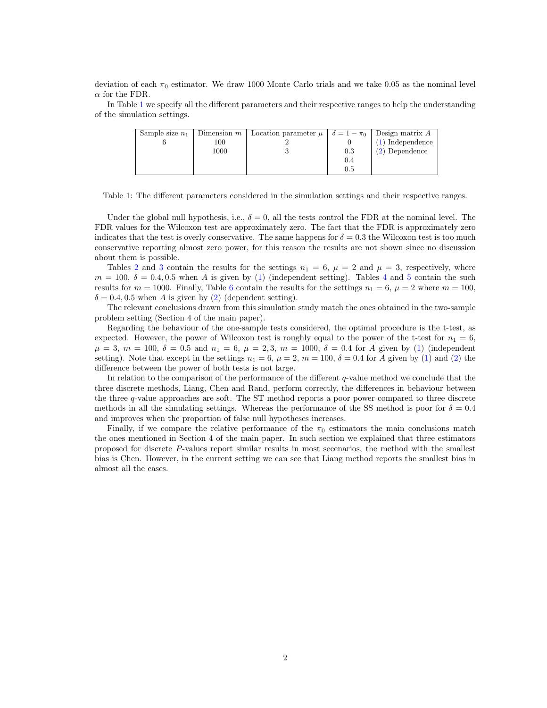deviation of each  $\pi_0$  estimator. We draw 1000 Monte Carlo trials and we take 0.05 as the nominal level  $\alpha$  for the FDR.

In Table 1 we specify all the different parameters and their respective ranges to help the understanding of the simulation settings.

| Sample size $n_1$ | Dimension $m$ <sup>+</sup> | Location parameter $\mu \mid \delta = 1 - \pi_0 \mid$ Design matrix A |     |                    |
|-------------------|----------------------------|-----------------------------------------------------------------------|-----|--------------------|
|                   | 100                        |                                                                       |     | $(1)$ Independence |
|                   | 1000                       |                                                                       | 0.3 | $(2)$ Dependence   |
|                   |                            |                                                                       | 0.4 |                    |
|                   |                            |                                                                       | 0.5 |                    |

Table 1: The different parameters considered in the simulation settings and their respective ranges.

Under the global null hypothesis, i.e.,  $\delta = 0$ , all the tests control the FDR at the nominal level. The FDR values for the Wilcoxon test are approximately zero. The fact that the FDR is approximately zero indicates that the test is overly conservative. The same happens for  $\delta = 0.3$  the Wilcoxon test is too much conservative reporting almost zero power, for this reason the results are not shown since no discussion about them is possible.

Tables 2 and 3 contain the results for the settings  $n_1 = 6$ ,  $\mu = 2$  and  $\mu = 3$ , respectively, where  $m = 100, \delta = 0.4, 0.5$  when A is given by (1) (independent setting). Tables 4 and 5 contain the such results for  $m = 1000$ . Finally, Table 6 contain the results for the settings  $n_1 = 6$ ,  $\mu = 2$  where  $m = 100$ ,  $\delta = 0.4, 0.5$  when A is given by (2) (dependent setting).

The relevant conclusions drawn from this simulation study match the ones obtained in the two-sample problem setting (Section 4 of the main paper).

Regarding the behaviour of the one-sample tests considered, the optimal procedure is the t-test, as expected. However, the power of Wilcoxon test is roughly equal to the power of the t-test for  $n_1 = 6$ ,  $\mu = 3, m = 100, \delta = 0.5$  and  $n_1 = 6, \mu = 2, 3, m = 1000, \delta = 0.4$  for A given by (1) (independent setting). Note that except in the settings  $n_1 = 6$ ,  $\mu = 2$ ,  $m = 100$ ,  $\delta = 0.4$  for A given by (1) and (2) the difference between the power of both tests is not large.

In relation to the comparison of the performance of the different  $q$ -value method we conclude that the three discrete methods, Liang, Chen and Rand, perform correctly, the differences in behaviour between the three q-value approaches are soft. The ST method reports a poor power compared to three discrete methods in all the simulating settings. Whereas the performance of the SS method is poor for  $\delta = 0.4$ and improves when the proportion of false null hypotheses increases.

Finally, if we compare the relative performance of the  $\pi_0$  estimators the main conclusions match the ones mentioned in Section 4 of the main paper. In such section we explained that three estimators proposed for discrete P-values report similar results in most secenarios, the method with the smallest bias is Chen. However, in the current setting we can see that Liang method reports the smallest bias in almost all the cases.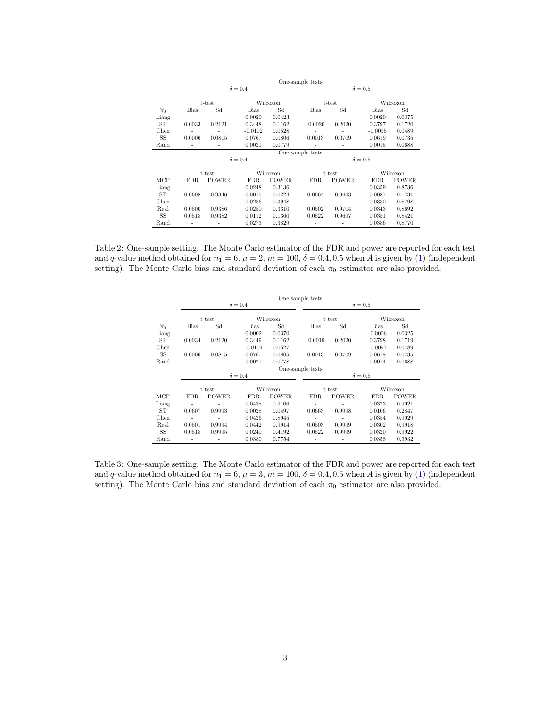|                   |                |              |                |              | One-sample tests   |              |                |              |  |  |
|-------------------|----------------|--------------|----------------|--------------|--------------------|--------------|----------------|--------------|--|--|
|                   |                |              | $\delta = 0.4$ |              | $\delta = 0.5$     |              |                |              |  |  |
|                   |                | t-test       |                | Wilcoxon     |                    | t-test       |                | Wilcoxon     |  |  |
| $\widehat{\pi}_0$ | <b>Bias</b>    | Sd           | <b>Bias</b>    | Sd           | Bias               | Sd           | <b>Bias</b>    | Sd           |  |  |
| Liang             | $\overline{a}$ | ٠            | 0.0020         | 0.0423       | ٠                  | ٠            | 0.0020         | 0.0375       |  |  |
| ST                | 0.0033         | 0.2121       | 0.3448         | 0.1162       | $-0.0020$          | 0.2020       | 0.3797         | 0.1720       |  |  |
| Chen              |                |              | $-0.0102$      | 0.0528       |                    |              | $-0.0095$      | 0.0489       |  |  |
| SS                | 0.0006         | 0.0815       | 0.0767         | 0.0806       | 0.0013             | 0.0709       | 0.0619         | 0.0735       |  |  |
| Rand              |                |              | 0.0021         | 0.0779       | ۰                  |              | 0.0015         | 0.0688       |  |  |
|                   |                |              |                |              | One-sample tests   |              |                |              |  |  |
|                   |                |              | $\delta = 0.4$ |              |                    |              | $\delta = 0.5$ |              |  |  |
|                   |                | t-test       |                | Wilcoxon     | Wilcoxon<br>t-test |              |                |              |  |  |
| MCP               | FDR.           | <b>POWER</b> | <b>FDR</b>     | <b>POWER</b> | FDR.               | <b>POWER</b> | FDR.           | <b>POWER</b> |  |  |
| Liang             |                |              | 0.0248         | 0.3136       | $\overline{a}$     |              | 0.0359         | 0.8736       |  |  |
| ST                | 0.0608         | 0.9346       | 0.0015         | 0.0224       | 0.0664             | 0.9663       | 0.0087         | 0.1731       |  |  |
| Chen              |                |              | 0.0286         | 0.3948       | ٠                  |              | 0.0380         | 0.8798       |  |  |
| Real              | 0.0500         | 0.9386       | 0.0250         | 0.3310       | 0.0502             | 0.9704       | 0.0343         | 0.8692       |  |  |
| <b>SS</b>         | 0.0518         | 0.9382       | 0.0112         | 0.1360       | 0.0522             | 0.9697       | 0.0351         | 0.8421       |  |  |
| Rand              |                |              | 0.0273         | 0.3829       | ٠                  |              | 0.0386         | 0.8770       |  |  |

Table 2: One-sample setting. The Monte Carlo estimator of the FDR and power are reported for each test and q-value method obtained for  $n_1 = 6$ ,  $\mu = 2$ ,  $m = 100$ ,  $\delta = 0.4$ , 0.5 when A is given by (1) (independent setting). The Monte Carlo bias and standard deviation of each  $\pi_0$  estimator are also provided.

|                   |                          |                |                |              | One-sample tests |              |                |              |  |  |
|-------------------|--------------------------|----------------|----------------|--------------|------------------|--------------|----------------|--------------|--|--|
|                   |                          |                | $\delta = 0.4$ |              | $\delta = 0.5$   |              |                |              |  |  |
|                   |                          | t-test         |                | Wilcoxon     |                  | t-test       |                | Wilcoxon     |  |  |
| $\widehat{\pi}_0$ | <b>Bias</b>              | Sd             | <b>Bias</b>    | Sd           | <b>Bias</b>      | Sd           | <b>Bias</b>    | Sd           |  |  |
| Liang             |                          | $\overline{a}$ | 0.0002         | 0.0370       | ÷,               | ٠            | $-0.0006$      | 0.0325       |  |  |
| ST                | 0.0034                   | 0.2120         | 0.3449         | 0.1162       | $-0.0019$        | 0.2020       | 0.3798         | 0.1719       |  |  |
| Chen              |                          |                | $-0.0104$      | 0.0527       |                  |              | $-0.0097$      | 0.0489       |  |  |
| SS                | 0.0006                   | 0.0815         | 0.0767         | 0.0805       | 0.0013           | 0.0709       | 0.0618         | 0.0735       |  |  |
| Rand              |                          |                | 0.0021         | 0.0778       |                  |              | 0.0014         | 0.0688       |  |  |
|                   |                          |                |                |              | One-sample tests |              |                |              |  |  |
|                   |                          |                | $\delta = 0.4$ |              |                  |              | $\delta = 0.5$ |              |  |  |
|                   |                          | t-test         |                | Wilcoxon     |                  | t-test       |                | Wilcoxon     |  |  |
| MCP               | FDR.                     | <b>POWER</b>   | FDR.           | <b>POWER</b> | FDR.             | <b>POWER</b> | FDR.           | <b>POWER</b> |  |  |
| Liang             | $\overline{\phantom{a}}$ |                | 0.0438         | 0.9106       |                  |              | 0.0323         | 0.9921       |  |  |
| ST                | 0.0607                   | 0.9993         | 0.0028         | 0.0497       | 0.0663           | 0.9998       | 0.0106         | 0.2847       |  |  |
| Chen              | ٠                        | ٠              | 0.0426         | 0.8945       | ٠                | ٠            | 0.0354         | 0.9929       |  |  |
| Real              | 0.0501                   | 0.9994         | 0.0442         | 0.9914       | 0.0503           | 0.9999       | 0.0302         | 0.9918       |  |  |
| SS                | 0.0518                   | 0.9995         | 0.0240         | 0.4192       | 0.0522           | 0.9999       | 0.0320         | 0.9922       |  |  |
| Rand              | ٠                        | $\overline{a}$ | 0.0380         | 0.7754       | ٠                | ٠            | 0.0358         | 0.9932       |  |  |

Table 3: One-sample setting. The Monte Carlo estimator of the FDR and power are reported for each test and q-value method obtained for  $n_1 = 6$ ,  $\mu = 3$ ,  $m = 100$ ,  $\delta = 0.4$ , 0.5 when A is given by (1) (independent setting). The Monte Carlo bias and standard deviation of each  $\pi_0$  estimator are also provided.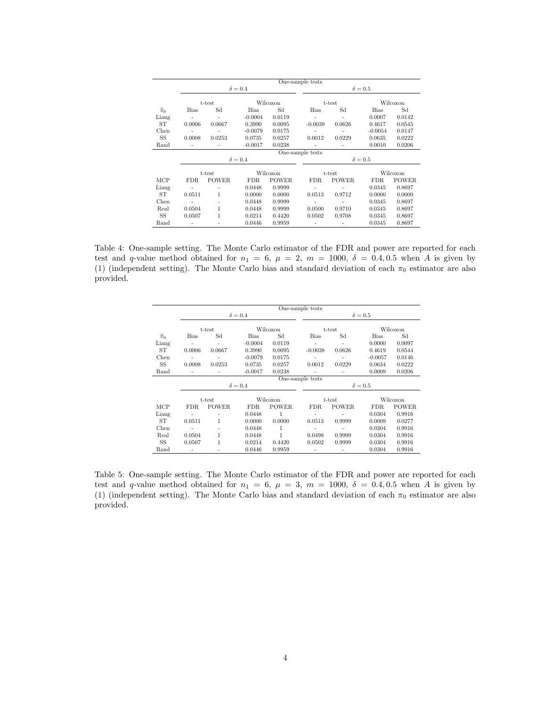|                   |                          |              |                |              | One-sample tests         |                |                |              |  |  |
|-------------------|--------------------------|--------------|----------------|--------------|--------------------------|----------------|----------------|--------------|--|--|
|                   |                          |              | $\delta = 0.4$ |              |                          | $\delta = 0.5$ |                |              |  |  |
|                   |                          | t-test       |                | Wilcoxon     |                          | t-test         | Wilcoxon       |              |  |  |
| $\widehat{\pi}_0$ | <b>Bias</b>              | Sd           | <b>Bias</b>    | Sd           | Bias                     | Sd             | <b>Bias</b>    | Sd           |  |  |
| Liang             | ÷                        |              | $-0.0004$      | 0.0119       | $\overline{a}$           | ٠              | 0.0007         | 0.0142       |  |  |
| ST                | 0.0006                   | 0.0667       | 0.3990         | 0.0095       | $-0.0039$                | 0.0626         | 0.4617         | 0.0545       |  |  |
| Chen              |                          |              | $-0.0079$      | 0.0175       | $\overline{a}$           |                | $-0.0054$      | 0.0147       |  |  |
| SS                | 0.0008                   | 0.0253       | 0.0735         | 0.0257       | 0.0012                   | 0.0229         | 0.0635         | 0.0222       |  |  |
| Rand              | $\overline{\phantom{a}}$ |              | $-0.0017$      | 0.0238       | $\overline{\phantom{a}}$ |                | 0.0010         | 0.0206       |  |  |
|                   |                          |              |                |              | One-sample tests         |                |                |              |  |  |
|                   |                          |              | $\delta = 0.4$ |              |                          |                | $\delta = 0.5$ |              |  |  |
|                   |                          | t-test       |                | Wilcoxon     | Wilcoxon<br>t-test       |                |                |              |  |  |
| MCP               | FDR.                     | <b>POWER</b> | FDR.           | <b>POWER</b> | FDR.                     | <b>POWER</b>   | FDR.           | <b>POWER</b> |  |  |
| Liang             | $\overline{a}$           |              | 0.0448         | 0.9999       | $\overline{a}$           |                | 0.0345         | 0.8697       |  |  |
| ST                | 0.0511                   | 1            | 0.0000         | 0.0000       | 0.0513                   | 0.9712         | 0.0000         | 0.0000       |  |  |
| Chen              | $\overline{\phantom{a}}$ | ۰            | 0.0448         | 0.9999       | ٠                        |                | 0.0345         | 0.8697       |  |  |
| Real              | 0.0504                   | 1            | 0.0448         | 0.9999       | 0.0500                   | 0.9710         | 0.0345         | 0.8697       |  |  |
| SS                | 0.0507                   | 1            | 0.0214         | 0.4420       | 0.0502                   | 0.9708         | 0.0345         | 0.8697       |  |  |
| Rand              | $\overline{\phantom{a}}$ |              | 0.0446         | 0.9959       | $\overline{a}$           |                | 0.0345         | 0.8697       |  |  |

Table 4: One-sample setting. The Monte Carlo estimator of the FDR and power are reported for each test and q-value method obtained for  $n_1 = 6$ ,  $\mu = 2$ ,  $m = 1000$ ,  $\delta = 0.4, 0.5$  when A is given by (1) (independent setting). The Monte Carlo bias and standard deviation of each  $\pi_0$  estimator are also provided.

|                   |                  |              |                |              | One-sample tests |                        |                |              |
|-------------------|------------------|--------------|----------------|--------------|------------------|------------------------|----------------|--------------|
|                   |                  |              | $\delta = 0.4$ |              |                  |                        | $\delta = 0.5$ |              |
|                   |                  | t-test       |                | Wilcoxon     |                  | t-test                 |                | Wilcoxon     |
| $\widehat{\pi}_0$ | <b>Bias</b>      | Sd           | <b>Bias</b>    | Sd           | Bias             | Sd                     | Bias           | Sd           |
| Liang             |                  |              | $-0.0004$      | 0.0119       |                  | $\overline{a}$         | 0.0000         | 0.0097       |
| ST                | 0.0006           | 0.0667       | 0.3990         | 0.0095       | $-0.0038$        | 0.0626                 | 0.4619         | 0.0544       |
| Chen              |                  |              | $-0.0079$      | 0.0175       |                  |                        | $-0.0057$      | 0.0146       |
| SS                | 0.0008           | 0.0253       | 0.0735         | 0.0257       | 0.0012           | 0.0229                 | 0.0634         | 0.0222       |
| Rand              |                  |              | $-0.0017$      | 0.0238       |                  |                        | 0.0009         | 0.0206       |
|                   | One-sample tests |              |                |              |                  |                        |                |              |
|                   |                  |              | $\delta = 0.4$ |              |                  |                        | $\delta = 0.5$ |              |
|                   |                  | t-test       |                | Wilcoxon     |                  |                        |                | Wilcoxon     |
| MCP               | FDR.             | <b>POWER</b> | <b>FDR</b>     | <b>POWER</b> | FDR.             | t-test<br><b>POWER</b> | FDR.           | <b>POWER</b> |
|                   |                  |              |                |              |                  |                        |                |              |
| Liang             |                  |              | 0.0448         | 1            |                  |                        | 0.0304         | 0.9916       |
| ST                | 0.0511           | 1            | 0.0000         | 0.0000       | 0.0513           | 0.9999                 | 0.0009         | 0.0277       |
| Chen              |                  |              | 0.0448         | 1            |                  | ۰                      | 0.0304         | 0.9916       |
| Real              | 0.0504           | 1            | 0.0448         | 1            | 0.0498           | 0.9999                 | 0.0304         | 0.9916       |
| <b>SS</b>         | 0.0507           | 1            | 0.0214         | 0.4420       | 0.0502           | 0.9999                 | 0.0304         | 0.9916       |
| Rand              | ۰                |              | 0.0446         | 0.9959       |                  |                        | 0.0304         | 0.9916       |

Table 5: One-sample setting. The Monte Carlo estimator of the FDR and power are reported for each test and q-value method obtained for  $n_1 = 6$ ,  $\mu = 3$ ,  $m = 1000$ ,  $\delta = 0.4, 0.5$  when A is given by (1) (independent setting). The Monte Carlo bias and standard deviation of each  $\pi_0$  estimator are also provided.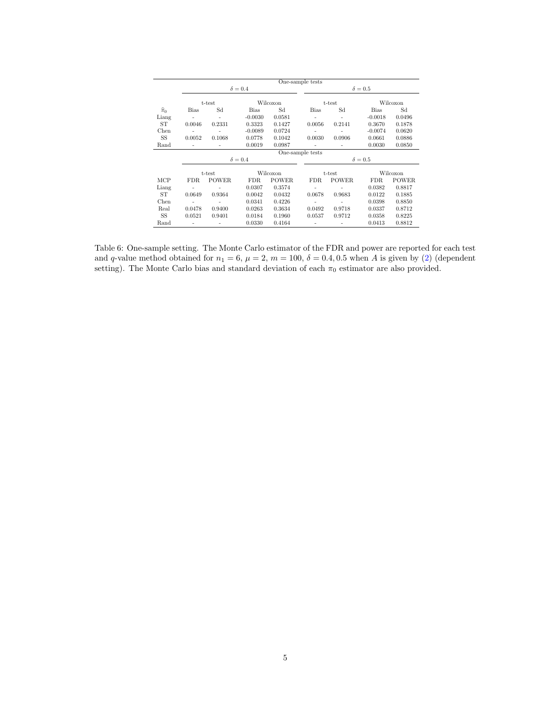|                   |                |                          |                |              | One-sample tests         |                          |                |              |  |  |
|-------------------|----------------|--------------------------|----------------|--------------|--------------------------|--------------------------|----------------|--------------|--|--|
|                   |                |                          | $\delta = 0.4$ |              | $\delta = 0.5$           |                          |                |              |  |  |
|                   |                | t-test                   |                | Wilcoxon     | t-test                   |                          |                | Wilcoxon     |  |  |
| $\widehat{\pi}_0$ | <b>Bias</b>    | Sd                       | <b>Bias</b>    | Sd           | <b>Bias</b>              | Sd                       | <b>Bias</b>    | Sd           |  |  |
| Liang             | $\overline{a}$ | ٠                        | $-0.0030$      | 0.0581       | ٠                        | ٠                        | $-0.0018$      | 0.0496       |  |  |
| ST                | 0.0046         | 0.2331                   | 0.3323         | 0.1427       | 0.0056                   | 0.2141                   | 0.3670         | 0.1878       |  |  |
| Chen              |                | $\overline{\phantom{a}}$ | $-0.0089$      | 0.0724       |                          |                          | $-0.0074$      | 0.0620       |  |  |
| SS                | 0.0052         | 0.1068                   | 0.0778         | 0.1042       | 0.0030                   | 0.0906                   | 0.0661         | 0.0886       |  |  |
| Rand              |                | $\overline{\phantom{a}}$ | 0.0019         | 0.0987       | $\overline{\phantom{a}}$ | $\overline{\phantom{a}}$ | 0.0030         | 0.0850       |  |  |
|                   |                |                          |                |              | One-sample tests         |                          |                |              |  |  |
|                   |                |                          | $\delta = 0.4$ |              |                          |                          | $\delta = 0.5$ |              |  |  |
|                   |                | t-test                   |                | Wilcoxon     | Wilcoxon<br>t-test       |                          |                |              |  |  |
| MCP               | FDR.           | <b>POWER</b>             | FDR.           | <b>POWER</b> | FDR.                     | <b>POWER</b>             | FDR.           | <b>POWER</b> |  |  |
| Liang             |                |                          | 0.0307         | 0.3574       |                          |                          | 0.0382         | 0.8817       |  |  |
| ST                | 0.0649         | 0.9364                   | 0.0042         | 0.0432       | 0.0678                   | 0.9683                   | 0.0122         | 0.1885       |  |  |
| Chen              | ٠              | ٠                        | 0.0341         | 0.4226       | ٠                        | ۰                        | 0.0398         | 0.8850       |  |  |
| Real              | 0.0478         | 0.9400                   | 0.0263         | 0.3634       | 0.0492                   | 0.9718                   | 0.0337         | 0.8712       |  |  |
| <b>SS</b>         | 0.0521         | 0.9401                   | 0.0184         | 0.1960       | 0.0537                   | 0.9712                   | 0.0358         | 0.8225       |  |  |
| Rand              |                |                          | 0.0330         | 0.4164       |                          |                          | 0.0413         | 0.8812       |  |  |

Table 6: One-sample setting. The Monte Carlo estimator of the FDR and power are reported for each test and q-value method obtained for  $n_1 = 6$ ,  $\mu = 2$ ,  $m = 100$ ,  $\delta = 0.4, 0.5$  when A is given by (2) (dependent setting). The Monte Carlo bias and standard deviation of each  $\pi_0$  estimator are also provided.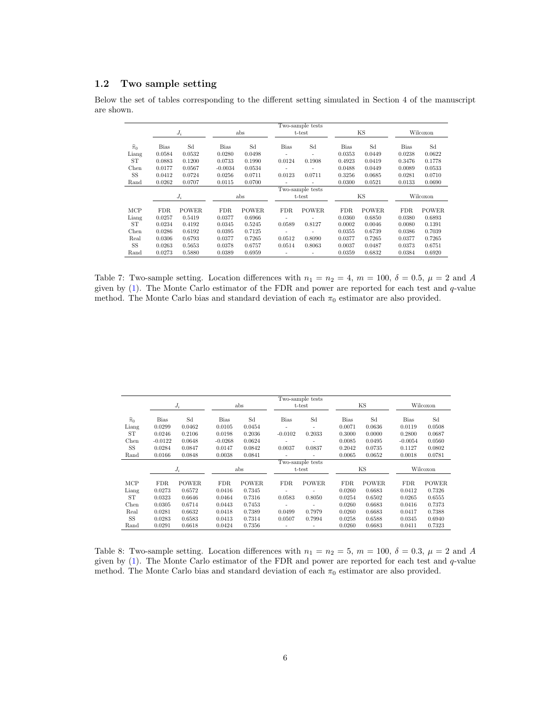### 1.2 Two sample setting

Below the set of tables corresponding to the different setting simulated in Section 4 of the manuscript are shown.

|                   |                  |              |             |              |                          | Two-sample tests         |             |              |             |              |
|-------------------|------------------|--------------|-------------|--------------|--------------------------|--------------------------|-------------|--------------|-------------|--------------|
|                   |                  | $J_i$        |             | abs          |                          | t-test                   |             | ΚS           |             | Wilcoxon     |
| $\widehat{\pi}_0$ | <b>Bias</b>      | Sd           | <b>Bias</b> | Sd           | <b>Bias</b>              | Sd                       | <b>Bias</b> | Sd           | <b>Bias</b> | Sd           |
| Liang             | 0.0584           | 0.0532       | 0.0280      | 0.0498       | $\overline{\phantom{a}}$ | ۰                        | 0.0353      | 0.0449       | 0.0238      | 0.0622       |
| <b>ST</b>         | 0.0883           | 0.1200       | 0.0733      | 0.1990       | 0.0124                   | 0.1908                   | 0.4923      | 0.0419       | 0.3476      | 0.1778       |
| Chen              | 0.0177           | 0.0567       | $-0.0034$   | 0.0534       |                          | $\overline{a}$           | 0.0488      | 0.0449       | 0.0089      | 0.0533       |
| SS                | 0.0412           | 0.0724       | 0.0256      | 0.0711       | 0.0123                   | 0.0711                   | 0.3256      | 0.0685       | 0.0281      | 0.0710       |
| Rand              | 0.0262           | 0.0707       | 0.0115      | 0.0700       | $\overline{a}$           | $\overline{a}$           | 0.0300      | 0.0521       | 0.0133      | 0.0690       |
|                   | Two-sample tests |              |             |              |                          |                          |             |              |             |              |
|                   |                  | $J_i$        |             | abs          |                          | t-test                   |             | ΚS           |             | Wilcoxon     |
|                   |                  |              |             |              |                          |                          |             |              |             |              |
| MCP               | <b>FDR</b>       | <b>POWER</b> | FDR.        | <b>POWER</b> | FDR.                     | <b>POWER</b>             | FDR.        | <b>POWER</b> | <b>FDR</b>  | <b>POWER</b> |
| Liang             | 0.0257           | 0.5419       | 0.0377      | 0.6966       |                          |                          | 0.0360      | 0.6850       | 0.0380      | 0.6893       |
| ST                | 0.0234           | 0.4192       | 0.0345      | 0.5245       | 0.0589                   | 0.8127                   | 0.0002      | 0.0046       | 0.0080      | 0.1391       |
| Chen              | 0.0286           | 0.6192       | 0.0395      | 0.7125       | ٠                        | $\overline{a}$           | 0.0355      | 0.6739       | 0.0386      | 0.7039       |
| Real              | 0.0306           | 0.6793       | 0.0377      | 0.7265       | 0.0512                   | 0.8090                   | 0.0377      | 0.7265       | 0.0377      | 0.7265       |
| SS                | 0.0263           | 0.5653       | 0.0378      | 0.6757       | 0.0514                   | 0.8063                   | 0.0037      | 0.0487       | 0.0373      | 0.6751       |
| Rand              | 0.0273           | 0.5880       | 0.0389      | 0.6959       | $\overline{\phantom{0}}$ | $\overline{\phantom{a}}$ | 0.0359      | 0.6832       | 0.0384      | 0.6920       |

Table 7: Two-sample setting. Location differences with  $n_1 = n_2 = 4$ ,  $m = 100$ ,  $\delta = 0.5$ ,  $\mu = 2$  and A given by (1). The Monte Carlo estimator of the FDR and power are reported for each test and q-value method. The Monte Carlo bias and standard deviation of each  $\pi_0$  estimator are also provided.

|                   |             |              |           |              |                | Two-sample tests |             |              |             |              |
|-------------------|-------------|--------------|-----------|--------------|----------------|------------------|-------------|--------------|-------------|--------------|
|                   |             | $J_i$        |           | abs          |                | t-test           |             | ΚS           |             | Wilcoxon     |
| $\widehat{\pi}_0$ | <b>Bias</b> | Sd           | Bias      | Sd           | <b>Bias</b>    | Sd               | <b>Bias</b> | Sd           | <b>Bias</b> | Sd           |
| Liang             | 0.0299      | 0.0462       | 0.0105    | 0.0454       | $\overline{a}$ |                  | 0.0071      | 0.0636       | 0.0119      | 0.0508       |
| ST                | 0.0246      | 0.2106       | 0.0198    | 0.2036       | $-0.0102$      | 0.2033           | 0.3000      | 0.0000       | 0.2800      | 0.0687       |
| Chen              | $-0.0122$   | 0.0648       | $-0.0268$ | 0.0624       |                |                  | 0.0085      | 0.0495       | $-0.0054$   | 0.0560       |
| SS                | 0.0284      | 0.0847       | 0.0147    | 0.0842       | 0.0037         | 0.0837           | 0.2042      | 0.0735       | 0.1127      | 0.0802       |
| Rand              | 0.0166      | 0.0848       | 0.0038    | 0.0841       |                |                  | 0.0065      | 0.0652       | 0.0018      | 0.0781       |
|                   |             |              |           |              |                | Two-sample tests |             |              |             |              |
|                   |             | $J_i$        |           | abs          |                | t-test           |             | ΚS           |             | Wilcoxon     |
|                   |             |              |           |              |                |                  |             |              |             |              |
| MCP               | <b>FDR</b>  | <b>POWER</b> | FDR.      | <b>POWER</b> | FDR.           | <b>POWER</b>     | FDR.        | <b>POWER</b> | FDR.        | <b>POWER</b> |
| Liang             | 0.0273      | 0.6572       | 0.0416    | 0.7345       |                |                  | 0.0260      | 0.6683       | 0.0412      | 0.7326       |
| ST                | 0.0323      | 0.6646       | 0.0464    | 0.7316       | 0.0583         | 0.8050           | 0.0254      | 0.6502       | 0.0265      | 0.6555       |
| Chen              | 0.0305      | 0.6714       | 0.0443    | 0.7453       |                |                  | 0.0260      | 0.6683       | 0.0416      | 0.7373       |
| Real              | 0.0281      | 0.6632       | 0.0418    | 0.7389       | 0.0499         | 0.7979           | 0.0260      | 0.6683       | 0.0417      | 0.7388       |
| SS                | 0.0283      | 0.6583       | 0.0413    | 0.7314       | 0.0507         | 0.7994           | 0.0258      | 0.6588       | 0.0345      | 0.6940       |
| Rand              | 0.0291      | 0.6618       | 0.0424    | 0.7356       |                |                  | 0.0260      | 0.6683       | 0.0411      | 0.7323       |

Table 8: Two-sample setting. Location differences with  $n_1 = n_2 = 5$ ,  $m = 100$ ,  $\delta = 0.3$ ,  $\mu = 2$  and A given by  $(1)$ . The Monte Carlo estimator of the FDR and power are reported for each test and  $q$ -value method. The Monte Carlo bias and standard deviation of each  $\pi_0$  estimator are also provided.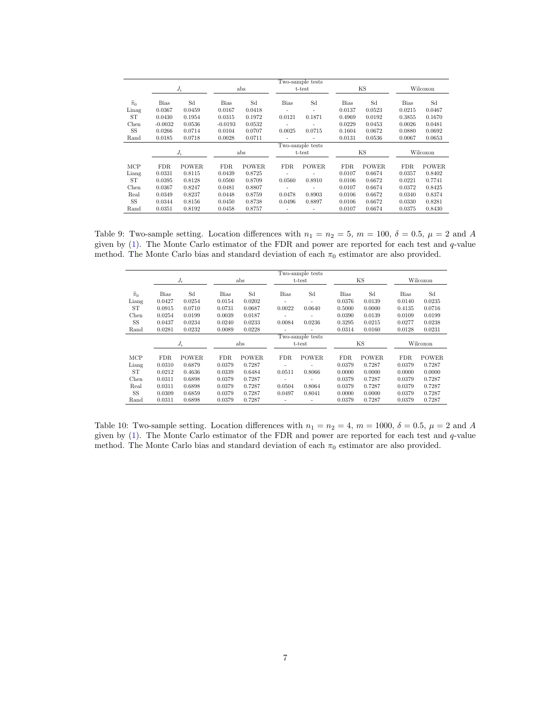|                   |             |              |             |              |                          | Two-sample tests |             |              |             |              |
|-------------------|-------------|--------------|-------------|--------------|--------------------------|------------------|-------------|--------------|-------------|--------------|
|                   |             | $J_i$        |             | abs          |                          | t-test           |             | KS           |             | Wilcoxon     |
| $\widehat{\pi}_0$ | <b>Bias</b> | Sd           | <b>Bias</b> | Sd           | <b>Bias</b>              | Sd               | <b>Bias</b> | Sd           | <b>Bias</b> | Sd           |
| Linag             | 0.0367      | 0.0459       | 0.0167      | 0.0418       | ٠                        | ۰                | 0.0137      | 0.0523       | 0.0215      | 0.0467       |
| ST                | 0.0430      | 0.1954       | 0.0315      | 0.1972       | 0.0121                   | 0.1871           | 0.4969      | 0.0192       | 0.3855      | 0.1670       |
| Chen              | $-0.0032$   | 0.0536       | $-0.0193$   | 0.0532       | $\overline{\phantom{0}}$ |                  | 0.0229      | 0.0453       | 0.0026      | 0.0481       |
| SS                | 0.0266      | 0.0714       | 0.0104      | 0.0707       | 0.0025                   | 0.0715           | 0.1604      | 0.0672       | 0.0880      | 0.0692       |
| Rand              | 0.0185      | 0.0718       | 0.0028      | 0.0711       | $\overline{\phantom{0}}$ |                  | 0.0131      | 0.0536       | 0.0067      | 0.0653       |
|                   |             |              |             |              |                          | Two-sample tests |             |              |             |              |
|                   |             | $J_i$        |             | abs          |                          | t-test           |             | KS           |             | Wilcoxon     |
|                   |             |              |             |              |                          |                  |             |              |             |              |
| MCP               | FDR.        | <b>POWER</b> | FDR.        | <b>POWER</b> | FDR.                     | <b>POWER</b>     | FDR.        | <b>POWER</b> | FDR.        | <b>POWER</b> |
| Liang             | 0.0331      | 0.8115       | 0.0439      | 0.8725       |                          |                  | 0.0107      | 0.6674       | 0.0357      | 0.8402       |
| ST                | 0.0395      | 0.8128       | 0.0500      | 0.8709       | 0.0560                   | 0.8910           | 0.0106      | 0.6672       | 0.0221      | 0.7741       |
| Chen              | 0.0367      | 0.8247       | 0.0481      | 0.8807       |                          |                  | 0.0107      | 0.6674       | 0.0372      | 0.8425       |
| Real              | 0.0349      | 0.8237       | 0.0448      | 0.8759       | 0.0478                   | 0.8903           | 0.0106      | 0.6672       | 0.0340      | 0.8374       |
| SS                | 0.0344      | 0.8156       | 0.0450      | 0.8738       | 0.0496                   | 0.8897           | 0.0106      | 0.6672       | 0.0330      | 0.8281       |
| Rand              | 0.0351      | 0.8192       | 0.0458      | 0.8757       |                          |                  | 0.0107      | 0.6674       | 0.0375      | 0.8430       |

Table 9: Two-sample setting. Location differences with  $n_1 = n_2 = 5$ ,  $m = 100$ ,  $\delta = 0.5$ ,  $\mu = 2$  and A given by (1). The Monte Carlo estimator of the FDR and power are reported for each test and q-value method. The Monte Carlo bias and standard deviation of each  $\pi_0$  estimator are also provided.

|                   |        |              |             |              |                          | Two-sample tests |             |              |             |              |
|-------------------|--------|--------------|-------------|--------------|--------------------------|------------------|-------------|--------------|-------------|--------------|
|                   |        | $J_i$        |             | abs          |                          | t-test           |             | ΚS           |             | Wilcoxon     |
| $\widehat{\pi}_0$ | Bias   | Sd           | <b>Bias</b> | Sd           | <b>Bias</b>              | Sd               | <b>Bias</b> | Sd           | <b>Bias</b> | Sd           |
| Liang             | 0.0427 | 0.0254       | 0.0154      | 0.0202       |                          | ۰                | 0.0376      | 0.0139       | 0.0140      | 0.0235       |
| <b>ST</b>         | 0.0915 | 0.0710       | 0.0731      | 0.0687       | 0.0022                   | 0.0640           | 0.5000      | 0.0000       | 0.4135      | 0.0716       |
| Chen              | 0.0254 | 0.0199       | 0.0039      | 0.0187       |                          |                  | 0.0390      | 0.0139       | 0.0109      | 0.0199       |
| SS                | 0.0437 | 0.0234       | 0.0240      | 0.0233       | 0.0084                   | 0.0236           | 0.3295      | 0.0215       | 0.0277      | 0.0238       |
| Rand              | 0.0281 | 0.0232       | 0.0089      | 0.0228       | $\overline{\phantom{a}}$ | ۰                | 0.0314      | 0.0160       | 0.0128      | 0.0231       |
|                   |        |              |             |              |                          | Two-sample tests |             |              |             |              |
|                   |        | $J_i$        |             | abs          |                          | t-test           |             | KS           |             | Wilcoxon     |
|                   |        |              |             |              |                          |                  |             |              |             |              |
| MCP               | FDR.   | <b>POWER</b> | FDR.        | <b>POWER</b> | FDR.                     | <b>POWER</b>     | FDR.        | <b>POWER</b> | FDR.        | <b>POWER</b> |
| Liang             | 0.0310 | 0.6879       | 0.0379      | 0.7287       |                          | ۰                | 0.0379      | 0.7287       | 0.0379      | 0.7287       |
| <b>ST</b>         | 0.0212 | 0.4636       | 0.0339      | 0.6484       | 0.0511                   | 0.8066           | 0.0000      | 0.0000       | 0.0000      | 0.0000       |
| Chen              | 0.0311 | 0.6898       | 0.0379      | 0.7287       |                          | ٠                | 0.0379      | 0.7287       | 0.0379      | 0.7287       |
| Real              | 0.0311 | 0.6898       | 0.0379      | 0.7287       | 0.0504                   | 0.8064           | 0.0379      | 0.7287       | 0.0379      | 0.7287       |
| <b>SS</b>         | 0.0309 | 0.6859       | 0.0379      | 0.7287       | 0.0497                   | 0.8041           | 0.0000      | 0.0000       | 0.0379      | 0.7287       |
| Rand              | 0.0311 | 0.6898       | 0.0379      | 0.7287       | $\overline{\phantom{0}}$ | ۰                | 0.0379      | 0.7287       | 0.0379      | 0.7287       |

Table 10: Two-sample setting. Location differences with  $n_1 = n_2 = 4$ ,  $m = 1000$ ,  $\delta = 0.5$ ,  $\mu = 2$  and A given by  $(1)$ . The Monte Carlo estimator of the FDR and power are reported for each test and  $q$ -value method. The Monte Carlo bias and standard deviation of each  $\pi_0$  estimator are also provided.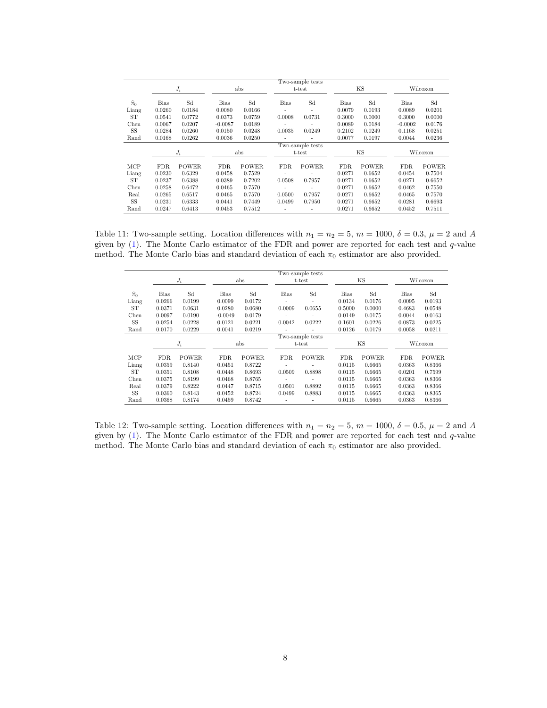|                   |             |              |             |              |                          | Two-sample tests |             |              |             |              |
|-------------------|-------------|--------------|-------------|--------------|--------------------------|------------------|-------------|--------------|-------------|--------------|
|                   |             | $J_i$        |             | abs          |                          | t-test           |             | ΚS           |             | Wilcoxon     |
| $\widehat{\pi}_0$ | <b>Bias</b> | Sd           | <b>Bias</b> | Sd           | <b>Bias</b>              | Sd               | <b>Bias</b> | Sd           | <b>Bias</b> | Sd           |
| Liang             | 0.0260      | 0.0184       | 0.0080      | 0.0166       | ٠                        | ٠                | 0.0079      | 0.0193       | 0.0089      | 0.0201       |
| <b>ST</b>         | 0.0541      | 0.0772       | 0.0373      | 0.0759       | 0.0008                   | 0.0731           | 0.3000      | 0.0000       | 0.3000      | 0.0000       |
| Chen              | 0.0067      | 0.0207       | $-0.0087$   | 0.0189       | $\overline{\phantom{0}}$ |                  | 0.0089      | 0.0184       | $-0.0002$   | 0.0176       |
| SS                | 0.0284      | 0.0260       | 0.0150      | 0.0248       | 0.0035                   | 0.0249           | 0.2102      | 0.0249       | 0.1168      | 0.0251       |
| Rand              | 0.0168      | 0.0262       | 0.0036      | 0.0250       | ٠                        |                  | 0.0077      | 0.0197       | 0.0044      | 0.0236       |
|                   |             |              |             |              |                          | Two-sample tests |             |              |             |              |
|                   |             | $J_i$        |             | abs          |                          | t-test           |             | ΚS           |             | Wilcoxon     |
|                   |             |              |             |              |                          |                  |             |              |             |              |
| MCP               | <b>FDR</b>  | <b>POWER</b> | FDR.        | <b>POWER</b> | FDR.                     | <b>POWER</b>     | FDR.        | <b>POWER</b> | FDR.        | <b>POWER</b> |
| Liang             | 0.0230      | 0.6329       | 0.0458      | 0.7529       |                          |                  | 0.0271      | 0.6652       | 0.0454      | 0.7504       |
| ST                | 0.0237      | 0.6388       | 0.0389      | 0.7202       | 0.0508                   | 0.7957           | 0.0271      | 0.6652       | 0.0271      | 0.6652       |
| Chen              | 0.0258      | 0.6472       | 0.0465      | 0.7570       | ٠                        |                  | 0.0271      | 0.6652       | 0.0462      | 0.7550       |
| Real              | 0.0265      | 0.6517       | 0.0465      | 0.7570       | 0.0500                   | 0.7957           | 0.0271      | 0.6652       | 0.0465      | 0.7570       |
| SS                | 0.0231      | 0.6333       | 0.0441      | 0.7449       | 0.0499                   | 0.7950           | 0.0271      | 0.6652       | 0.0281      | 0.6693       |
| Rand              | 0.0247      | 0.6413       | 0.0453      | 0.7512       |                          |                  | 0.0271      | 0.6652       | 0.0452      | 0.7511       |

Table 11: Two-sample setting. Location differences with  $n_1 = n_2 = 5$ ,  $m = 1000$ ,  $\delta = 0.3$ ,  $\mu = 2$  and A given by (1). The Monte Carlo estimator of the FDR and power are reported for each test and q-value method. The Monte Carlo bias and standard deviation of each  $\pi_0$  estimator are also provided.

|                   |             |              |           |              |                          | Two-sample tests         |             |              |             |              |
|-------------------|-------------|--------------|-----------|--------------|--------------------------|--------------------------|-------------|--------------|-------------|--------------|
|                   |             | $J_i$        |           | abs          |                          | t-test                   |             | ΚS           |             | Wilcoxon     |
| $\widehat{\pi}_0$ | <b>Bias</b> | Sd           | Bias      | Sd           | Bias                     | Sd                       | <b>Bias</b> | Sd           | <b>Bias</b> | Sd           |
| Liang             | 0.0266      | 0.0199       | 0.0099    | 0.0172       | ٠                        | $\overline{\phantom{a}}$ | 0.0134      | 0.0176       | 0.0095      | 0.0193       |
| ST                | 0.0371      | 0.0631       | 0.0280    | 0.0680       | 0.0009                   | 0.0655                   | 0.5000      | 0.0000       | 0.4683      | 0.0548       |
| Chen              | 0.0097      | 0.0190       | $-0.0049$ | 0.0179       |                          |                          | 0.0149      | 0.0175       | 0.0044      | 0.0163       |
| SS                | 0.0254      | 0.0228       | 0.0121    | 0.0221       | 0.0042                   | 0.0222                   | 0.1601      | 0.0226       | 0.0873      | 0.0225       |
| Rand              | 0.0170      | 0.0229       | 0.0041    | 0.0219       | ÷                        |                          | 0.0126      | 0.0179       | 0.0058      | 0.0211       |
|                   |             |              |           |              |                          | Two-sample tests         |             |              |             |              |
|                   |             | $J_i$        |           | abs          |                          | t-test                   |             | ΚS           |             | Wilcoxon     |
| MCP               | <b>FDR</b>  | <b>POWER</b> | FDR.      | <b>POWER</b> | FDR.                     | <b>POWER</b>             | FDR.        | <b>POWER</b> | FDR.        | <b>POWER</b> |
| Liang             | 0.0359      | 0.8140       | 0.0451    | 0.8722       | ۰                        |                          | 0.0115      | 0.6665       | 0.0363      | 0.8366       |
| <b>ST</b>         | 0.0351      | 0.8108       | 0.0448    | 0.8693       | 0.0509                   | 0.8898                   | 0.0115      | 0.6665       | 0.0201      | 0.7599       |
| Chen              | 0.0375      | 0.8199       | 0.0468    | 0.8765       | ٠                        |                          | 0.0115      | 0.6665       | 0.0363      | 0.8366       |
| Real              | 0.0379      | 0.8222       | 0.0447    | 0.8715       | 0.0501                   | 0.8892                   | 0.0115      | 0.6665       | 0.0363      | 0.8366       |
| SS                | 0.0360      | 0.8143       | 0.0452    | 0.8724       | 0.0499                   | 0.8883                   | 0.0115      | 0.6665       | 0.0363      | 0.8365       |
| Rand              | 0.0368      | 0.8174       | 0.0459    | 0.8742       | $\overline{\phantom{0}}$ | $\overline{\phantom{a}}$ | 0.0115      | 0.6665       | 0.0363      | 0.8366       |

Table 12: Two-sample setting. Location differences with  $n_1 = n_2 = 5$ ,  $m = 1000$ ,  $\delta = 0.5$ ,  $\mu = 2$  and A given by  $(1)$ . The Monte Carlo estimator of the FDR and power are reported for each test and  $q$ -value method. The Monte Carlo bias and standard deviation of each  $\pi_0$  estimator are also provided.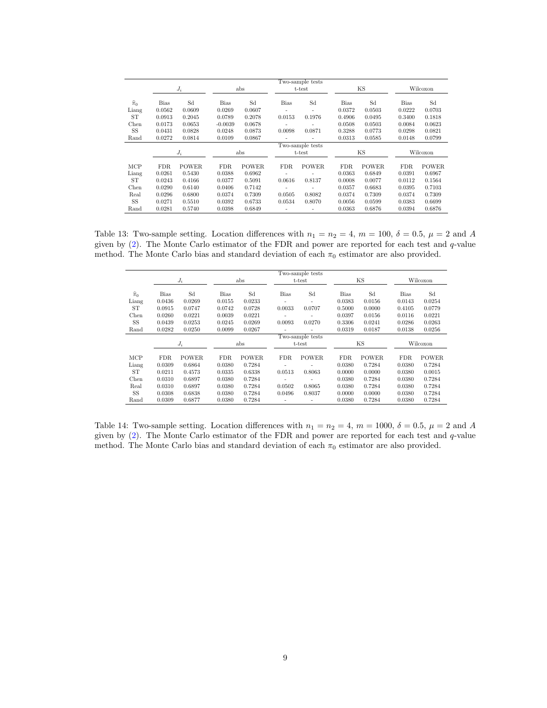|                   |             |              |             |              |                | Two-sample tests         |             |              |             |              |
|-------------------|-------------|--------------|-------------|--------------|----------------|--------------------------|-------------|--------------|-------------|--------------|
|                   |             | $J_i$        |             | abs          |                | t-test                   |             | ΚS           |             | Wilcoxon     |
| $\widehat{\pi}_0$ | <b>Bias</b> | Sd           | <b>Bias</b> | Sd           | <b>Bias</b>    | Sd                       | <b>Bias</b> | Sd           | <b>Bias</b> | Sd           |
| Liang             | 0.0562      | 0.0609       | 0.0269      | 0.0607       | $\overline{a}$ | $\overline{a}$           | 0.0372      | 0.0503       | 0.0222      | 0.0703       |
| <b>ST</b>         | 0.0913      | 0.2045       | 0.0789      | 0.2078       | 0.0153         | 0.1976                   | 0.4906      | 0.0495       | 0.3400      | 0.1818       |
| Chen              | 0.0173      | 0.0653       | $-0.0039$   | 0.0678       | $\overline{a}$ | $\overline{\phantom{a}}$ | 0.0508      | 0.0503       | 0.0084      | 0.0623       |
| SS                | 0.0431      | 0.0828       | 0.0248      | 0.0873       | 0.0098         | 0.0871                   | 0.3288      | 0.0773       | 0.0298      | 0.0821       |
| Rand              | 0.0272      | 0.0814       | 0.0109      | 0.0867       | ٠              | $\overline{a}$           | 0.0313      | 0.0585       | 0.0148      | 0.0799       |
|                   |             |              |             |              |                | Two-sample tests         |             |              |             |              |
|                   |             | $J_i$        |             | abs          |                | t-test                   |             | KS           |             | Wilcoxon     |
|                   |             |              |             |              |                |                          |             |              |             |              |
| MCP               | FDR.        | <b>POWER</b> | FDR.        | <b>POWER</b> | FDR.           | <b>POWER</b>             | <b>FDR</b>  | <b>POWER</b> | FDR.        | <b>POWER</b> |
| Liang             | 0.0261      | 0.5430       | 0.0388      | 0.6962       |                |                          | 0.0363      | 0.6849       | 0.0391      | 0.6967       |
| ST                | 0.0243      | 0.4166       | 0.0377      | 0.5091       | 0.0616         | 0.8137                   | 0.0008      | 0.0077       | 0.0112      | 0.1564       |
| Chen              | 0.0290      | 0.6140       | 0.0406      | 0.7142       | $\overline{a}$ | $\overline{\phantom{a}}$ | 0.0357      | 0.6683       | 0.0395      | 0.7103       |
| Real              | 0.0296      | 0.6800       | 0.0374      | 0.7309       | 0.0505         | 0.8082                   | 0.0374      | 0.7309       | 0.0374      | 0.7309       |
| SS                | 0.0271      | 0.5510       | 0.0392      | 0.6733       | 0.0534         | 0.8070                   | 0.0056      | 0.0599       | 0.0383      | 0.6699       |
| Rand              | 0.0281      | 0.5740       | 0.0398      | 0.6849       |                |                          | 0.0363      | 0.6876       | 0.0394      | 0.6876       |

Table 13: Two-sample setting. Location differences with  $n_1 = n_2 = 4$ ,  $m = 100$ ,  $\delta = 0.5$ ,  $\mu = 2$  and A given by (2). The Monte Carlo estimator of the FDR and power are reported for each test and q-value method. The Monte Carlo bias and standard deviation of each  $\pi_0$  estimator are also provided.

|                   |        |              |             |              |                          | Two-sample tests         |             |              |             |              |
|-------------------|--------|--------------|-------------|--------------|--------------------------|--------------------------|-------------|--------------|-------------|--------------|
|                   |        | $J_i$        |             | abs          |                          | t-test                   |             | ΚS           |             | Wilcoxon     |
| $\widehat{\pi}_0$ | Bias   | Sd           | <b>Bias</b> | Sd           | <b>Bias</b>              | Sd                       | <b>Bias</b> | Sd           | <b>Bias</b> | Sd           |
| Liang             | 0.0436 | 0.0269       | 0.0155      | 0.0233       |                          | $\overline{\phantom{a}}$ | 0.0383      | 0.0156       | 0.0143      | 0.0254       |
| <b>ST</b>         | 0.0915 | 0.0747       | 0.0742      | 0.0728       | 0.0033                   | 0.0707                   | 0.5000      | 0.0000       | 0.4105      | 0.0779       |
| Chen              | 0.0260 | 0.0221       | 0.0039      | 0.0221       |                          |                          | 0.0397      | 0.0156       | 0.0116      | 0.0221       |
| SS                | 0.0439 | 0.0253       | 0.0245      | 0.0269       | 0.0093                   | 0.0270                   | 0.3306      | 0.0241       | 0.0286      | 0.0263       |
| Rand              | 0.0282 | 0.0250       | 0.0099      | 0.0267       |                          | ۰                        | 0.0319      | 0.0187       | 0.0138      | 0.0256       |
|                   |        |              |             |              |                          | Two-sample tests         |             |              |             |              |
|                   |        | $J_i$        |             | abs          |                          | t-test                   |             | KS           |             | Wilcoxon     |
|                   |        |              |             |              |                          |                          |             |              |             |              |
| MCP               | FDR.   | <b>POWER</b> | FDR.        | <b>POWER</b> | FDR.                     | <b>POWER</b>             | FDR.        | <b>POWER</b> | FDR.        | <b>POWER</b> |
| Liang             | 0.0309 | 0.6864       | 0.0380      | 0.7284       |                          | ۰                        | 0.0380      | 0.7284       | 0.0380      | 0.7284       |
| <b>ST</b>         | 0.0211 | 0.4573       | 0.0335      | 0.6338       | 0.0513                   | 0.8063                   | 0.0000      | 0.0000       | 0.0380      | 0.0015       |
| Chen              | 0.0310 | 0.6897       | 0.0380      | 0.7284       |                          |                          | 0.0380      | 0.7284       | 0.0380      | 0.7284       |
| Real              | 0.0310 | 0.6897       | 0.0380      | 0.7284       | 0.0502                   | 0.8065                   | 0.0380      | 0.7284       | 0.0380      | 0.7284       |
| <b>SS</b>         | 0.0308 | 0.6838       | 0.0380      | 0.7284       | 0.0496                   | 0.8037                   | 0.0000      | 0.0000       | 0.0380      | 0.7284       |
| Rand              | 0.0309 | 0.6877       | 0.0380      | 0.7284       | $\overline{\phantom{a}}$ | ۰                        | 0.0380      | 0.7284       | 0.0380      | 0.7284       |

Table 14: Two-sample setting. Location differences with  $n_1 = n_2 = 4$ ,  $m = 1000$ ,  $\delta = 0.5$ ,  $\mu = 2$  and A given by  $(2)$ . The Monte Carlo estimator of the FDR and power are reported for each test and  $q$ -value method. The Monte Carlo bias and standard deviation of each  $\pi_0$  estimator are also provided.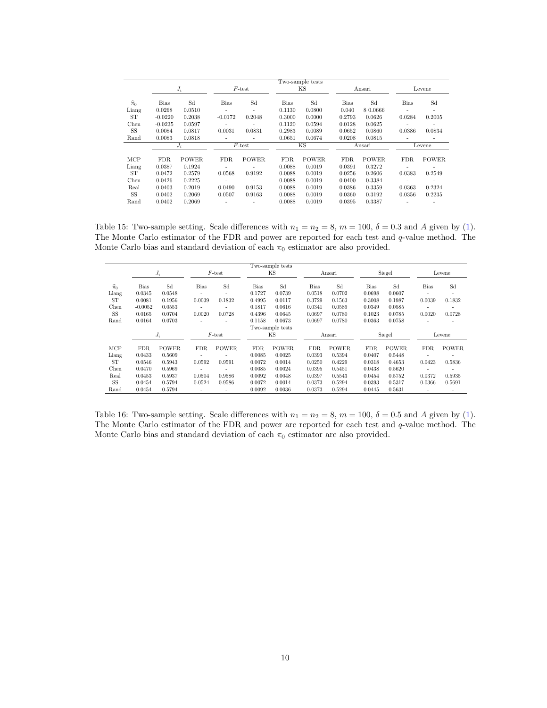|                   |             |              |           |              |        | Two-sample tests |             |              |             |              |
|-------------------|-------------|--------------|-----------|--------------|--------|------------------|-------------|--------------|-------------|--------------|
|                   |             | $J_i$        |           | $F$ -test    |        | ΚS               |             | Ansari       |             | Levene       |
| $\widehat{\pi}_0$ | <b>Bias</b> | Sd           | Bias      | Sd           | Bias   | Sd               | <b>Bias</b> | Sd           | <b>Bias</b> | Sd           |
| Liang             | 0.0268      | 0.0510       | ٠         | ٠            | 0.1130 | 0.0800           | 0.040       | 8 0.0666     |             |              |
| ST                | $-0.0220$   | 0.2038       | $-0.0172$ | 0.2048       | 0.3000 | 0.0000           | 0.2793      | 0.0626       | 0.0284      | 0.2005       |
| Chen              | $-0.0235$   | 0.0597       |           |              | 0.1120 | 0.0594           | 0.0128      | 0.0625       |             |              |
| SS                | 0.0084      | 0.0817       | 0.0031    | 0.0831       | 0.2983 | 0.0089           | 0.0652      | 0.0860       | 0.0386      | 0.0834       |
| Rand              | 0.0083      | 0.0818       |           |              | 0.0651 | 0.0674           | 0.0208      | 0.0815       |             |              |
|                   |             | $J_i$        |           | $F$ -test    |        | KS.              |             | Ansari       |             | Levene       |
|                   |             |              |           |              |        |                  |             |              |             |              |
| MCP               | FDR.        | <b>POWER</b> | FDR.      | <b>POWER</b> | FDR.   | <b>POWER</b>     | FDR.        | <b>POWER</b> | <b>FDR</b>  | <b>POWER</b> |
| Liang             | 0.0387      | 0.1924       | ٠         |              | 0.0088 | 0.0019           | 0.0391      | 0.3272       | ÷           |              |
| ST                | 0.0472      | 0.2579       | 0.0568    | 0.9192       | 0.0088 | 0.0019           | 0.0256      | 0.2606       | 0.0383      | 0.2549       |
| Chen              | 0.0426      | 0.2225       | ٠         | ٠            | 0.0088 | 0.0019           | 0.0400      | 0.3384       | ٠           |              |
| Real              | 0.0403      | 0.2019       | 0.0490    | 0.9153       | 0.0088 | 0.0019           | 0.0386      | 0.3359       | 0.0363      | 0.2324       |
| SS                | 0.0402      | 0.2069       | 0.0507    | 0.9163       | 0.0088 | 0.0019           | 0.0360      | 0.3192       | 0.0356      | 0.2235       |
| Rand              | 0.0402      | 0.2069       |           |              | 0.0088 | 0.0019           | 0.0395      | 0.3387       |             |              |

Table 15: Two-sample setting. Scale differences with  $n_1 = n_2 = 8$ ,  $m = 100$ ,  $\delta = 0.3$  and A given by (1). The Monte Carlo estimator of the FDR and power are reported for each test and q-value method. The Monte Carlo bias and standard deviation of each  $\pi_0$  estimator are also provided.

|                   |             |              |                          |              |             | Two-sample tests |             |              |             |              |                          |                          |
|-------------------|-------------|--------------|--------------------------|--------------|-------------|------------------|-------------|--------------|-------------|--------------|--------------------------|--------------------------|
|                   |             | $J_i$        |                          | $F$ -test    |             | ΚS               |             | Ansari       |             | Siegel       |                          | Levene                   |
| $\widehat{\pi}_0$ | <b>Bias</b> | Sd           | Bias                     | Sd           | <b>Bias</b> | Sd               | <b>Bias</b> | Sd           | <b>Bias</b> | Sd           | Bias                     | Sd                       |
| Liang             | 0.0345      | 0.0548       | $\overline{\phantom{0}}$ |              | 0.1727      | 0.0739           | 0.0518      | 0.0702       | 0.0698      | 0.0607       | ٠                        | $\overline{\phantom{0}}$ |
| <b>ST</b>         | 0.0081      | 0.1956       | 0.0039                   | 0.1832       | 0.4995      | 0.0117           | 0.3729      | 0.1563       | 0.3008      | 0.1987       | 0.0039                   | 0.1832                   |
| Chen              | $-0.0052$   | 0.0553       |                          |              | 0.1817      | 0.0616           | 0.0341      | 0.0589       | 0.0349      | 0.0585       | $\overline{\phantom{0}}$ |                          |
| SS                | 0.0165      | 0.0704       | 0.0020                   | 0.0728       | 0.4396      | 0.0645           | 0.0697      | 0.0780       | 0.1023      | 0.0785       | 0.0020                   | 0.0728                   |
| Rand              | 0.0164      | 0.0703       |                          |              | 0.1158      | 0.0673           | 0.0697      | 0.0780       | 0.0363      | 0.0758       | $\overline{\phantom{0}}$ |                          |
|                   |             |              |                          |              |             | Two-sample tests |             |              |             |              |                          |                          |
|                   |             | $J_i$        |                          | $F$ -test    |             | ΚS               |             | Ansari       |             | Siegel       |                          | Levene                   |
| MCP               | FDR.        | <b>POWER</b> | FDR.                     | <b>POWER</b> | FDR.        | <b>POWER</b>     | <b>FDR</b>  | <b>POWER</b> | <b>FDR</b>  | <b>POWER</b> | FDR.                     | <b>POWER</b>             |
| Liang             | 0.0433      | 0.5609       |                          |              | 0.0085      | 0.0025           | 0.0393      | 0.5394       | 0.0407      | 0.5448       |                          |                          |
| <b>ST</b>         | 0.0546      | 0.5943       | 0.0592                   | 0.9591       | 0.0072      | 0.0014           | 0.0250      | 0.4229       | 0.0318      | 0.4653       | 0.0423                   | 0.5836                   |
| Chen              | 0.0470      | 0.5969       |                          |              | 0.0085      | 0.0024           | 0.0395      | 0.5451       | 0.0438      | 0.5620       | $\overline{\phantom{0}}$ |                          |
| Real              | 0.0453      | 0.5937       | 0.0504                   | 0.9586       | 0.0092      | 0.0048           | 0.0397      | 0.5543       | 0.0454      | 0.5752       | 0.0372                   | 0.5935                   |
| <b>SS</b>         | 0.0454      | 0.5794       | 0.0524                   | 0.9586       | 0.0072      | 0.0014           | 0.0373      | 0.5294       | 0.0393      | 0.5317       | 0.0366                   | 0.5691                   |
| Rand              | 0.0454      | 0.5794       |                          |              | 0.0092      | 0.0036           | 0.0373      | 0.5294       | 0.0445      | 0.5631       | ٠                        |                          |

Table 16: Two-sample setting. Scale differences with  $n_1 = n_2 = 8$ ,  $m = 100$ ,  $\delta = 0.5$  and A given by (1). The Monte Carlo estimator of the FDR and power are reported for each test and q-value method. The Monte Carlo bias and standard deviation of each  $\pi_0$  estimator are also provided.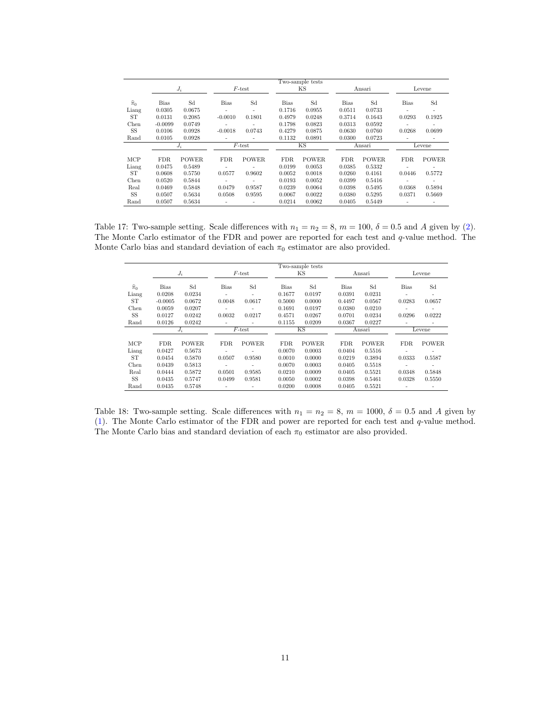|                   |             |              |           |              |        | Two-sample tests |             |              |             |              |
|-------------------|-------------|--------------|-----------|--------------|--------|------------------|-------------|--------------|-------------|--------------|
|                   |             | $J_i$        |           | $F$ -test    |        | ΚS               |             | Ansari       |             | Levene       |
| $\widehat{\pi}_0$ | <b>Bias</b> | Sd           | Bias      | Sd           | Bias   | Sd               | <b>Bias</b> | Sd           | <b>Bias</b> | Sd           |
| Liang             | 0.0305      | 0.0675       | ٠         | ٠            | 0.1716 | 0.0955           | 0.0511      | 0.0733       |             | ٠            |
| ST                | 0.0131      | 0.2085       | $-0.0010$ | 0.1801       | 0.4979 | 0.0248           | 0.3714      | 0.1643       | 0.0293      | 0.1925       |
| Chen              | $-0.0099$   | 0.0749       |           |              | 0.1798 | 0.0823           | 0.0313      | 0.0592       |             |              |
| SS                | 0.0106      | 0.0928       | $-0.0018$ | 0.0743       | 0.4279 | 0.0875           | 0.0630      | 0.0760       | 0.0268      | 0.0699       |
| Rand              | 0.0105      | 0.0928       |           |              | 0.1132 | 0.0891           | 0.0300      | 0.0723       |             |              |
|                   |             | $J_i$        |           | $F$ -test    |        | KS.              |             | Ansari       |             | Levene       |
|                   |             |              |           |              |        |                  |             |              |             |              |
| MCP               | FDR.        | <b>POWER</b> | FDR.      | <b>POWER</b> | FDR.   | <b>POWER</b>     | FDR.        | <b>POWER</b> | <b>FDR</b>  | <b>POWER</b> |
| Liang             | 0.0475      | 0.5489       | ٠         |              | 0.0199 | 0.0053           | 0.0385      | 0.5332       | ÷           |              |
| ST                | 0.0608      | 0.5750       | 0.0577    | 0.9602       | 0.0052 | 0.0018           | 0.0260      | 0.4161       | 0.0446      | 0.5772       |
| Chen              | 0.0520      | 0.5844       | ٠         | ٠            | 0.0193 | 0.0052           | 0.0399      | 0.5416       | J.          |              |
| Real              | 0.0469      | 0.5848       | 0.0479    | 0.9587       | 0.0239 | 0.0064           | 0.0398      | 0.5495       | 0.0368      | 0.5894       |
| SS                | 0.0507      | 0.5634       | 0.0508    | 0.9595       | 0.0067 | 0.0022           | 0.0380      | 0.5295       | 0.0371      | 0.5669       |
| Rand              | 0.0507      | 0.5634       |           |              | 0.0214 | 0.0062           | 0.0405      | 0.5449       |             |              |

Table 17: Two-sample setting. Scale differences with  $n_1 = n_2 = 8$ ,  $m = 100$ ,  $\delta = 0.5$  and A given by (2). The Monte Carlo estimator of the FDR and power are reported for each test and q-value method. The Monte Carlo bias and standard deviation of each  $\pi_0$  estimator are also provided.

|                   |             |              |                          |              |        | Two-sample tests |             |              |                          |                              |
|-------------------|-------------|--------------|--------------------------|--------------|--------|------------------|-------------|--------------|--------------------------|------------------------------|
|                   |             | $J_i$        |                          | $F$ -test    |        | ΚS               |             | Ansari       |                          | Levene                       |
| $\widehat{\pi}_0$ | <b>Bias</b> | Sd           | Bias                     | Sd           | Bias   | Sd               | <b>Bias</b> | Sd           | <b>Bias</b>              | Sd                           |
| Liang             | 0.0208      | 0.0234       | ٠                        | ٠            | 0.1677 | 0.0197           | 0.0391      | 0.0231       |                          | ۰                            |
| ST                | $-0.0005$   | 0.0672       | 0.0048                   | 0.0617       | 0.5000 | 0.0000           | 0.4497      | 0.0567       | 0.0283                   | 0.0657                       |
| Chen              | 0.0059      | 0.0207       |                          |              | 0.1691 | 0.0197           | 0.0380      | 0.0210       |                          |                              |
| SS                | 0.0127      | 0.0242       | 0.0032                   | 0.0217       | 0.4571 | 0.0267           | 0.0701      | 0.0234       | 0.0296                   | 0.0222                       |
| Rand              | 0.0126      | 0.0242       | ٠                        |              | 0.1155 | 0.0209           | 0.0367      | 0.0227       |                          | $\overline{a}$               |
|                   |             | $J_i$        |                          | $F$ -test    |        | ΚS               |             | Ansari       |                          | Levene                       |
|                   |             |              |                          |              |        |                  |             |              |                          |                              |
| MCP               | <b>FDR</b>  | <b>POWER</b> | <b>FDR</b>               | <b>POWER</b> | FDR.   | <b>POWER</b>     | FDR.        | <b>POWER</b> | <b>FDR</b>               | <b>POWER</b>                 |
| Liang             | 0.0427      | 0.5673       | $\overline{\phantom{a}}$ |              | 0.0070 | 0.0003           | 0.0404      | 0.5516       | ۰                        | $\overline{\phantom{a}}$     |
| ST                | 0.0454      | 0.5870       | 0.0507                   | 0.9580       | 0.0010 | 0.0000           | 0.0219      | 0.3894       | 0.0333                   | 0.5587                       |
| Chen              | 0.0439      | 0.5813       | $\overline{\phantom{a}}$ |              | 0.0070 | 0.0003           | 0.0405      | 0.5518       | $\overline{\phantom{a}}$ | $\qquad \qquad \blacksquare$ |
| Real              | 0.0444      | 0.5872       | 0.0501                   | 0.9585       | 0.0210 | 0.0009           | 0.0405      | 0.5521       | 0.0348                   | 0.5848                       |
| SS                | 0.0435      | 0.5747       | 0.0499                   | 0.9581       | 0.0050 | 0.0002           | 0.0398      | 0.5461       | 0.0328                   | 0.5550                       |
| Rand              | 0.0435      | 0.5748       | ٠                        |              | 0.0200 | 0.0008           | 0.0405      | 0.5521       |                          | $\overline{\phantom{0}}$     |

Table 18: Two-sample setting. Scale differences with  $n_1 = n_2 = 8$ ,  $m = 1000$ ,  $\delta = 0.5$  and A given by (1). The Monte Carlo estimator of the FDR and power are reported for each test and q-value method. The Monte Carlo bias and standard deviation of each  $\pi_0$  estimator are also provided.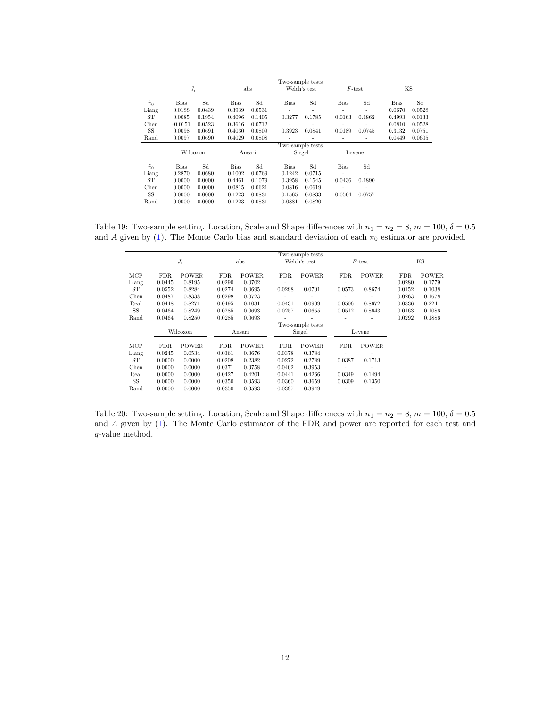|                   |           |          |             |        | Two-sample tests |                          |             |                          |        |        |
|-------------------|-----------|----------|-------------|--------|------------------|--------------------------|-------------|--------------------------|--------|--------|
|                   | $J_i$     |          |             | abs    |                  | Welch's test             |             | $F$ -test                |        | KS     |
| $\widehat{\pi}_0$ | Bias      | Sd       | <b>Bias</b> | Sd     | <b>Bias</b>      | Sd                       | <b>Bias</b> | Sd                       | Bias   | Sd     |
| Liang             | 0.0188    | 0.0439   | 0.3939      | 0.0531 | $\overline{a}$   | $\overline{\phantom{0}}$ |             |                          | 0.0670 | 0.0528 |
| ST                | 0.0085    | 0.1954   | 0.4096      | 0.1405 | 0.3277           | 0.1785                   | 0.0163      | 0.1862                   | 0.4993 | 0.0133 |
| Chen              | $-0.0151$ | 0.0523   | 0.3616      | 0.0712 |                  |                          |             |                          | 0.0810 | 0.0528 |
| SS                | 0.0098    | 0.0691   | 0.4030      | 0.0809 | 0.3923           | 0.0841                   | 0.0189      | 0.0745                   | 0.3132 | 0.0751 |
| Rand              | 0.0097    | 0.0690   | 0.4029      | 0.0808 |                  |                          |             |                          | 0.0449 | 0.0605 |
|                   |           |          |             |        | Two-sample tests |                          |             |                          |        |        |
|                   |           | Wilcoxon |             | Ansari |                  | Siegel                   |             | Levene                   |        |        |
| $\widehat{\pi}_0$ | Bias      | Sd       | <b>Bias</b> | Sd     | <b>Bias</b>      | Sd                       | <b>Bias</b> | Sd                       |        |        |
| Liang             | 0.2870    | 0.0680   | 0.1002      | 0.0769 | 0.1242           | 0.0715                   |             |                          |        |        |
| ST                | 0.0000    | 0.0000   | 0.4461      | 0.1079 | 0.3958           | 0.1545                   | 0.0436      | 0.1890                   |        |        |
| Chen              | 0.0000    | 0.0000   | 0.0815      | 0.0621 | 0.0816           | 0.0619                   |             |                          |        |        |
| SS                | 0.0000    | 0.0000   | 0.1223      | 0.0831 | 0.1565           | 0.0833                   | 0.0564      | 0.0757                   |        |        |
| Rand              | 0.0000    | 0.0000   | 0.1223      | 0.0831 | 0.0881           | 0.0820                   |             | $\overline{\phantom{a}}$ |        |        |

Table 19: Two-sample setting. Location, Scale and Shape differences with  $n_1 = n_2 = 8$ ,  $m = 100$ ,  $\delta = 0.5$ and A given by (1). The Monte Carlo bias and standard deviation of each  $\pi_0$  estimator are provided.

|       |                  |              |        |              |                | Two-sample tests |        |                |        |              |  |
|-------|------------------|--------------|--------|--------------|----------------|------------------|--------|----------------|--------|--------------|--|
|       | $J_i$            |              |        | abs          |                | Welch's test     |        | $F$ -test      |        | ΚS           |  |
| MCP   | FDR.             | <b>POWER</b> | FDR.   | <b>POWER</b> | FDR.           | <b>POWER</b>     | FDR.   | <b>POWER</b>   | FDR.   | <b>POWER</b> |  |
| Liang | 0.0445           | 0.8195       | 0.0290 | 0.0702       | $\overline{a}$ |                  |        |                | 0.0280 | 0.1779       |  |
| ST    | 0.0552           | 0.8284       | 0.0274 | 0.0695       | 0.0298         | 0.0701           | 0.0573 | 0.8674         | 0.0152 | 0.1038       |  |
| Chen  | 0.0487           | 0.8338       | 0.0298 | 0.0723       | $\overline{a}$ |                  |        |                | 0.0263 | 0.1678       |  |
| Real  | 0.0448           | 0.8271       | 0.0495 | 0.1031       | 0.0431         | 0.0909           | 0.0506 | 0.8672         | 0.0336 | 0.2241       |  |
| SS    | 0.0464           | 0.8249       | 0.0285 | 0.0693       | 0.0257         | 0.0655           | 0.0512 | 0.8643         | 0.0163 | 0.1086       |  |
| Rand  | 0.0464           | 0.8250       | 0.0285 | 0.0693       | $\overline{a}$ |                  |        |                | 0.0292 | 0.1886       |  |
|       | Two-sample tests |              |        |              |                |                  |        |                |        |              |  |
|       | Wilcoxon         |              | Ansari |              | Siegel         |                  | Levene |                |        |              |  |
|       |                  |              |        |              |                |                  |        |                |        |              |  |
| MCP   | FDR.             | <b>POWER</b> | FDR.   | <b>POWER</b> | FDR.           | <b>POWER</b>     | FDR.   | <b>POWER</b>   |        |              |  |
| Liang | 0.0245           | 0.0534       | 0.0361 | 0.3676       | 0.0378         | 0.3784           |        |                |        |              |  |
| ST    | 0.0000           | 0.0000       | 0.0208 | 0.2382       | 0.0272         | 0.2789           | 0.0387 | 0.1713         |        |              |  |
| Chen  | 0.0000           | 0.0000       | 0.0371 | 0.3758       | 0.0402         | 0.3953           |        | $\overline{a}$ |        |              |  |
| Real  | 0.0000           | 0.0000       | 0.0427 | 0.4201       | 0.0441         | 0.4266           | 0.0349 | 0.1494         |        |              |  |
| SS    | 0.0000           | 0.0000       | 0.0350 | 0.3593       | 0.0360         | 0.3659           | 0.0309 | 0.1350         |        |              |  |
| Rand  | 0.0000           | 0.0000       | 0.0350 | 0.3593       | 0.0397         | 0.3949           |        | $\overline{a}$ |        |              |  |

Table 20: Two-sample setting. Location, Scale and Shape differences with  $n_1 = n_2 = 8$ ,  $m = 100$ ,  $\delta = 0.5$ and A given by (1). The Monte Carlo estimator of the FDR and power are reported for each test and q-value method.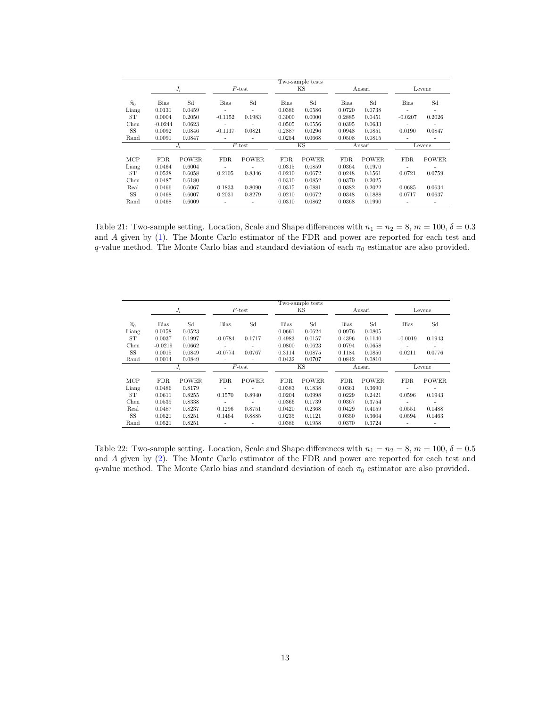|                   | Two-sample tests |              |                |                          |             |              |             |              |                          |              |
|-------------------|------------------|--------------|----------------|--------------------------|-------------|--------------|-------------|--------------|--------------------------|--------------|
|                   | $J_i$            |              | $F$ -test      |                          | ΚS          |              | Ansari      |              | Levene                   |              |
| $\widehat{\pi}_0$ | <b>Bias</b>      | Sd           | Bias           | Sd                       | <b>Bias</b> | Sd           | <b>Bias</b> | Sd           | <b>Bias</b>              | Sd           |
| Liang             | 0.0131           | 0.0459       | $\overline{a}$ | $\overline{\phantom{a}}$ | 0.0386      | 0.0586       | 0.0720      | 0.0738       |                          |              |
| ST                | 0.0004           | 0.2050       | $-0.1152$      | 0.1983                   | 0.3000      | 0.0000       | 0.2885      | 0.0451       | $-0.0207$                | 0.2026       |
| Chen              | $-0.0244$        | 0.0623       | $\overline{a}$ |                          | 0.0505      | 0.0556       | 0.0395      | 0.0633       |                          |              |
| SS                | 0.0092           | 0.0846       | $-0.1117$      | 0.0821                   | 0.2887      | 0.0296       | 0.0948      | 0.0851       | 0.0190                   | 0.0847       |
| Rand              | 0.0091           | 0.0847       | -              |                          | 0.0254      | 0.0668       | 0.0508      | 0.0815       |                          |              |
|                   | $J_i$            |              | $F$ -test      |                          | ΚS          |              | Ansari      |              | Levene                   |              |
|                   |                  |              |                |                          |             |              |             |              |                          |              |
| MCP               | <b>FDR</b>       | <b>POWER</b> | FDR.           | <b>POWER</b>             | FDR.        | <b>POWER</b> | FDR.        | <b>POWER</b> | <b>FDR</b>               | <b>POWER</b> |
| Liang             | 0.0464           | 0.6004       | ٠              |                          | 0.0315      | 0.0859       | 0.0364      | 0.1970       | $\overline{\phantom{a}}$ |              |
| ST                | 0.0528           | 0.6058       | 0.2105         | 0.8346                   | 0.0210      | 0.0672       | 0.0248      | 0.1561       | 0.0721                   | 0.0759       |
| Chen              | 0.0487           | 0.6180       | ٠              |                          | 0.0310      | 0.0852       | 0.0370      | 0.2025       | ٠                        |              |
| Real              | 0.0466           | 0.6067       | 0.1833         | 0.8090                   | 0.0315      | 0.0881       | 0.0382      | 0.2022       | 0.0685                   | 0.0634       |
| SS                | 0.0468           | 0.6007       | 0.2031         | 0.8279                   | 0.0210      | 0.0672       | 0.0348      | 0.1888       | 0.0717                   | 0.0637       |
| Rand              | 0.0468           | 0.6009       |                |                          | 0.0310      | 0.0862       | 0.0368      | 0.1990       |                          |              |

Table 21: Two-sample setting. Location, Scale and Shape differences with  $n_1 = n_2 = 8$ ,  $m = 100$ ,  $\delta = 0.3$ and A given by (1). The Monte Carlo estimator of the FDR and power are reported for each test and q-value method. The Monte Carlo bias and standard deviation of each  $\pi_0$  estimator are also provided.

|                   | Two-sample tests |              |                          |              |        |              |             |              |                          |                          |
|-------------------|------------------|--------------|--------------------------|--------------|--------|--------------|-------------|--------------|--------------------------|--------------------------|
|                   | $J_i$            |              | $F$ -test                |              | КS     |              | Ansari      |              | Levene                   |                          |
|                   |                  |              |                          |              |        |              |             |              |                          |                          |
| $\widehat{\pi}_0$ | <b>Bias</b>      | Sd           | <b>Bias</b>              | Sd           | Bias   | Sd           | <b>Bias</b> | Sd           | <b>Bias</b>              | Sd                       |
| Liang             | 0.0158           | 0.0523       | $\overline{a}$           |              | 0.0661 | 0.0624       | 0.0976      | 0.0805       | $\overline{\phantom{0}}$ | $\overline{\phantom{a}}$ |
| <b>ST</b>         | 0.0037           | 0.1997       | $-0.0784$                | 0.1717       | 0.4983 | 0.0157       | 0.4396      | 0.1140       | $-0.0019$                | 0.1943                   |
| Chen              | $-0.0219$        | 0.0662       | ٠                        |              | 0.0800 | 0.0623       | 0.0794      | 0.0658       |                          |                          |
| SS                | 0.0015           | 0.0849       | $-0.0774$                | 0.0767       | 0.3114 | 0.0875       | 0.1184      | 0.0850       | 0.0211                   | 0.0776                   |
| Rand              | 0.0014           | 0.0849       |                          |              | 0.0432 | 0.0707       | 0.0842      | 0.0810       |                          |                          |
|                   | $J_i$            |              | $\overline{F}$ -test     |              | ΚS     |              | Ansari      |              | Levene                   |                          |
|                   |                  |              |                          |              |        |              |             |              |                          |                          |
| MCP               | FDR.             | <b>POWER</b> | FDR.                     | <b>POWER</b> | FDR.   | <b>POWER</b> | FDR.        | <b>POWER</b> | <b>FDR</b>               | <b>POWER</b>             |
| Liang             | 0.0486           | 0.8179       | $\overline{\phantom{a}}$ |              | 0.0383 | 0.1838       | 0.0361      | 0.3690       | ٠                        |                          |
| ST                | 0.0611           | 0.8255       | 0.1570                   | 0.8940       | 0.0204 | 0.0998       | 0.0229      | 0.2421       | 0.0596                   | 0.1943                   |
| Chen              | 0.0539           | 0.8338       | $\overline{\phantom{a}}$ |              | 0.0366 | 0.1739       | 0.0367      | 0.3754       | ٠                        | ٠                        |
| Real              | 0.0487           | 0.8237       | 0.1296                   | 0.8751       | 0.0420 | 0.2368       | 0.0429      | 0.4159       | 0.0551                   | 0.1488                   |
| <b>SS</b>         | 0.0521           | 0.8251       | 0.1464                   | 0.8885       | 0.0235 | 0.1121       | 0.0350      | 0.3604       | 0.0594                   | 0.1463                   |
| Rand              | 0.0521           | 0.8251       |                          |              | 0.0386 | 0.1958       | 0.0370      | 0.3724       |                          |                          |

Table 22: Two-sample setting. Location, Scale and Shape differences with  $n_1 = n_2 = 8$ ,  $m = 100$ ,  $\delta = 0.5$ and A given by (2). The Monte Carlo estimator of the FDR and power are reported for each test and q-value method. The Monte Carlo bias and standard deviation of each  $\pi_0$  estimator are also provided.